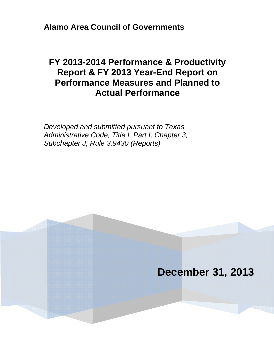**Alamo Area Council of Governments**

# **FY 2013-2014 Performance & Productivity Report & FY 2013 Year-End Report on Performance Measures and Planned to Actual Performance**

*Developed and submitted pursuant to Texas Administrative Code, Title I, Part I, Chapter 3, Subchapter J, Rule 3.9430 (Reports)* 

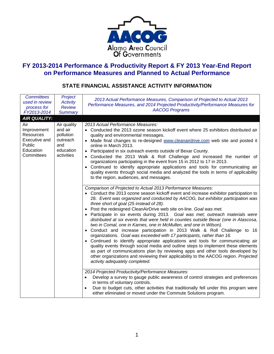

# **FY 2013-2014 Performance & Productivity Report & FY 2013 Year-End Report on Performance Measures and Planned to Actual Performance**

# **STATE FINANCIAL ASSISTANCE ACTIVITY INFORMATION**

| <b>Committees</b><br>used in review<br>process for<br>FY2013-2014                                            | Project<br><b>Activity</b><br><b>Review</b><br><b>Summary</b>                     | 2013 Actual Performance Measures, Comparison of Projected to Actual 2013<br>Performance Measures, and 2014 Projected Productivity/Performance Measures for<br><b>AACOG Programs</b>                                                                                                                                                                                                                                                                                                                                                                                                                                                                                                                                                                                                                                                                                                                                                                                                                                                                                                                                                                                                                                                                                                                                                                                                                                                                                                                          |  |
|--------------------------------------------------------------------------------------------------------------|-----------------------------------------------------------------------------------|--------------------------------------------------------------------------------------------------------------------------------------------------------------------------------------------------------------------------------------------------------------------------------------------------------------------------------------------------------------------------------------------------------------------------------------------------------------------------------------------------------------------------------------------------------------------------------------------------------------------------------------------------------------------------------------------------------------------------------------------------------------------------------------------------------------------------------------------------------------------------------------------------------------------------------------------------------------------------------------------------------------------------------------------------------------------------------------------------------------------------------------------------------------------------------------------------------------------------------------------------------------------------------------------------------------------------------------------------------------------------------------------------------------------------------------------------------------------------------------------------------------|--|
| <b>AIR QUALITY:</b><br>Air<br>Improvement<br>Resources<br>Executive and<br>Public<br>Education<br>Committees | Air quality<br>and air<br>pollution<br>outreach<br>and<br>education<br>activities | 2013 Actual Performance Measures:<br>• Conducted the 2013 ozone season kickoff event where 25 exhibitors distributed air<br>quality and environmental messages.<br>Made final changes to re-designed www.cleanairdrive.com web site and posted it<br>$\bullet$<br>online in March 2013.<br>Participated in six outreach events outside of Bexar County.<br>$\bullet$<br>Conducted the 2013 Walk & Roll Challenge and increased the number of<br>organizations participating in the event from 15 in 2012 to 17 in 2013.<br>Continued to identify appropriate applications and tools for communicating air<br>quality events through social media and analyzed the tools in terms of applicability<br>to the region, audiences, and messages.                                                                                                                                                                                                                                                                                                                                                                                                                                                                                                                                                                                                                                                                                                                                                                 |  |
|                                                                                                              |                                                                                   | Comparison of Projected to Actual 2013 Performance Measures:<br>• Conduct the 2013 ozone season kickoff event and increase exhibitor participation to<br>28. Event was organized and conducted by AACOG, but exhibitor participation was<br>three short of goal (25 instead of 28).<br>Post the redesigned CleanAirDrive web site on-line. Goal was met.<br>$\bullet$<br>Participate in six events during 2013. Goal was met; outreach materials were<br>distributed at six events that were held in counties outside Bexar (one in Atascosa,<br>two in Comal, one in Karnes, one in McMullen, and one in Wilson).<br>Conduct and increase participation in 2013 Walk & Roll Challenge to 16<br>organizations. Goal was exceeded with 17 participants, rather than 16.<br>Continued to identify appropriate applications and tools for communicating air<br>quality events through social media and outline steps to implement these elements<br>as part of communications plan by reviewing apps and other tools developed by<br>other organizations and reviewing their applicability to the AACOG region. Projected<br>activity adequately completed.<br>2014 Projected Productivity/Performance Measures:<br>Develop a survey to gauge public awareness of control strategies and preferences<br>in terms of voluntary controls.<br>Due to budget cuts, other activities that traditionally fell under this program were<br>$\bullet$<br>either eliminated or moved under the Commute Solutions program. |  |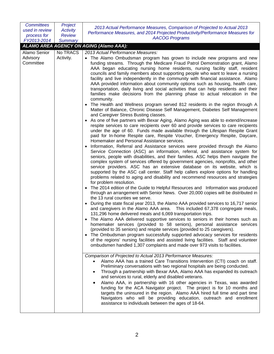| <b>Committees</b>     | Project         | 2013 Actual Performance Measures, Comparison of Projected to Actual 2013                                                                                                                                                                                                                                                                                                                                                                                                                                                                                                                                                                                                                                                                                                                                                                                                                                                                                                                                                                                                                                                                                                                                                                                                                                                                                                                                                                                                                                                                                                                                                                                                                                                                                                                                                                                                                                                                                                                                                                                                                                                                                                                                                                                                                                                                                                                                                                                                                                                                                                                                                                                                                                                                                                                                                                                                                                                                                                                                                                                                                                                                                                                                                                                                                                                                                                                                                                                                                                                                                                                                                  |  |
|-----------------------|-----------------|---------------------------------------------------------------------------------------------------------------------------------------------------------------------------------------------------------------------------------------------------------------------------------------------------------------------------------------------------------------------------------------------------------------------------------------------------------------------------------------------------------------------------------------------------------------------------------------------------------------------------------------------------------------------------------------------------------------------------------------------------------------------------------------------------------------------------------------------------------------------------------------------------------------------------------------------------------------------------------------------------------------------------------------------------------------------------------------------------------------------------------------------------------------------------------------------------------------------------------------------------------------------------------------------------------------------------------------------------------------------------------------------------------------------------------------------------------------------------------------------------------------------------------------------------------------------------------------------------------------------------------------------------------------------------------------------------------------------------------------------------------------------------------------------------------------------------------------------------------------------------------------------------------------------------------------------------------------------------------------------------------------------------------------------------------------------------------------------------------------------------------------------------------------------------------------------------------------------------------------------------------------------------------------------------------------------------------------------------------------------------------------------------------------------------------------------------------------------------------------------------------------------------------------------------------------------------------------------------------------------------------------------------------------------------------------------------------------------------------------------------------------------------------------------------------------------------------------------------------------------------------------------------------------------------------------------------------------------------------------------------------------------------------------------------------------------------------------------------------------------------------------------------------------------------------------------------------------------------------------------------------------------------------------------------------------------------------------------------------------------------------------------------------------------------------------------------------------------------------------------------------------------------------------------------------------------------------------------------------------------------|--|
| used in review        | <b>Activity</b> | Performance Measures, and 2014 Projected Productivity/Performance Measures for                                                                                                                                                                                                                                                                                                                                                                                                                                                                                                                                                                                                                                                                                                                                                                                                                                                                                                                                                                                                                                                                                                                                                                                                                                                                                                                                                                                                                                                                                                                                                                                                                                                                                                                                                                                                                                                                                                                                                                                                                                                                                                                                                                                                                                                                                                                                                                                                                                                                                                                                                                                                                                                                                                                                                                                                                                                                                                                                                                                                                                                                                                                                                                                                                                                                                                                                                                                                                                                                                                                                            |  |
| process for           | <b>Review</b>   | <b>AACOG Programs</b>                                                                                                                                                                                                                                                                                                                                                                                                                                                                                                                                                                                                                                                                                                                                                                                                                                                                                                                                                                                                                                                                                                                                                                                                                                                                                                                                                                                                                                                                                                                                                                                                                                                                                                                                                                                                                                                                                                                                                                                                                                                                                                                                                                                                                                                                                                                                                                                                                                                                                                                                                                                                                                                                                                                                                                                                                                                                                                                                                                                                                                                                                                                                                                                                                                                                                                                                                                                                                                                                                                                                                                                                     |  |
| FY2013-2014           | <b>Summary</b>  |                                                                                                                                                                                                                                                                                                                                                                                                                                                                                                                                                                                                                                                                                                                                                                                                                                                                                                                                                                                                                                                                                                                                                                                                                                                                                                                                                                                                                                                                                                                                                                                                                                                                                                                                                                                                                                                                                                                                                                                                                                                                                                                                                                                                                                                                                                                                                                                                                                                                                                                                                                                                                                                                                                                                                                                                                                                                                                                                                                                                                                                                                                                                                                                                                                                                                                                                                                                                                                                                                                                                                                                                                           |  |
|                       |                 | ALAMO AREA AGENCY ON AGING (Alamo AAA):                                                                                                                                                                                                                                                                                                                                                                                                                                                                                                                                                                                                                                                                                                                                                                                                                                                                                                                                                                                                                                                                                                                                                                                                                                                                                                                                                                                                                                                                                                                                                                                                                                                                                                                                                                                                                                                                                                                                                                                                                                                                                                                                                                                                                                                                                                                                                                                                                                                                                                                                                                                                                                                                                                                                                                                                                                                                                                                                                                                                                                                                                                                                                                                                                                                                                                                                                                                                                                                                                                                                                                                   |  |
| Alamo Senior          | No TRACS        | 2013 Actual Performance Measures:                                                                                                                                                                                                                                                                                                                                                                                                                                                                                                                                                                                                                                                                                                                                                                                                                                                                                                                                                                                                                                                                                                                                                                                                                                                                                                                                                                                                                                                                                                                                                                                                                                                                                                                                                                                                                                                                                                                                                                                                                                                                                                                                                                                                                                                                                                                                                                                                                                                                                                                                                                                                                                                                                                                                                                                                                                                                                                                                                                                                                                                                                                                                                                                                                                                                                                                                                                                                                                                                                                                                                                                         |  |
| Advisory<br>Committee | Activity.       | • The Alamo Ombudsman program has grown to include new programs and new<br>funding streams. Through the Medicare Fraud Patrol Demonstration grant, Alamo<br>AAA began educating nursing home residents, nursing facility staff, resident<br>councils and family members about supporting people who want to leave a nursing<br>facility and live independently in the community with financial assistance. Alamo<br>AAA provided information about community options such as housing, health care,<br>transportation, daily living and social activities that can help residents and their<br>families make decisions from the planning phase to actual relocation in the<br>community.<br>• The Health and Wellness program served 812 residents in the region through A<br>Matter of Balance, Chronic Disease Self Management, Diabetes Self Management<br>and Caregiver Stress Busting classes.<br>• As one of five partners with Bexar Aging, Alamo Aging was able to extend/increase<br>respite services to care recipients over 60 and provide services to care recipients<br>under the age of 60. Funds made available through the Lifespan Respite Grant<br>paid for In-home Respite care, Respite Voucher, Emergency Respite, Daycare,<br>Homemaker and Personal Assistance services.<br>Information, Referral and Assistance services were provided through the Alamo<br>Service Connection (ASC) an information, referral, and assistance system for<br>seniors, people with disabilities, and their families. ASC helps them navigate the<br>complex system of services offered by government agencies, nonprofits, and other<br>service providers. ASC has an extensive database on its website, which is<br>supported by the ASC call center. Staff help callers explore options for handling<br>problems related to aging and disability and recommend resources and strategies<br>for problem resolution.<br>The 2014 edition of the Guide to Helpful Resources and Information was produced<br>through an arrangement with Senior News. Over 20,000 copies will be distributed in<br>the 13 rural counties we serve.<br>During the state fiscal year 2013, the Alamo AAA provided services to 16,717 senior<br>and caregivers in the Alamo AAA area. This included 67,378 congregate meals,<br>131,296 home delivered meals and 6,069 transportation trips.<br>The Alamo AAA delivered supportive services to seniors in their homes such as<br>homemaker services (provided to 58 seniors), personal assistance services<br>(provided to 35 seniors) and respite services (provided to 25 caregivers).<br>• The Ombudsman program successfully supported advocacy services for residents<br>of the regions' nursing facilities and assisted living facilities. Staff and volunteer<br>ombudsmen handled 1,307 complaints and made over 973 visits to facilities.<br>Comparison of Projected to Actual 2013 Performance Measures:<br>Alamo AAA has a trained Care Transitions Intervention (CTI) coach on staff.<br>Preliminary conversations with two regional hospitals are being conducted.<br>Through a partnership with Bexar AAA, Alamo AAA has expanded its outreach<br>and services to rural, elderly and disabled veterans.<br>Alamo AAA, in partnership with 16 other agencies in Texas, was awarded<br>funding for the ACA Navigator project. The project is for 10 months and<br>targets the uninsured in the region. Alamo AAA hired full time and part time<br>Navigators who will be providing education, outreach and enrollment<br>assistance to individuals between the ages of 18-64. |  |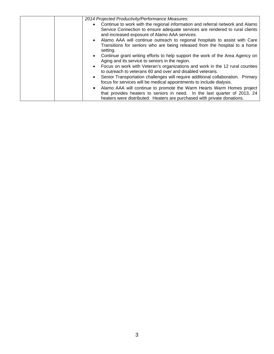| 2014 Projected Productivity/Performance Measures:                                                                                                       |
|---------------------------------------------------------------------------------------------------------------------------------------------------------|
| Continue to work with the regional information and referral network and Alamo                                                                           |
| Service Connection to ensure adequate services are rendered to rural clients<br>and increased exposure of Alamo AAA services.                           |
| Alamo AAA will continue outreach to regional hospitals to assist with Care                                                                              |
| Transitions for seniors who are being released from the hospital to a home<br>setting.                                                                  |
| Continue grant writing efforts to help support the work of the Area Agency on<br>Aging and its service to seniors in the region.                        |
| Focus on work with Veteran's organizations and work in the 12 rural counties<br>to outreach to veterans 60 and over and disabled veterans.              |
| Senior Transportation challenges will require additional collaboration. Primary<br>focus for services will be medical appointments to include dialysis. |
| Alamo AAA will continue to promote the Warm Hearts Warm Homes project                                                                                   |
| that provides heaters to seniors in need. In the last quarter of 2013, 24<br>heaters were distributed. Heaters are purchased with private donations.    |
|                                                                                                                                                         |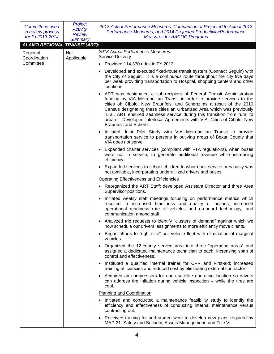| <b>Committees used</b><br>in review process<br>for FY2013-2014 | Project<br><b>Activity</b><br><b>Review</b><br><b>Summary</b> | 2013 Actual Performance Measures, Comparison of Projected to Actual 2013<br>Performance Measures, and 2014 Projected Productivity/Performance<br><b>Measures for AACOG Programs</b>                                                                                                                                                                                                                                                                                                |  |
|----------------------------------------------------------------|---------------------------------------------------------------|------------------------------------------------------------------------------------------------------------------------------------------------------------------------------------------------------------------------------------------------------------------------------------------------------------------------------------------------------------------------------------------------------------------------------------------------------------------------------------|--|
|                                                                | <b>ALAMO REGIONAL TRANSIT (ART):</b>                          |                                                                                                                                                                                                                                                                                                                                                                                                                                                                                    |  |
| Regional<br>Coordination                                       | Not<br>Applicable                                             | 2013 Actual Performance Measures:<br><b>Service Delivery</b>                                                                                                                                                                                                                                                                                                                                                                                                                       |  |
| Committee                                                      |                                                               | • Provided 114,370 rides in FY 2013.                                                                                                                                                                                                                                                                                                                                                                                                                                               |  |
|                                                                |                                                               | Developed and executed fixed-route transit system (Connect Seguin) with<br>the City of Seguin. It is a continuous route throughout the city five days<br>per week providing transportation to Hospital, shopping centers and other<br>locations.                                                                                                                                                                                                                                   |  |
|                                                                |                                                               | ART was designated a sub-recipient of Federal Transit Administration<br>funding by VIA Metropolitan Transit in order to provide services to the<br>cities of: Cibolo, New Braunfels, and Schertz as a result of the 2010<br>Census designating these cities an Urbanized Area which was previously<br>rural. ART ensured seamless service during this transition from rural to<br>urban. Developed Interlocal Agreements with VIA, Cities of Cibolo, New<br>Braunfels and Schertz. |  |
|                                                                |                                                               | Initiated Joint Pilot Study with VIA Metropolitan Transit to provide<br>transportation service to persons in outlying areas of Bexar County that<br>VIA does not serve.                                                                                                                                                                                                                                                                                                            |  |
|                                                                |                                                               | • Expanded charter services (compliant with FTA regulations), when buses<br>were not in service, to generate additional revenue while increasing<br>efficiency.                                                                                                                                                                                                                                                                                                                    |  |
|                                                                |                                                               | • Expanded services to school children to whom bus service previously was<br>not available, incorporating underutilized drivers and buses.                                                                                                                                                                                                                                                                                                                                         |  |
|                                                                |                                                               | <b>Operating Effectiveness and Efficiencies</b>                                                                                                                                                                                                                                                                                                                                                                                                                                    |  |
|                                                                |                                                               | • Reorganized the ART Staff: developed Assistant Director and three Area<br>Supervisor positions.                                                                                                                                                                                                                                                                                                                                                                                  |  |
|                                                                |                                                               | Initiated weekly staff meetings focusing on performance metrics which<br>resulted in increased timeliness and quality of actions, increased<br>operational readiness rate of vehicles and on-board technology, and<br>communication among staff.                                                                                                                                                                                                                                   |  |
|                                                                |                                                               | Analyzed trip requests to identify "clusters of demand" against which we<br>now schedule our drivers' assignments to more efficiently move clients.                                                                                                                                                                                                                                                                                                                                |  |
|                                                                |                                                               | • Began efforts to "right-size" our vehicle fleet with elimination of marginal<br>vehicles.                                                                                                                                                                                                                                                                                                                                                                                        |  |
|                                                                |                                                               | • Organized the 12-county service area into three "operating areas" and<br>assigned a dedicated maintenance technician to each, increasing span of<br>control and effectiveness.                                                                                                                                                                                                                                                                                                   |  |
|                                                                |                                                               | Instituted a qualified internal trainer for CPR and First-aid; increased<br>training efficiencies and reduced cost by eliminating external contractor.                                                                                                                                                                                                                                                                                                                             |  |
|                                                                |                                                               | • Acquired air compressors for each satellite operating location so drivers<br>can address tire inflation during vehicle inspection $-$ while the tires are<br>cool.                                                                                                                                                                                                                                                                                                               |  |
|                                                                |                                                               | <b>Planning and Coordination</b>                                                                                                                                                                                                                                                                                                                                                                                                                                                   |  |
|                                                                |                                                               | Initiated and conducted a maintenance feasibility study to identify the<br>efficiency and effectiveness of conducting internal maintenance versus<br>contracting out.                                                                                                                                                                                                                                                                                                              |  |
|                                                                |                                                               | • Received training for and started work to develop new plans required by<br>MAP-21: Safety and Security, Assets Management, and Title VI.                                                                                                                                                                                                                                                                                                                                         |  |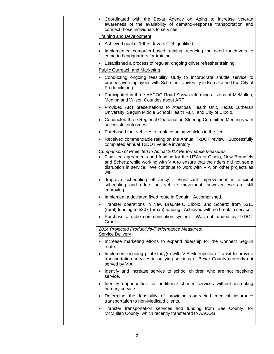|  | • Coordinated with the Bexar Agency on Aging to increase veteran<br>awareness of the availability of demand-response transportation and<br>connect those individuals to services.                                                                                                                           |
|--|-------------------------------------------------------------------------------------------------------------------------------------------------------------------------------------------------------------------------------------------------------------------------------------------------------------|
|  | <b>Training and Development</b>                                                                                                                                                                                                                                                                             |
|  | • Achieved goal of 100% drivers CDL qualified.                                                                                                                                                                                                                                                              |
|  | • Implemented computer-based training, reducing the need for drivers to<br>come to headquarters for training.                                                                                                                                                                                               |
|  | • Established a process of regular, ongoing driver refresher training.                                                                                                                                                                                                                                      |
|  | <b>Public Outreach and Marketing</b>                                                                                                                                                                                                                                                                        |
|  | • Conducting ongoing feasibility study to incorporate shuttle service to<br>prospective employees with Schreiner University in Kerrville and the City of<br>Fredericksburg.                                                                                                                                 |
|  | • Participated in three AACOG Road Shows informing citizens of McMullen,<br>Medina and Wilson Counties about ART.                                                                                                                                                                                           |
|  | • Provided ART presentations to Atascosa Health Unit, Texas Lutheran<br>University, Seguin Middle School Health Fair, and City of Cibolo,                                                                                                                                                                   |
|  | • Conducted three Regional Coordination Steering Committee Meetings with<br>successful outcomes.                                                                                                                                                                                                            |
|  | • Purchased four vehicles to replace aging vehicles in the fleet.                                                                                                                                                                                                                                           |
|  | • Received commendable rating on the Annual TxDOT review. Successfully<br>completed annual TxDOT vehicle inventory.                                                                                                                                                                                         |
|  | Comparison of Projected to Actual 2013 Performance Measures:<br>• Finalized agreements and funding for the UZAs of Cibolo, New Braunfels<br>and Schertz while working with VIA to ensure that the riders did not see a<br>disruption in service. We continue to work with VIA on other projects as<br>well. |
|  | Improve scheduling efficiency.<br>Significant improvement in efficient<br>scheduling and riders per vehicle movement; however, we are still<br>improving.                                                                                                                                                   |
|  | Implement a deviated fixed route in Seguin. Accomplished.                                                                                                                                                                                                                                                   |
|  | • Transfer operations in New Braunfels, Cibolo, and Schertz from 5311<br>(rural) funding to 5307 (urban) funding. Achieved with no break in service.                                                                                                                                                        |
|  | • Purchase a radio communication system. Was not funded by TxDOT<br>Grant.                                                                                                                                                                                                                                  |
|  | 2014 Projected Productivity/Performance Measures:<br><b>Service Delivery</b>                                                                                                                                                                                                                                |
|  | • Increase marketing efforts to expand ridership for the Connect Seguin<br>route.                                                                                                                                                                                                                           |
|  | Implement ongoing pilot study(s) with VIA Metropolitan Transit to provide<br>transportation services in outlying sections of Bexar County currently not<br>served by VIA.                                                                                                                                   |
|  | • Identify and increase service to school children who are not receiving<br>service.                                                                                                                                                                                                                        |
|  | • Identify opportunities for additional charter services without disrupting<br>primary service.                                                                                                                                                                                                             |
|  | Determine the feasibility of providing contracted medical insurance<br>transportation to non-Medicaid clients.                                                                                                                                                                                              |
|  | Transfer transportation services and funding from Bee County, for<br>McMullen County, which recently transferred to AACOG.                                                                                                                                                                                  |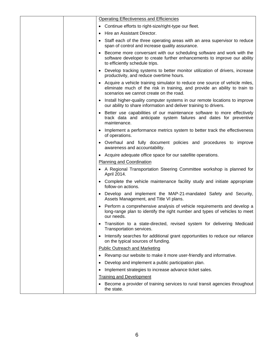| Operating Effectiveness and Efficiencies                                                                                                                                                                          |
|-------------------------------------------------------------------------------------------------------------------------------------------------------------------------------------------------------------------|
| • Continue efforts to right-size/right-type our fleet.                                                                                                                                                            |
| Hire an Assistant Director.                                                                                                                                                                                       |
| Staff each of the three operating areas with an area supervisor to reduce<br>span of control and increase quality assurance.                                                                                      |
| Become more conversant with our scheduling software and work with the<br>software developer to create further enhancements to improve our ability<br>to efficiently schedule trips.                               |
| • Develop tracking systems to better monitor utilization of drivers, increase<br>productivity, and reduce overtime hours.                                                                                         |
| Acquire a vehicle training simulator to reduce one source of vehicle miles,<br>$\bullet$<br>eliminate much of the risk in training, and provide an ability to train to<br>scenarios we cannot create on the road. |
| • Install higher-quality computer systems in our remote locations to improve<br>our ability to share information and deliver training to drivers.                                                                 |
| • Better use capabilities of our maintenance software to more effectively<br>track data and anticipate system failures and dates for preventive<br>maintenance.                                                   |
| • Implement a performance metrics system to better track the effectiveness<br>of operations.                                                                                                                      |
| • Overhaul and fully document policies and procedures to improve<br>awareness and accountability.                                                                                                                 |
| • Acquire adequate office space for our satellite operations.                                                                                                                                                     |
| <b>Planning and Coordination</b>                                                                                                                                                                                  |
| • A Regional Transportation Steering Committee workshop is planned for<br>April 2014.                                                                                                                             |
| • Complete the vehicle maintenance facility study and initiate appropriate<br>follow-on actions.                                                                                                                  |
| • Develop and implement the MAP-21-mandated Safety and Security,<br>Assets Management, and Title VI plans.                                                                                                        |
| Perform a comprehensive analysis of vehicle requirements and develop a<br>long-range plan to identify the right number and types of vehicles to meet<br>our needs.                                                |
| Transition to a state-directed, revised system for delivering Medicaid<br>Transportation services.                                                                                                                |
| Intensify searches for additional grant opportunities to reduce our reliance<br>$\bullet$<br>on the typical sources of funding.                                                                                   |
| <b>Public Outreach and Marketing</b>                                                                                                                                                                              |
| Revamp our website to make it more user-friendly and informative.<br>٠                                                                                                                                            |
| Develop and implement a public participation plan.                                                                                                                                                                |
| Implement strategies to increase advance ticket sales.                                                                                                                                                            |
| <b>Training and Development</b>                                                                                                                                                                                   |
| Become a provider of training services to rural transit agencies throughout<br>the state.                                                                                                                         |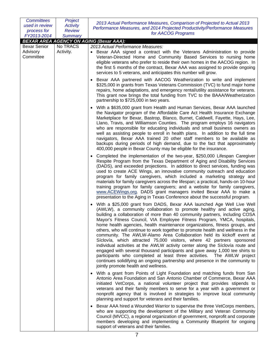| <b>Committees</b>                            | Project               | 2013 Actual Performance Measures, Comparison of Projected to Actual 2013                                                                                                                                                                                                                                                                                                                                                                                                                                                                                                                                                                                                                                                                                                                                                                                                                                                                                                                                            |  |
|----------------------------------------------|-----------------------|---------------------------------------------------------------------------------------------------------------------------------------------------------------------------------------------------------------------------------------------------------------------------------------------------------------------------------------------------------------------------------------------------------------------------------------------------------------------------------------------------------------------------------------------------------------------------------------------------------------------------------------------------------------------------------------------------------------------------------------------------------------------------------------------------------------------------------------------------------------------------------------------------------------------------------------------------------------------------------------------------------------------|--|
| used in review                               | <b>Activity</b>       | Performance Measures, and 2014 Projected Productivity/Performance Measures                                                                                                                                                                                                                                                                                                                                                                                                                                                                                                                                                                                                                                                                                                                                                                                                                                                                                                                                          |  |
| process for                                  | <b>Review</b>         | for AACOG Programs                                                                                                                                                                                                                                                                                                                                                                                                                                                                                                                                                                                                                                                                                                                                                                                                                                                                                                                                                                                                  |  |
| FY2013-2014                                  | <b>Summary</b>        |                                                                                                                                                                                                                                                                                                                                                                                                                                                                                                                                                                                                                                                                                                                                                                                                                                                                                                                                                                                                                     |  |
|                                              |                       | <b>BEXAR AREA AGENCY ON AGING (Bexar AAA):</b>                                                                                                                                                                                                                                                                                                                                                                                                                                                                                                                                                                                                                                                                                                                                                                                                                                                                                                                                                                      |  |
| <b>Bexar Senior</b><br>Advisory<br>Committee | No TRACS<br>Activity. | 2013 Actual Performance Measures:<br>Bexar AAA signed a contract with the Veterans Administration to provide<br>Veteran-Directed Home and Community Based Services to nursing home<br>eligible veterans who prefer to reside their own homes in the AACOG region. In<br>the first 5 months of the contract, Bexar AAA was assigned to provide ongoing<br>services to 5 veterans, and anticipates this number will grow.                                                                                                                                                                                                                                                                                                                                                                                                                                                                                                                                                                                             |  |
|                                              |                       | Bexar AAA partnered with AACOG Weatherization to write and implement<br>\$325,000 in grants from Texas Veterans Commission (TVC) to fund major home<br>repairs, home adaptations, and emergency rental/utility assistance for veterans.<br>This grant now brings the total funding from TVC to the BAAA/Weatherization<br>partnership to \$725,000 in two years.                                                                                                                                                                                                                                                                                                                                                                                                                                                                                                                                                                                                                                                    |  |
|                                              |                       | With a \$635,000 grant from Health and Human Services, Bexar AAA launched<br>the Navigator program of the Affordable Care Act Health Insurance Exchange<br>Marketplace for Bexar, Bastrop, Blanco, Burnet, Caldwell, Fayette, Hays, Lee,<br>Llano, Travis, and Williamson Counties. The program employs 16 navigators<br>who are responsible for educating individuals and small business owners as<br>well as assisting people to enroll in health plans. In addition to the full time<br>navigators, Bexar AAA trained 20 other staff members to be available as<br>backups during periods of high demand, due to the fact that approximately<br>400,000 people in Bexar County may be eligible for the insurance.                                                                                                                                                                                                                                                                                                |  |
|                                              |                       | Completed the implementation of the two-year, \$250,000 Lifespan Caregiver<br>$\bullet$<br>Respite Program from the Texas Department of Aging and Disability Services<br>(DADS), and exceeded projections. In addition to direct services, funding was<br>used to create ACE Wings, an innovative community outreach and education<br>program for family caregivers, which included a marketing strategy and<br>materials for family caregivers across the lifespan; a practical, hands-on 10-hour<br>training program for family caregivers; and a website for family caregivers,<br>www.ACEWings.org. DADS grant managers invited Bexar AAA to make a<br>presentation to the Aging in Texas Conference about the successful program.                                                                                                                                                                                                                                                                              |  |
|                                              |                       | With a \$25,000 grant from DADS, Bexar AAA launched Age Well Live Well<br>$\bullet$<br>(AWLW), a community collaboration to promote healthy and active aging,<br>building a collaboration of more than 40 community partners, including COSA<br>Mayor's Fitness Council, VIA Employee Fitness Program, YMCA, hospitals,<br>home health agencies, health maintenance organizations, fitness groups, and<br>others, who will continue to work together to promote health and wellness in the<br>community. The AWLW-Alamo Area Collaboration held its kickoff event at<br>Síclovía, which attracted 75,000 visitors, where 42 partners sponsored<br>individual activities at the AWLW activity center along the Síclovía route and<br>engaged with several thousand participants and gave away 1,000 tee shirts to<br>participants who completed at least three activities. The AWLW project<br>continues solidifying an ongoing partnership and presence in the community to<br>jointly promote health and wellness. |  |
|                                              |                       | • With a grant from Points of Light Foundation and matching funds from San<br>Antonio Area Foundation and San Antonio Chamber of Commerce, Bexar AAA<br>initiated VetCorps, a national volunteer project that provides stipends to<br>veterans and their family members to serve for a year with a government or<br>nonprofit agency that is involved in strategies to improve local community<br>planning and support for veterans and their families.                                                                                                                                                                                                                                                                                                                                                                                                                                                                                                                                                             |  |
|                                              |                       | Bexar AAA hired a Wounded Warrior to supervise the three VetCorps members,<br>who are supporting the development of the Military and Veteran Community<br>Council (MVCC), a regional organization of government, nonprofit and corporate<br>members developing and implementing a Community Blueprint for ongoing<br>support of veterans and their families.                                                                                                                                                                                                                                                                                                                                                                                                                                                                                                                                                                                                                                                        |  |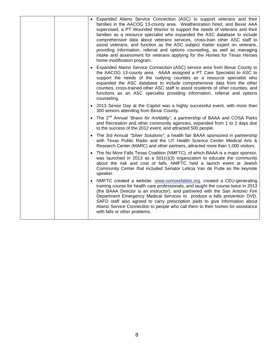|  | • Expanded Alamo Service Connection (ASC) to support veterans and their<br>families in the AACOG 13-county area. Weatherization hired, and Bexar AAA<br>supervised, a PT Wounded Warrior to support the needs of veterans and their<br>families as a resource specialist who expanded the ASC database to include<br>comprehensive data about veterans services, cross-train other ASC staff to<br>assist veterans, and function as the ASC subject matter expert on veterans,<br>providing information, referral and options counseling, as well as managing<br>intake and assessment for veterans applying for the Homes for Texas Heroes<br>home modification program. |
|--|---------------------------------------------------------------------------------------------------------------------------------------------------------------------------------------------------------------------------------------------------------------------------------------------------------------------------------------------------------------------------------------------------------------------------------------------------------------------------------------------------------------------------------------------------------------------------------------------------------------------------------------------------------------------------|
|  | • Expanded Alamo Service Connection (ASC) service area from Bexar County to<br>the AACOG 13-county area. AAAA assigned a PT Care Specialist to ASC to<br>support the needs of the outlying counties as a resource specialist who<br>expanded the ASC database to include comprehensive data from the other<br>counties, cross-trained other ASC staff to assist residents of other counties, and<br>functions as an ASC specialist providing information, referral and options<br>counseling.                                                                                                                                                                             |
|  | • 2013 Senior Day at the Capitol was a highly successful event, with more than<br>300 seniors attending from Bexar County.                                                                                                                                                                                                                                                                                                                                                                                                                                                                                                                                                |
|  | • The 2 <sup>nd</sup> Annual "Bravo for ArtAbility", a partnership of BAAA and COSA Parks<br>and Recreation and other community agencies, expanded from 1 to 2 days due<br>to the success of the 2012 event, and attracted 500 people.                                                                                                                                                                                                                                                                                                                                                                                                                                    |
|  | • The 3rd Annual "Silver Solutions", a health fair BAAA sponsored in partnership<br>with Texas Public Radio and the UT Health Science Center Medical Arts &<br>Research Center (MARC) and other partners, attracted more than 1,000 visitors.                                                                                                                                                                                                                                                                                                                                                                                                                             |
|  | • The No More Falls Texas Coalition (NMFTC), of which BAAA is a major sponsor,<br>was launched in 2013 as a $501(c)(3)$ organization to educate the community<br>about the risk and cost of falls. NMFTC held a launch event at Jewish<br>Community Center that included Senator Leticia Van de Putte as the keynote<br>speaker.                                                                                                                                                                                                                                                                                                                                          |
|  | • NMFTC created a website, www.nomorefallstx.org, created a CEU-generating<br>training course for health care professionals, and taught the course twice in 2013<br>(the BAAA Director is an instructor), and partnered with the San Antonio Fire<br>Department Emergency Medical Services to produce a falls prevention DVD.<br>SAFD staff also agreed to carry prescription pads to give information about<br>Alamo Service Connection to people who call them to their homes for assistance<br>with falls or other problems.                                                                                                                                           |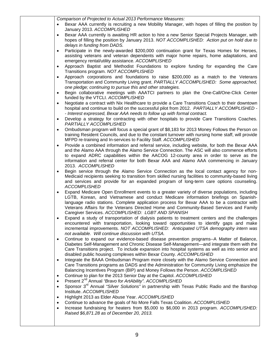| Comparison of Projected to Actual 2013 Performance Measures:<br>Bexar AAA currently is recruiting a new Mobility Manager, with hopes of filling the position by                                                                                                                                                                                                                                                                           |
|-------------------------------------------------------------------------------------------------------------------------------------------------------------------------------------------------------------------------------------------------------------------------------------------------------------------------------------------------------------------------------------------------------------------------------------------|
| January 2013. ACCOMPLISHED<br>Bexar AAA currently is awaiting HR action to hire a new Senior Special Projects Manager, with                                                                                                                                                                                                                                                                                                               |
| hopes of filling the position by January 2013. NOT ACCOMPLISHED: Action put on hold due to<br>delays in funding from DADS.                                                                                                                                                                                                                                                                                                                |
| Participate in the newly-awarded \$200,000 continuation grant for Texas Homes for Heroes,<br>assisting veterans and veteran dependents with major home repairs, home adaptations, and                                                                                                                                                                                                                                                     |
| emergency rental/utility assistance. ACCOMPLISHED<br>Approach Baptist and Methodist Foundations to explore funding for expanding the Care<br>$\bullet$                                                                                                                                                                                                                                                                                    |
| Transitions program. NOT ACCOMPLISHED<br>Approach corporations and foundations to raise \$200,000 as a match to the Veterans<br>$\bullet$<br>Transportation and Community Living grant. PARTIALLY ACCOMPLISHED: Some approached,                                                                                                                                                                                                          |
| one pledge; continuing to pursue this and other strategies.<br>Begin collaborative meetings with AAATCI partners to plan the One-Call/One-Click Center<br>$\bullet$                                                                                                                                                                                                                                                                       |
| funded by the VTCLI. ACCOMPLISHED<br>Negotiate a contract with Nix Healthcare to provide a Care Transitions Coach to their downtown<br>$\bullet$                                                                                                                                                                                                                                                                                          |
| hospital and continue to build on the successful pilot from 2012. PARTIALLY ACCOMPLISHED -<br>- Interest expressed, Bexar AAA needs to follow up with formal contract.                                                                                                                                                                                                                                                                    |
| Develop a strategy for contracting with other hospitals to provide Care Transitions Coaches.<br>$\bullet$<br>PARTIALLY ACCOMPLISHED                                                                                                                                                                                                                                                                                                       |
| Ombudsman program will focus a special grant of \$8,183 for 2013 Money Follows the Person on<br>$\bullet$<br>training Resident Councils, and due to the constant turnover with nursing home staff, will provide<br>MFPD re-training and In-services to Facility Staff. ACCOMPLISHED                                                                                                                                                       |
| Provide a combined information and referral service, including website, for both the Bexar AAA<br>$\bullet$<br>and the Alamo AAA through the Alamo Service Connection. The ASC will also commence efforts<br>to expand ADRC capabilities within the AACOG 12-county area in order to serve as the<br>information and referral center for both Bexar AAA and Alamo AAA commencing in January<br>2013. ACCOMPLISHED                         |
| Begin service through the Alamo Service Connection as the local contact agency for non-<br>Medicaid recipients seeking to transition from skilled nursing facilities to community-based living<br>and services and provide for an expanded program of long-term care options counseling.<br><b>ACCOMPLISHED</b>                                                                                                                           |
| Expand Medicare Open Enrollment events to a greater variety of diverse populations, including<br>٠<br>LGTB, Korean, and Vietnamese and conduct Medicare information briefings on Spanish-<br>language radio stations. Complete application process for Bexar AAA to be a contractor with<br>Veterans Affairs for the Veterans Directed Home and Community-Based Services and Family<br>Caregiver Services. ACCOMPLISHED: LGBT AND SPANISH |
| Expand a study of transportation of dialysis patients to treatment centers and the challenges<br>$\bullet$<br>encountered with transportation, looking toward opportunities to identify gaps and make<br>incremental improvements. NOT ACCOMPLISHED: Anticipated UTSA demography intern was<br>not available. Will continue discussion with UTSA.                                                                                         |
| Continue to expand our evidence-based disease prevention programs--A Matter of Balance,<br>٠<br>Diabetes Self-Management and Chronic Disease Self-Management—and integrate them with the<br>Care Transitions project. To include expansion into hospital systems as well as into senior and<br>disabled public housing complexes within Bexar County. ACCOMPLISHED                                                                        |
| Integrate the BAAA Ombudsman Program more closely with the Alamo Service Connection and<br>٠<br>Care Transitions programs as DADS and the Administration for Community Living emphasize the<br>Balancing Incentives Program (BIP) and Money Follows the Person. ACCOMPLISHED                                                                                                                                                              |
| Continue to plan for the 2013 Senior Day at the Capitol. ACCOMPLISHED<br>$\bullet$                                                                                                                                                                                                                                                                                                                                                        |
| Present 2 <sup>nd</sup> Annual "Bravo for ArtAbility". ACCOMPLISHED<br>$\bullet$<br>Sponsor 3 <sup>rd</sup> Annual "Silver Solutions" in partnership with Texas Public Radio and the Barshop<br>$\bullet$                                                                                                                                                                                                                                 |
| Institute. ACCOMPLISHED                                                                                                                                                                                                                                                                                                                                                                                                                   |
| Highlight 2013 as Elder Abuse Year. ACCOMPLISHED<br>$\bullet$<br>Continue to advance the goals of No More Falls Texas Coalition. ACCOMPLISHED<br>$\bullet$                                                                                                                                                                                                                                                                                |
| Increase fundraising for heaters from \$5,000 to \$6,000 in 2013 program. ACCOMPLISHED:<br>$\bullet$<br>Raised \$6,871.28 as of December 20, 2013.                                                                                                                                                                                                                                                                                        |
|                                                                                                                                                                                                                                                                                                                                                                                                                                           |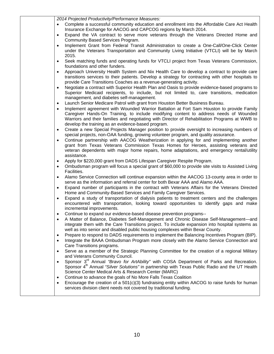| 2014 Projected Productivity/Performance Measures:                                                               |
|-----------------------------------------------------------------------------------------------------------------|
| Complete a successful community education and enrollment into the Affordable Care Act Health<br>$\bullet$       |
| Insurance Exchange for AACOG and CAPCOG regions by March 2014.                                                  |
| Expand the VA contract to serve more veterans through the Veterans Directed Home and<br>$\bullet$               |
| Community Based Services Program.                                                                               |
| Implement Grant from Federal Transit Administration to create a One-Call/One-Click Center<br>$\bullet$          |
| under the Veterans Transportation and Community Living Initiative (VTCLI) will be by March                      |
| 2015.                                                                                                           |
|                                                                                                                 |
| Seek matching funds and operating funds for VTCLI project from Texas Veterans Commission,<br>$\bullet$          |
| foundations and other funders.                                                                                  |
| Approach University Health System and Nix Health Care to develop a contract to provide care<br>$\bullet$        |
| transitions services to their patients. Develop a strategy for contracting with other hospitals to              |
| provide Care Transitions Coaches as a revenue-generating activity.                                              |
| Negotiate a contract with Superior Health Plan and Oasis to provide evidence-based programs to<br>$\bullet$     |
| Superior Medicaid recipients, to include, but not limited to, care transitions, medication                      |
| management, and diabetes self-management.                                                                       |
| Launch Senior Medicare Patrol with grant from Houston Better Business Bureau.<br>$\bullet$                      |
| Implement agreement with Wounded Warrior Battalion at Fort Sam Houston to provide Family<br>$\bullet$           |
| Caregiver Hands-On Training, to include modifying content to address needs of Wounded                           |
| Warriors and their families and negotiating with Director of Rehabilitation Programs at WWB to                  |
| develop the training as an evidence-based program.                                                              |
| Create a new Special Projects Manager position to provide oversight to increasing numbers of<br>$\bullet$       |
| special projects, non-OAA funding, growing volunteer program, and quality assurance.                            |
| Continue partnership with AACOG Weatherization in applying for and implementing another<br>$\bullet$            |
| grant from Texas Veterans Commission Texas Homes for Heroes, assisting veterans and                             |
| veteran dependents with major home repairs, home adaptations, and emergency rental/utility                      |
|                                                                                                                 |
|                                                                                                                 |
| assistance.<br>$\bullet$                                                                                        |
| Apply for \$220,000 grant from DADS Lifespan Caregiver Respite Program.                                         |
| Ombudsman program will focus a special grant of \$60,000 to provide site visits to Assisted Living<br>$\bullet$ |
| Facilities.                                                                                                     |
| Alamo Service Connection will continue expansion within the AACOG 13-county area in order to<br>$\bullet$       |
| serve as the information and referral center for both Bexar AAA and Alamo AAA.                                  |
| Expand number of participants in the contract with Veterans Affairs for the Veterans Directed<br>$\bullet$      |
| Home and Community-Based Services and Family Caregiver Services.                                                |
| Expand a study of transportation of dialysis patients to treatment centers and the challenges<br>$\bullet$      |
| encountered with transportation, looking toward opportunities to identify gaps and make                         |
| incremental improvements.                                                                                       |
| Continue to expand our evidence-based disease prevention programs--                                             |
| A Matter of Balance, Diabetes Self-Management and Chronic Disease Self-Management-and                           |
| integrate them with the Care Transitions project. To include expansion into hospital systems as                 |
| well as into senior and disabled public housing complexes within Bexar County.                                  |
| Prepare to respond to DADS requirements to implement the Balancing Incentives Program (BIP).<br>٠               |
| Integrate the BAAA Ombudsman Program more closely with the Alamo Service Connection and                         |
| Care Transitions programs.                                                                                      |
| Serve as a member of the Strategic Planning Committee for the creation of a regional Military                   |
| and Veterans Community Council.                                                                                 |
| Sponsor 3 <sup>rd</sup> Annual "Bravo for ArtAbility" with COSA Department of Parks and Recreation.             |
| Sponsor 4 <sup>th</sup> Annual "Silver Solutions" in partnership with Texas Public Radio and the UT Health      |
| Science Center Medical Arts & Research Center (MARC)                                                            |
| Continue to advance the goals of No More Falls Texas Coalition<br>$\bullet$                                     |
| Encourage the creation of a $501(c)(3)$ fundraising entity within AACOG to raise funds for human<br>٠           |
| services division client needs not covered by traditional funding.                                              |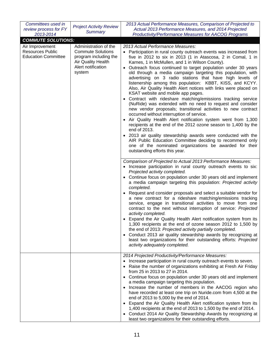| Committees used in<br>review process for FY           | <b>Project Activity Review</b>                                                                                 | 2013 Actual Performance Measures, Comparison of Projected to<br>Actual 2013 Performance Measures, and 2014 Projected                                                                                                                                                                                                                                                                           |
|-------------------------------------------------------|----------------------------------------------------------------------------------------------------------------|------------------------------------------------------------------------------------------------------------------------------------------------------------------------------------------------------------------------------------------------------------------------------------------------------------------------------------------------------------------------------------------------|
| 2013-2014                                             | <b>Summary</b>                                                                                                 | <b>Productivity/Performance Measures for AACOG Programs</b>                                                                                                                                                                                                                                                                                                                                    |
| <b>COMMUTE SOLUTIONS:</b>                             |                                                                                                                |                                                                                                                                                                                                                                                                                                                                                                                                |
| Air Improvement                                       | Administration of the                                                                                          | 2013 Actual Performance Measures:                                                                                                                                                                                                                                                                                                                                                              |
| <b>Resources Public</b><br><b>Education Committee</b> | <b>Commute Solutions</b><br>program including the<br><b>Air Quality Health</b><br>Alert notification<br>system | • Participation in rural county outreach events was increased from<br>five in 2012 to six in 2013 (1 in Atascosa, 2 in Comal, 1 in<br>Karnes, 1 in McMullen, and 1 in Wilson County).<br>Outreach focus continued to target population under 30 years<br>$\bullet$<br>old through a media campaign targeting this population, with<br>advertising on 3 radio stations that have high levels of |
|                                                       |                                                                                                                | listenership among this population: KBBT, KISS, and KCYY.<br>Also, Air Quality Health Alert notices with links were placed on<br>KSAT website and mobile app pages.<br>Contract with rideshare matching/emissions tracking service<br>(NuRide) was extended with no need to request and consider<br>new vendor proposals; transitional activities to new contract                              |
|                                                       |                                                                                                                | occurred without interruption of service.<br>Air Quality Health Alert notification system went from 1,300<br>recipients at the end of the 2012 ozone season to 1,400 by the<br>end of 2013.                                                                                                                                                                                                    |
|                                                       |                                                                                                                | 2013 air quality stewardship awards were conducted with the<br>AIR Public Education Committee deciding to recommend only<br>one of the nominated organizations be awarded for their<br>outstanding efforts this year.                                                                                                                                                                          |
|                                                       |                                                                                                                | Comparison of Projected to Actual 2013 Performance Measures:<br>• Increase participation in rural county outreach events to six:<br>Projected activity completed.                                                                                                                                                                                                                              |
|                                                       |                                                                                                                | • Continue focus on population under 30 years old and implement<br>a media campaign targeting this population: Projected activity<br>completed.                                                                                                                                                                                                                                                |
|                                                       |                                                                                                                | Request and consider proposals and select a suitable vendor for<br>a new contract for a rideshare matching/emissions tracking<br>service, engage in transitional activities to move from one<br>contract to the next without interruption of service: Projected<br>activity completed.                                                                                                         |
|                                                       |                                                                                                                | Expand the Air Quality Health Alert notification system from its<br>٠<br>1,300 recipients at the end of ozone season 2012 to 1,500 by<br>the end of 2013: Projected activity partially completed.                                                                                                                                                                                              |
|                                                       |                                                                                                                | Conduct 2013 air quality stewardship awards by recognizing at<br>least two organizations for their outstanding efforts: Projected<br>activity adequately completed.                                                                                                                                                                                                                            |
|                                                       |                                                                                                                | 2014 Projected Productivity/Performance Measures:<br>Increase participation in rural county outreach events to seven.                                                                                                                                                                                                                                                                          |
|                                                       |                                                                                                                | • Raise the number of organizations exhibiting at Fresh Air Friday<br>from 25 in 2013 to 27 in 2014.                                                                                                                                                                                                                                                                                           |
|                                                       |                                                                                                                | • Continue focus on population under 30 years old and implement<br>a media campaign targeting this population.                                                                                                                                                                                                                                                                                 |
|                                                       |                                                                                                                | Increase the number of members in the AACOG region who<br>$\bullet$<br>have recorded at least one trip on Nuride.com from 4,500 at the<br>end of 2013 to 5,000 by the end of 2014.                                                                                                                                                                                                             |
|                                                       |                                                                                                                | • Expand the Air Quality Health Alert notification system from its<br>1,400 recipients at the end of 2013 to 1,500 by the end of 2014.                                                                                                                                                                                                                                                         |
|                                                       |                                                                                                                | • Conduct 2014 Air Quality Stewardship Awards by recognizing at<br>least two organizations for their outstanding efforts.                                                                                                                                                                                                                                                                      |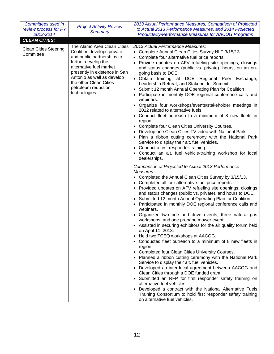| Committees used in<br>review process for FY<br>2013-2014 | <b>Project Activity Review</b><br><b>Summary</b>                                                                                                                                                                                                                           | 2013 Actual Performance Measures, Comparison of Projected<br>to Actual 2013 Performance Measures, and 2014 Projected<br><b>Productivity/Performance Measures for AACOG Programs</b>                                                                                                                                                                                                                                                                                                                                                                                                                                                                                                                                                                                                                                                                                                                                                                                                                                                                                                                                                                                                                                                                                                               |
|----------------------------------------------------------|----------------------------------------------------------------------------------------------------------------------------------------------------------------------------------------------------------------------------------------------------------------------------|---------------------------------------------------------------------------------------------------------------------------------------------------------------------------------------------------------------------------------------------------------------------------------------------------------------------------------------------------------------------------------------------------------------------------------------------------------------------------------------------------------------------------------------------------------------------------------------------------------------------------------------------------------------------------------------------------------------------------------------------------------------------------------------------------------------------------------------------------------------------------------------------------------------------------------------------------------------------------------------------------------------------------------------------------------------------------------------------------------------------------------------------------------------------------------------------------------------------------------------------------------------------------------------------------|
| <b>CLEAN CITIES:</b>                                     |                                                                                                                                                                                                                                                                            |                                                                                                                                                                                                                                                                                                                                                                                                                                                                                                                                                                                                                                                                                                                                                                                                                                                                                                                                                                                                                                                                                                                                                                                                                                                                                                   |
| <b>Clean Cities Steering</b><br>Committee                | The Alamo Area Clean Cities<br>Coalition develops private<br>and public partnerships to<br>further develop the<br>alternative fuel market<br>presently in existence in San<br>Antonio as well as develop<br>the other Clean Cities<br>petroleum reduction<br>technologies. | 2013 Actual Performance Measures:<br>• Complete Annual Clean Cities Survey NLT 3/15/13.<br>Complete four alternative fuel price reports.<br>Provide updates on AFV refueling site openings, closings<br>and status changes (public vs. private), hours, on an on-<br>going basis to DOE.<br>· Obtain training at DOE Regional Peer Exchange,<br>Leadership Retreat, and Stakeholder Summit.<br>Submit 12 month Annual Operating Plan for Coalition<br>Participate in monthly DOE regional conference calls and<br>webinars.<br>• Organize four workshops/events/stakeholder meetings in<br>2012 related to alternative fuels.<br>• Conduct fleet outreach to a minimum of 8 new fleets in<br>region.<br>• Complete four Clean Cities University Courses.<br>• Develop one Clean Cities TV video with National Park.<br>• Plan a ribbon cutting ceremony with the National Park<br>Service to display their alt. fuel vehicles.<br>• Conduct a first responder training.<br>• Conduct an alt. fuel vehicle-training workshop for local<br>dealerships.                                                                                                                                                                                                                                             |
|                                                          |                                                                                                                                                                                                                                                                            | Comparison of Projected to Actual 2013 Performance<br>Measures:<br>Completed the Annual Clean Cities Survey by 3/15/13.<br>• Completed all four alternative fuel price reports.<br>• Provided updates on AFV refueling site openings, closings<br>and status changes (public vs. private), and hours to DOE.<br>• Submitted 12 month Annual Operating Plan for Coalition<br>Participated in monthly DOE regional conference calls and<br>webinars.<br>Organized two ride and drive events, three natural gas<br>workshops, and one propane mower event.<br>• Assisted in securing exhibitors for the air quality forum held<br>on April 11, 2013.<br>• Held two TCEQ workshops at AACOG.<br>• Conducted fleet outreach to a minimum of 8 new fleets in<br>region.<br>• Completed four Clean Cities University Courses.<br>• Planned a ribbon cutting ceremony with the National Park<br>Service to display their alt. fuel vehicles.<br>• Developed an inter-local agreement between AACOG and<br>Clean Cities through a DOE funded grant.<br>• Submitted an RFP for first responder safety training on<br>alternative fuel vehicles.<br>Developed a contract with the National Alternative Fuels<br>Training Consortium to hold first responder safety training<br>on alternative fuel vehicles. |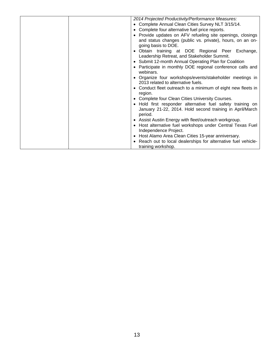| 2014 Projected Productivity/Performance Measures:                         |
|---------------------------------------------------------------------------|
| Complete Annual Clean Cities Survey NLT 3/15/14.                          |
| Complete four alternative fuel price reports.                             |
|                                                                           |
| Provide updates on AFV refueling site openings, closings                  |
| and status changes (public vs. private), hours, on an on-                 |
| going basis to DOE.                                                       |
| Obtain training at DOE Regional Peer Exchange,                            |
| Leadership Retreat, and Stakeholder Summit.                               |
| Submit 12-month Annual Operating Plan for Coalition<br>$\bullet$          |
| Participate in monthly DOE regional conference calls and                  |
| webinars.                                                                 |
| Organize four workshops/events/stakeholder meetings in                    |
| 2013 related to alternative fuels.                                        |
| Conduct fleet outreach to a minimum of eight new fleets in                |
| region.                                                                   |
| Complete four Clean Cities University Courses.                            |
| Hold first responder alternative fuel safety training on<br>$\bullet$     |
| January 21-22, 2014. Hold second training in April/March                  |
|                                                                           |
| period.                                                                   |
| Assist Austin Energy with fleet/outreach workgroup.<br>$\bullet$          |
| Host alternative fuel workshops under Central Texas Fuel<br>$\bullet$     |
| Independence Project.                                                     |
| Host Alamo Area Clean Cities 15-year anniversary.                         |
| Reach out to local dealerships for alternative fuel vehicle-<br>$\bullet$ |
| training workshop.                                                        |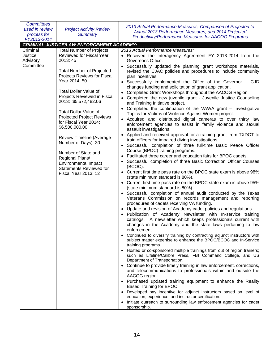| <b>Committees</b><br>used in review<br>process for<br>FY2013-2014 | <b>Project Activity Review</b><br><b>Summary</b>                                                                                                                                                                                                                                                                                                                                                                                                                                                                                                                     | 2013 Actual Performance Measures, Comparison of Projected to<br>Actual 2013 Performance Measures, and 2014 Projected<br><b>Productivity/Performance Measures for AACOG Programs</b>                                                                                                                                                                                                                                                                                                                                                                                                                                                                                                                                                                                                                                                                                                                                                                                                                                                                                                                                                                                                                                                                                                                                                                                                                                                                                                                                                                                                                                                                                                                                                                                                                                                                                                                                                                                                                                                                                                                                                                                                                                                                                                                                                                                                                                                                                                                                                                                                                                                                                                                                                                                                      |
|-------------------------------------------------------------------|----------------------------------------------------------------------------------------------------------------------------------------------------------------------------------------------------------------------------------------------------------------------------------------------------------------------------------------------------------------------------------------------------------------------------------------------------------------------------------------------------------------------------------------------------------------------|------------------------------------------------------------------------------------------------------------------------------------------------------------------------------------------------------------------------------------------------------------------------------------------------------------------------------------------------------------------------------------------------------------------------------------------------------------------------------------------------------------------------------------------------------------------------------------------------------------------------------------------------------------------------------------------------------------------------------------------------------------------------------------------------------------------------------------------------------------------------------------------------------------------------------------------------------------------------------------------------------------------------------------------------------------------------------------------------------------------------------------------------------------------------------------------------------------------------------------------------------------------------------------------------------------------------------------------------------------------------------------------------------------------------------------------------------------------------------------------------------------------------------------------------------------------------------------------------------------------------------------------------------------------------------------------------------------------------------------------------------------------------------------------------------------------------------------------------------------------------------------------------------------------------------------------------------------------------------------------------------------------------------------------------------------------------------------------------------------------------------------------------------------------------------------------------------------------------------------------------------------------------------------------------------------------------------------------------------------------------------------------------------------------------------------------------------------------------------------------------------------------------------------------------------------------------------------------------------------------------------------------------------------------------------------------------------------------------------------------------------------------------------------------|
|                                                                   | <b>CRIMINAL JUSTICE/LAW ENFORCEMENT ACADEMY:</b>                                                                                                                                                                                                                                                                                                                                                                                                                                                                                                                     |                                                                                                                                                                                                                                                                                                                                                                                                                                                                                                                                                                                                                                                                                                                                                                                                                                                                                                                                                                                                                                                                                                                                                                                                                                                                                                                                                                                                                                                                                                                                                                                                                                                                                                                                                                                                                                                                                                                                                                                                                                                                                                                                                                                                                                                                                                                                                                                                                                                                                                                                                                                                                                                                                                                                                                                          |
| Criminal<br>Justice<br>Advisory<br>Committee                      | <b>Total Number of Projects</b><br>Reviewed for Fiscal Year<br>2013:45<br><b>Total Number of Projected</b><br>Projects Reviews for Fiscal<br>Year 2014: 50<br><b>Total Dollar Value of</b><br>Projects Reviewed in Fiscal<br>2013: \$5,572,482.06<br><b>Total Dollar Value of</b><br><b>Projected Project Reviews</b><br>for Fiscal Year 2014:<br>\$6,500,000.00<br><b>Review Timeline (Average</b><br>Number of Days): 30<br>Number of State and<br>Regional Plans/<br><b>Environmental Impact</b><br><b>Statements Reviewed for</b><br><b>Fiscal Year 2013: 12</b> | 2013 Actual Performance Measures:<br>• Received the Interagency Agreement FY 2013-2014 from the<br>Governor's Office.<br>Successfully updated the planning grant workshops materials,<br>revised the CJAC policies and procedures to include community<br>plan incentives.<br>• Successfully implemented the Office of the Governor - CJD<br>changes funding and solicitation of grant application.<br>Completed Grant Workshops throughout the AACOG Region.<br>Completed the new juvenile grant - Juvenile Justice Counseling<br>and Training Initiative project.<br>Completed the continuation of the VAWA grant - Investigative<br>Topics for Victims of Violence Against Women project.<br>• Acquired and distributed digital cameras to over thirty law<br>enforcement agencies to assist in family violence and sexual<br>assault investigations.<br>Applied and received approval for a training grant from TXDOT to<br>$\bullet$<br>train officers for impaired diving investigations.<br>Successful completion of three full-time Basic Peace Officer<br>$\bullet$<br>Course (BPOC) training programs.<br>Facilitated three career and education fairs for BPOC cadets.<br>Successful completion of three Basic Correction Officer Courses<br>$\bullet$<br>(BCOC).<br>• Current first time pass rate on the BPOC state exam is above 98%<br>(state minimum standard is 80%).<br>• Current first time pass rate on the BPOC state exam is above 95%<br>(state minimum standard is 80%).<br>Successful completion of annual audit conducted by the Texas<br>Veterans Commission on records management and reporting<br>procedures of cadets receiving VA funding.<br>Update and revision of Academy cadet policies and regulations.<br>Publication of Academy Newsletter with In-service training<br>catalogs. A newsletter which keeps professionals current with<br>changes in the Academy and the state laws pertaining to law<br>enforcement.<br>Continued to diversify training by contracting adjunct instructors with<br>subject matter expertise to enhance the BPOC/BCOC and In-Service<br>training programs.<br>• Hosted or co-sponsored multiple trainings from out of region trainers;<br>such as Lifeline/Calibre Press, FBI Command College, and US<br>Department of Transportation.<br>• Continue to provide timely training in law enforcement, corrections,<br>and telecommunications to professionals within and outside the<br>AACOG region.<br>• Purchased updated training equipment to enhance the Reality<br>Based Training for BPOC.<br>Developed pay incentive for adjunct instructors based on level of<br>education, experience, and instructor certification.<br>Initiate outreach to surrounding law enforcement agencies for cadet<br>sponsorship. |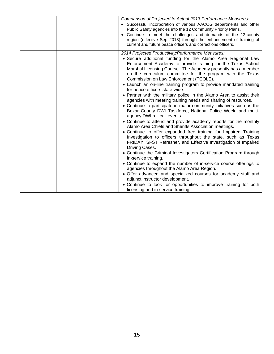|  | Comparison of Projected to Actual 2013 Performance Measures:<br>• Successful incorporation of various AACOG departments and other<br>Public Safety agencies into the 12 Community Priority Plans.<br>Continue to meet the challenges and demands of the 13-county<br>region (effective Sep 2013) through the enhancement of training of<br>current and future peace officers and corrections officers.                                                                                                                                                                                                                                                                                                                                                                                                                                                                                                                                                                                                                                                                                                                                                                                                                                                                                                                                                                                                                                                                                                                                                                    |
|--|---------------------------------------------------------------------------------------------------------------------------------------------------------------------------------------------------------------------------------------------------------------------------------------------------------------------------------------------------------------------------------------------------------------------------------------------------------------------------------------------------------------------------------------------------------------------------------------------------------------------------------------------------------------------------------------------------------------------------------------------------------------------------------------------------------------------------------------------------------------------------------------------------------------------------------------------------------------------------------------------------------------------------------------------------------------------------------------------------------------------------------------------------------------------------------------------------------------------------------------------------------------------------------------------------------------------------------------------------------------------------------------------------------------------------------------------------------------------------------------------------------------------------------------------------------------------------|
|  | 2014 Projected Productivity/Performance Measures:<br>• Secure additional funding for the Alamo Area Regional Law<br>Enforcement Academy to provide training for the Texas School<br>Marshal Licensing Course. The Academy presently has a member<br>on the curriculum committee for the program with the Texas<br>Commission on Law Enforcement (TCOLE).<br>• Launch an on-line training program to provide mandated training<br>for peace officers state-wide.<br>• Partner with the military police in the Alamo Area to assist their<br>agencies with meeting training needs and sharing of resources.<br>• Continue to participate in major community initiatives such as the<br>Bexar County DWI Taskforce, National Police Week, and multi-<br>agency DWI roll call events.<br>• Continue to attend and provide academy reports for the monthly<br>Alamo Area Chiefs and Sheriffs Association meetings.<br>• Continue to offer expanded free training for Impaired Training<br>Investigation to officers throughout the state, such as Texas<br>FRIDAY, SFST Refresher, and Effective Investigation of Impaired<br>Driving Cases.<br>• Continue the Criminal Investigators Certification Program through<br>in-service training.<br>• Continue to expand the number of in-service course offerings to<br>agencies throughout the Alamo Area Region.<br>• Offer advanced and specialized courses for academy staff and<br>adjunct instructor development.<br>• Continue to look for opportunities to improve training for both<br>licensing and in-service training. |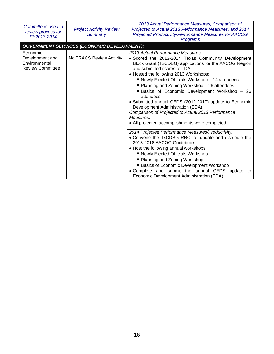| Committees used in<br>review process for<br>FY2013-2014                 | <b>Project Activity Review</b><br><b>Summary</b>   | 2013 Actual Performance Measures, Comparison of<br>Projected to Actual 2013 Performance Measures, and 2014<br>Projected Productivity/Performance Measures for AACOG<br>Programs                                                                                                                                                                                                                                                                                                                                                                                                                                   |
|-------------------------------------------------------------------------|----------------------------------------------------|-------------------------------------------------------------------------------------------------------------------------------------------------------------------------------------------------------------------------------------------------------------------------------------------------------------------------------------------------------------------------------------------------------------------------------------------------------------------------------------------------------------------------------------------------------------------------------------------------------------------|
|                                                                         | <b>GOVERNMENT SERVICES (ECONOMIC DEVELOPMENT):</b> |                                                                                                                                                                                                                                                                                                                                                                                                                                                                                                                                                                                                                   |
| Economic<br>Development and<br>Environmental<br><b>Review Committee</b> | No TRACS Review Activity                           | 2013 Actual Performance Measures:<br>• Scored the 2013-2014 Texas Community Development<br>Block Grant (TxCDBG) applications for the AACOG Region<br>and submitted scores to TDA<br>• Hosted the following 2013 Workshops:<br>■ Newly Elected Officials Workshop - 14 attendees<br>■ Planning and Zoning Workshop - 26 attendees<br>Basics of Economic Development Workshop - 26<br>attendees<br>• Submitted annual CEDS (2012-2017) update to Economic<br>Development Administration (EDA).<br>Comparison of Projected to Actual 2013 Performance<br>Measures:<br>• All projected accomplishments were completed |
|                                                                         |                                                    | 2014 Projected Performance Measures/Productivity:<br>• Convene the TxCDBG RRC to update and distribute the<br>2015-2016 AACOG Guidebook<br>• Host the following annual workshops:<br>■ Newly Elected Officials Workshop<br>■ Planning and Zoning Workshop<br>■ Basics of Economic Development Workshop<br>• Complete and submit the annual CEDS update to<br>Economic Development Administration (EDA).                                                                                                                                                                                                           |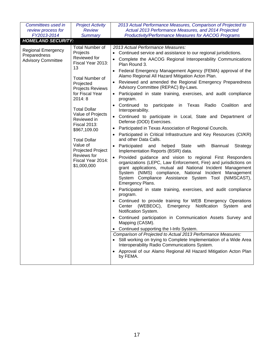| Committees used in<br>review process for<br>FY2013-2014                | <b>Project Activity</b><br><b>Review</b><br><b>Summary</b>                                                                                                                                                                                                                                                                                                                          | 2013 Actual Performance Measures, Comparison of Projected to<br>Actual 2013 Performance Measures, and 2014 Projected<br><b>Productivity/Performance Measures for AACOG Programs</b>                                                                                                                                                                                                                                                                                                                                                                                                                                                                                                                                                                                                                                                                                                                                                                                                                                                                                                                                                                                                                                                                                                                                                                                                                                                                                                                                                                                                                                                                                                                                                                                                                                                                                                                                                                                                 |
|------------------------------------------------------------------------|-------------------------------------------------------------------------------------------------------------------------------------------------------------------------------------------------------------------------------------------------------------------------------------------------------------------------------------------------------------------------------------|-------------------------------------------------------------------------------------------------------------------------------------------------------------------------------------------------------------------------------------------------------------------------------------------------------------------------------------------------------------------------------------------------------------------------------------------------------------------------------------------------------------------------------------------------------------------------------------------------------------------------------------------------------------------------------------------------------------------------------------------------------------------------------------------------------------------------------------------------------------------------------------------------------------------------------------------------------------------------------------------------------------------------------------------------------------------------------------------------------------------------------------------------------------------------------------------------------------------------------------------------------------------------------------------------------------------------------------------------------------------------------------------------------------------------------------------------------------------------------------------------------------------------------------------------------------------------------------------------------------------------------------------------------------------------------------------------------------------------------------------------------------------------------------------------------------------------------------------------------------------------------------------------------------------------------------------------------------------------------------|
| <b>HOMELAND SECURITY:</b>                                              |                                                                                                                                                                                                                                                                                                                                                                                     |                                                                                                                                                                                                                                                                                                                                                                                                                                                                                                                                                                                                                                                                                                                                                                                                                                                                                                                                                                                                                                                                                                                                                                                                                                                                                                                                                                                                                                                                                                                                                                                                                                                                                                                                                                                                                                                                                                                                                                                     |
| <b>Regional Emergency</b><br>Preparedness<br><b>Advisory Committee</b> | <b>Total Number of</b><br>Projects<br>Reviewed for<br>Fiscal Year 2013:<br>13<br><b>Total Number of</b><br>Projected<br>Projects Reviews<br>for Fiscal Year<br>2014: 8<br><b>Total Dollar</b><br>Value of Projects<br>Reviewed in<br><b>Fiscal 2013:</b><br>\$967,109.00<br><b>Total Dollar</b><br>Value of<br>Projected Project<br>Reviews for<br>Fiscal Year 2014:<br>\$1,000,000 | 2013 Actual Performance Measures:<br>• Continued service and assistance to our regional jurisdictions.<br>Complete the AACOG Regional Interoperability Communications<br>Plan Round 3.<br>• Federal Emergency Management Agency (FEMA) approval of the<br>Alamo Regional All Hazard Mitigation Acton Plan.<br>• Reviewed and amended the Regional Emergency Preparedness<br>Advisory Committee (REPAC) By-Laws.<br>• Participated in state training, exercises, and audit compliance<br>program.<br>Continued to participate<br>in Texas<br>Radio<br>Coalition<br>and<br>Interoperability.<br>Continued to participate in Local, State and Department of<br>$\bullet$<br>Defense (DOD) Exercises.<br>Participated in Texas Association of Regional Councils.<br>$\bullet$<br>Participated in Critical Infrastructure and Key Resources (CI/KR)<br>and other Data Calls.<br>helped<br><b>State</b><br>with<br>Biannual<br>• Participated<br>and<br>Strategy<br>Implementation Reports (BSIR) data.<br>Provided guidance and vision to regional First Responders<br>organizations (LEPC, Law Enforcement, Fire) and jurisdictions on<br>grant applications, mutual aid National Incident Management<br>System (NIMS) compliance, National Incident Management<br>System Compliance Assistance System Tool (NIMSCAST),<br>Emergency Plans.<br>• Participated in state training, exercises, and audit compliance<br>program.<br>• Continued to provide training for WEB Emergency Operations<br>Emergency Notification System<br>Center (WEBEOC),<br>and<br>Notification System.<br>Continued participation in Communication Assets Survey and<br>Mapping (CASM).<br>• Continued supporting the I-Info System.<br>Comparison of Projected to Actual 2013 Performance Measures:<br>• Still working on trying to Complete Implementation of a Wide Area<br>Interoperability Radio Communications System.<br>• Approval of our Alamo Regional All Hazard Mitigation Acton Plan<br>by FEMA. |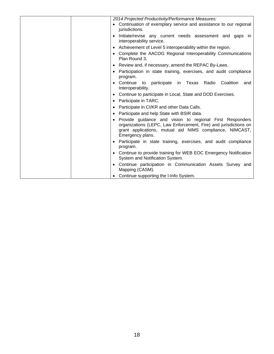| 2014 Projected Productivity/Performance Measures:                                                                                                                                                            |
|--------------------------------------------------------------------------------------------------------------------------------------------------------------------------------------------------------------|
| • Continuation of exemplary service and assistance to our regional                                                                                                                                           |
| jurisdictions.                                                                                                                                                                                               |
| Initiate/revise any current needs assessment and gaps in<br>$\bullet$<br>interoperability service.                                                                                                           |
| • Achievement of Level 5 interoperability within the region.                                                                                                                                                 |
| • Complete the AACOG Regional Interoperability Communications<br>Plan Round 3.                                                                                                                               |
| • Review and, if necessary, amend the REPAC By-Laws.                                                                                                                                                         |
| Participation in state training, exercises, and audit compliance<br>program.                                                                                                                                 |
| • Continue to participate in Texas Radio<br>Coalition<br>and<br>Interoperability.                                                                                                                            |
| • Continue to participate in Local, State and DOD Exercises.                                                                                                                                                 |
| • Participate in TARC.                                                                                                                                                                                       |
| Participate in CI/KR and other Data Calls.                                                                                                                                                                   |
| • Participate and help State with BSIR data.                                                                                                                                                                 |
| Provide guidance and vision to regional First Responders<br>organizations (LEPC, Law Enforcement, Fire) and jurisdictions on<br>grant applications, mutual aid NIMS compliance, NIMCAST,<br>Emergency plans. |
| • Participate in state training, exercises, and audit compliance<br>program.                                                                                                                                 |
| • Continue to provide training for WEB EOC Emergency Notification<br>System and Notification System.                                                                                                         |
| • Continue participation in Communication Assets Survey and<br>Mapping (CASM).                                                                                                                               |
| Continue supporting the I-Info System.                                                                                                                                                                       |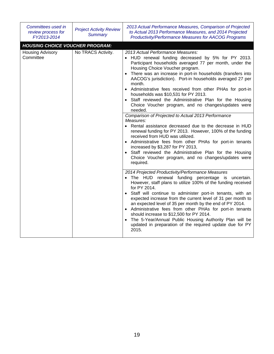| Committees used in<br>review process for<br>FY2013-2014                        | <b>Project Activity Review</b><br><b>Summary</b> | 2013 Actual Performance Measures, Comparison of Projected<br>to Actual 2013 Performance Measures, and 2014 Projected<br><b>Productivity/Performance Measures for AACOG Programs</b>                                                                                                                                                                                                                                                                                                                                                                                                                                                                                                                                                                                                                                                                                                                                                                                                                                                |
|--------------------------------------------------------------------------------|--------------------------------------------------|------------------------------------------------------------------------------------------------------------------------------------------------------------------------------------------------------------------------------------------------------------------------------------------------------------------------------------------------------------------------------------------------------------------------------------------------------------------------------------------------------------------------------------------------------------------------------------------------------------------------------------------------------------------------------------------------------------------------------------------------------------------------------------------------------------------------------------------------------------------------------------------------------------------------------------------------------------------------------------------------------------------------------------|
| <b>HOUSING CHOICE VOUCHER PROGRAM:</b><br><b>Housing Advisory</b><br>Committee | No TRACS Activity.                               | 2013 Actual Performance Measures:<br>• HUD renewal funding decreased by 5% for PY 2013.<br>Participant households averaged 77 per month, under the<br>Housing Choice Voucher program.<br>• There was an increase in port-in households (transfers into<br>AACOG's jurisdiction). Port-in households averaged 27 per<br>month.<br>• Administrative fees received from other PHAs for port-in<br>households was \$10,531 for PY 2013.<br>• Staff reviewed the Administrative Plan for the Housing<br>Choice Voucher program, and no changes/updates were<br>needed.<br>Comparison of Projected to Actual 2013 Performance<br>Measures:<br>• Rental assistance decreased due to the decrease in HUD<br>renewal funding for PY 2013. However, 100% of the funding<br>received from HUD was utilized.<br>• Administrative fees from other PHAs for port-in tenants<br>increased by \$3,287 for PY 2013,<br>• Staff reviewed the Administrative Plan for the Housing<br>Choice Voucher program, and no changes/updates were<br>required. |
|                                                                                |                                                  | 2014 Projected Productivity/Performance Measures<br>• The HUD renewal funding percentage is uncertain.<br>However, staff plans to utilize 100% of the funding received<br>for PY 2014.<br>• Staff will continue to administer port-in tenants, with an<br>expected increase from the current level of 31 per month to<br>an expected level of 35 per month by the end of PY 2014.<br>• Administrative fees from other PHAs for port-in tenants<br>should increase to \$12,500 for PY 2014.<br>• The 5-Year/Annual Public Housing Authority Plan will be<br>updated in preparation of the required update due for PY<br>2015.                                                                                                                                                                                                                                                                                                                                                                                                       |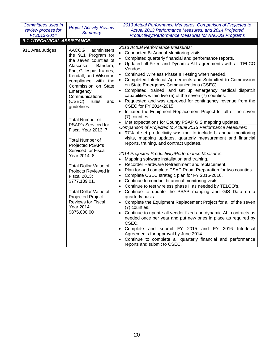| Committees used in<br>review process for<br>FY2013-2014<br>9-1-1/TECHNICAL ASSISTANCE: | <b>Project Activity Review</b><br><b>Summary</b>                                                                                                                                                                                                                                                                                                                                                                                                                                                                                                                                                                                                              | 2013 Actual Performance Measures, Comparison of Projected to<br>Actual 2013 Performance Measures, and 2014 Projected<br><b>Productivity/Performance Measures for AACOG Programs</b>                                                                                                                                                                                                                                                                                                                                                                                                                                                                                                                                                                                                                                                                                                                                                                                                                                                                                                                                                                                                                                                                                                                                                                                                                                                                                                                                                                                                                                                                                                                                                                                                                                                                                                                                                        |
|----------------------------------------------------------------------------------------|---------------------------------------------------------------------------------------------------------------------------------------------------------------------------------------------------------------------------------------------------------------------------------------------------------------------------------------------------------------------------------------------------------------------------------------------------------------------------------------------------------------------------------------------------------------------------------------------------------------------------------------------------------------|--------------------------------------------------------------------------------------------------------------------------------------------------------------------------------------------------------------------------------------------------------------------------------------------------------------------------------------------------------------------------------------------------------------------------------------------------------------------------------------------------------------------------------------------------------------------------------------------------------------------------------------------------------------------------------------------------------------------------------------------------------------------------------------------------------------------------------------------------------------------------------------------------------------------------------------------------------------------------------------------------------------------------------------------------------------------------------------------------------------------------------------------------------------------------------------------------------------------------------------------------------------------------------------------------------------------------------------------------------------------------------------------------------------------------------------------------------------------------------------------------------------------------------------------------------------------------------------------------------------------------------------------------------------------------------------------------------------------------------------------------------------------------------------------------------------------------------------------------------------------------------------------------------------------------------------------|
|                                                                                        |                                                                                                                                                                                                                                                                                                                                                                                                                                                                                                                                                                                                                                                               |                                                                                                                                                                                                                                                                                                                                                                                                                                                                                                                                                                                                                                                                                                                                                                                                                                                                                                                                                                                                                                                                                                                                                                                                                                                                                                                                                                                                                                                                                                                                                                                                                                                                                                                                                                                                                                                                                                                                            |
| 911 Area Judges                                                                        | <b>AACOG</b><br>administers<br>the 911 Program for<br>the seven counties of<br>Bandera,<br>Atascosa,<br>Frio, Gillespie, Karnes,<br>Kendall, and Wilson in<br>compliance with the<br>Commission on State<br>Emergency<br>Communications<br>(CSEC)<br>rules<br>and<br>guidelines.<br><b>Total Number of</b><br>PSAP's Serviced for<br>Fiscal Year 2013: 7<br><b>Total Number of</b><br>Projected PSAP's<br>Serviced for Fiscal<br>Year 2014: 8<br><b>Total Dollar Value of</b><br>Projects Reviewed in<br><b>Fiscal 2013:</b><br>\$777,189.01.<br><b>Total Dollar Value of</b><br>Projected Project<br><b>Reviews for Fiscal</b><br>Year 2014:<br>\$875,000.00 | 2013 Actual Performance Measures:<br>Conducted Bi-Annual Monitoring visits.<br>$\bullet$<br>Completed quarterly financial and performance reports.<br>Updated all Fixed and Dynamic ALI agreements with all TELCO<br>Vendors.<br>Continued Wireless Phase II Testing when needed.<br>Completed Interlocal Agreements and Submitted to Commission<br>on State Emergency Communications (CSEC).<br>Completed, trained, and set up emergency medical dispatch<br>capabilities within five (5) of the seven (7) counties.<br>Requested and was approved for contingency revenue from the<br>$\bullet$<br>CSEC for FY 2014-2015.<br>Initiated the Equipment Replacement Project for all of the seven<br>(7) counties.<br>• Met expectations for County PSAP GIS mapping updates.<br>Comparison of Projected to Actual 2013 Performance Measures:<br>97% of set productivity was met to include bi-annual monitoring<br>visits, mapping updates, quarterly measurement and financial<br>reports, training, and contract updates.<br>2014 Projected Productivity/Performance Measures:<br>Mapping software installation and training.<br>$\bullet$<br>Recorder Hardware Refreshment and replacement.<br>Plan for and complete PSAP Room Preparation for two counties.<br>Complete CSEC strategic plan for FY 2015-2016.<br>$\bullet$<br>Continue to conduct bi-annual monitoring visits.<br>Continue to test wireless phase II as needed by TELCO's.<br>Continue to update the PSAP mapping and GIS Data on a<br>$\bullet$<br>quarterly basis.<br>• Complete the Equipment Replacement Project for all of the seven<br>(7) counties.<br>Continue to update all vendor fixed and dynamic ALI contracts as<br>needed once per year and put new ones in place as required by<br>CSEC.<br>Complete and submit FY 2015 and FY 2016 Interlocal<br>Agreements for approval by June 2014.<br>Continue to complete all quarterly financial and performance |
|                                                                                        |                                                                                                                                                                                                                                                                                                                                                                                                                                                                                                                                                                                                                                                               | reports and submit to CSEC.                                                                                                                                                                                                                                                                                                                                                                                                                                                                                                                                                                                                                                                                                                                                                                                                                                                                                                                                                                                                                                                                                                                                                                                                                                                                                                                                                                                                                                                                                                                                                                                                                                                                                                                                                                                                                                                                                                                |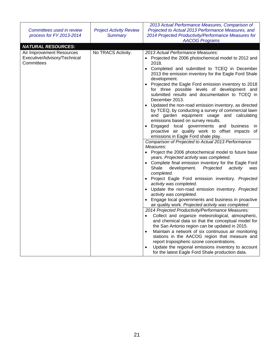| Committees used in review<br>process for FY 2013-2014                   | <b>Project Activity Review</b><br><b>Summary</b> | 2013 Actual Performance Measures, Comparison of<br>Projected to Actual 2013 Performance Measures, and<br>2014 Projected Productivity/Performance Measures for<br><b>AACOG Programs</b>                                                                                                                                                                                                                                                                                                                                                                                                                                                                                                                                                                                                                                                                                                                                                                                                                                                                                                                                                                                                                                                                                                                                                                                                                                                                                                                                                                                                                                                                                                                                                                                      |
|-------------------------------------------------------------------------|--------------------------------------------------|-----------------------------------------------------------------------------------------------------------------------------------------------------------------------------------------------------------------------------------------------------------------------------------------------------------------------------------------------------------------------------------------------------------------------------------------------------------------------------------------------------------------------------------------------------------------------------------------------------------------------------------------------------------------------------------------------------------------------------------------------------------------------------------------------------------------------------------------------------------------------------------------------------------------------------------------------------------------------------------------------------------------------------------------------------------------------------------------------------------------------------------------------------------------------------------------------------------------------------------------------------------------------------------------------------------------------------------------------------------------------------------------------------------------------------------------------------------------------------------------------------------------------------------------------------------------------------------------------------------------------------------------------------------------------------------------------------------------------------------------------------------------------------|
| <b>NATURAL RESOURCES:</b>                                               |                                                  |                                                                                                                                                                                                                                                                                                                                                                                                                                                                                                                                                                                                                                                                                                                                                                                                                                                                                                                                                                                                                                                                                                                                                                                                                                                                                                                                                                                                                                                                                                                                                                                                                                                                                                                                                                             |
| Air Improvement Resources<br>Executive/Advisory/Technical<br>Committees | No TRACS Activity.                               | 2013 Actual Performance Measures:<br>Projected the 2006 photochemical model to 2012 and<br>$\bullet$<br>2018.<br>Completed and submitted to TCEQ in December<br>2013 the emission inventory for the Eagle Ford Shale<br>development.<br>Projected the Eagle Ford emission inventory to 2018<br>for three possible levels of development and<br>submitted results and documentation to TCEQ in<br>December 2013.<br>Updated the non-road emission inventory, as directed<br>by TCEQ, by conducting a survey of commercial lawn<br>and garden equipment usage and calculating<br>emissions based on survey results.<br>Engaged local governments and business<br>ın<br>proactive air quality work to offset impacts of<br>emissions in Eagle Ford shale play.<br>Comparison of Projected to Actual 2013 Performance<br>Measures:<br>Project the 2006 photochemical model to future base<br>years. Projected activity was completed.<br>Complete final emission inventory for the Eagle Ford<br>Shale<br>Projected<br>development.<br>activity<br>was<br>completed.<br>• Project Eagle Ford emission inventory. Projected<br>activity was completed.<br>Update the non-road emission inventory. Projected<br>activity was completed.<br>Engage local governments and business in proactive<br>air quality work. Projected activity was completed.<br>2014 Projected Productivity/Performance Measures:<br>Collect and organize meteorological, atmospheric,<br>and chemical data so that the conceptual model for<br>the San Antonio region can be updated in 2015.<br>Maintain a network of six continuous air monitoring<br>stations in the AACOG region that measure and<br>report tropospheric ozone concentrations.<br>Update the regional emissions inventory to account |
|                                                                         |                                                  | for the latest Eagle Ford Shale production data.                                                                                                                                                                                                                                                                                                                                                                                                                                                                                                                                                                                                                                                                                                                                                                                                                                                                                                                                                                                                                                                                                                                                                                                                                                                                                                                                                                                                                                                                                                                                                                                                                                                                                                                            |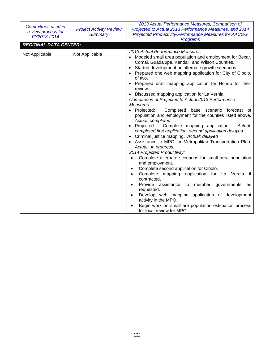| Committees used in<br>review process for<br>FY2013-2014 | <b>Project Activity Review</b><br><b>Summary</b> | 2013 Actual Performance Measures, Comparison of<br>Projected to Actual 2013 Performance Measures, and 2014<br>Projected Productivity/Performance Measures for AACOG<br>Programs                                                                                                                                                                                                                                                                                                                                                                                                                                                                                                                                                                                                                                                                                                                                                        |
|---------------------------------------------------------|--------------------------------------------------|----------------------------------------------------------------------------------------------------------------------------------------------------------------------------------------------------------------------------------------------------------------------------------------------------------------------------------------------------------------------------------------------------------------------------------------------------------------------------------------------------------------------------------------------------------------------------------------------------------------------------------------------------------------------------------------------------------------------------------------------------------------------------------------------------------------------------------------------------------------------------------------------------------------------------------------|
| <b>REGIONAL DATA CENTER:</b>                            |                                                  |                                                                                                                                                                                                                                                                                                                                                                                                                                                                                                                                                                                                                                                                                                                                                                                                                                                                                                                                        |
| Not Applicable                                          | Not Applicable                                   | 2013 Actual Performance Measures:<br>Modeled small area population and employment for Bexar,<br>Comal, Guadalupe, Kendall, and Wilson Counties.<br>Started development on alternate growth scenarios.<br>Prepared one web mapping application for City of Cibolo,<br>of two.<br>Prepared draft mapping application for Hondo for their<br>review.<br>• Discussed mapping application for La Vernia.                                                                                                                                                                                                                                                                                                                                                                                                                                                                                                                                    |
|                                                         |                                                  | Comparison of Projected to Actual 2013 Performance<br>Measures:<br>Completed base scenario forecast of<br>Projected:<br>$\bullet$<br>population and employment for the counties listed above.<br>Actual: completed.<br>Projected:<br>Complete mapping application.<br>Actual:<br>completed first application, second application delayed<br>Criminal justice mapping. Actual: delayed<br>Assistance to MPO for Metropolitan Transportation Plan:<br>Actual: in progress.<br>2014 Projected Productivity:<br>Complete alternate scenarios for small area population<br>and employment.<br>Complete second application for Cibolo.<br>Complete mapping application for La Vernia if<br>contracted.<br>Provide assistance to<br>member<br>governments<br>as<br>requested.<br>Develop web mapping application of development<br>activity in the MPO.<br>Begin work on small are population estimation process<br>for local review for MPO. |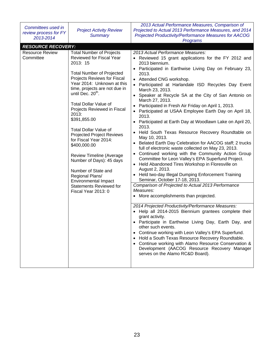| Committees used in<br>review process for FY<br>2013-2014  | <b>Project Activity Review</b><br><b>Summary</b>                                                                                                                                                                                                                                                                                                                                                                                                                                                                                                                                                                                                 | 2013 Actual Performance Measures, Comparison of<br>Projected to Actual 2013 Performance Measures, and 2014<br>Projected Productivity/Performance Measures for AACOG<br>Programs                                                                                                                                                                                                                                                                                                                                                                                                                                                                                                                                                                                                                                                                                                                                                                                                                                                                                                                                                                                                                                                                                                                                                                                                                                                                                                                                                                                                                                                             |
|-----------------------------------------------------------|--------------------------------------------------------------------------------------------------------------------------------------------------------------------------------------------------------------------------------------------------------------------------------------------------------------------------------------------------------------------------------------------------------------------------------------------------------------------------------------------------------------------------------------------------------------------------------------------------------------------------------------------------|---------------------------------------------------------------------------------------------------------------------------------------------------------------------------------------------------------------------------------------------------------------------------------------------------------------------------------------------------------------------------------------------------------------------------------------------------------------------------------------------------------------------------------------------------------------------------------------------------------------------------------------------------------------------------------------------------------------------------------------------------------------------------------------------------------------------------------------------------------------------------------------------------------------------------------------------------------------------------------------------------------------------------------------------------------------------------------------------------------------------------------------------------------------------------------------------------------------------------------------------------------------------------------------------------------------------------------------------------------------------------------------------------------------------------------------------------------------------------------------------------------------------------------------------------------------------------------------------------------------------------------------------|
|                                                           |                                                                                                                                                                                                                                                                                                                                                                                                                                                                                                                                                                                                                                                  |                                                                                                                                                                                                                                                                                                                                                                                                                                                                                                                                                                                                                                                                                                                                                                                                                                                                                                                                                                                                                                                                                                                                                                                                                                                                                                                                                                                                                                                                                                                                                                                                                                             |
| <b>RESOURCE RECOVERY:</b><br>Resource Review<br>Committee | <b>Total Number of Projects</b><br>Reviewed for Fiscal Year<br>2013: 15<br><b>Total Number of Projected</b><br>Projects Reviews for Fiscal<br>Year 2014: Unknown at this<br>time, projects are not due in<br>until Dec. 20 <sup>th</sup> .<br><b>Total Dollar Value of</b><br>Projects Reviewed in Fiscal<br>2013:<br>\$391,855.00<br><b>Total Dollar Value of</b><br><b>Projected Project Reviews</b><br>for Fiscal Year 2014:<br>\$400,000.00<br><b>Review Timeline (Average</b><br>Number of Days): 45 days<br>Number of State and<br>Regional Plans/<br><b>Environmental Impact</b><br><b>Statements Reviewed for</b><br>Fiscal Year 2013: 0 | 2013 Actual Performance Measures:<br>• Reviewed 15 grant applications for the FY 2012 and<br>2013 biennium.<br>Participated in Earthwise Living Day on February 23,<br>2013.<br>Attended CNG workshop.<br>$\bullet$<br>Participated at Harlandale ISD Recycles Day Event<br>March 23, 2013.<br>• Speaker at Recycle SA at the City of San Antonio on<br>March 27, 2013.<br>Participated in Fresh Air Friday on April 1, 2013.<br>Participated at USAA Employee Earth Day on April 18,<br>2013.<br>• Participated at Earth Day at Woodlawn Lake on April 20,<br>2013.<br>• Held South Texas Resource Recovery Roundtable on<br>May 10, 2013.<br>• Belated Earth Day Celebration for AACOG staff; 2 trucks<br>full of electronic waste collected on May 23, 2013.<br>• Continued working with the Community Action Group<br>Committee for Leon Valley's EPA Superfund Project.<br>• Held Abandoned Tires Workshop in Floresville on<br>August 2, 2013.<br>• Held two-day Illegal Dumping Enforcement Training<br>Seminar, October 17-18, 2013.<br>Comparison of Projected to Actual 2013 Performance<br>Measures:<br>• More accomplishments than projected.<br>2014 Projected Productivity/Performance Measures:<br>• Help all 2014-2015 Biennium grantees complete their<br>grant activity.<br>• Participate in Earthwise Living Day, Earth Day, and<br>other such events.<br>Continue working with Leon Valley's EPA Superfund.<br>$\bullet$<br>Hold a South Texas Resource Recovery Roundtable.<br>Continue working with Alamo Resource Conservation &<br>Development (AACOG Resource Recovery Manager<br>serves on the Alamo RC&D Board). |
|                                                           |                                                                                                                                                                                                                                                                                                                                                                                                                                                                                                                                                                                                                                                  |                                                                                                                                                                                                                                                                                                                                                                                                                                                                                                                                                                                                                                                                                                                                                                                                                                                                                                                                                                                                                                                                                                                                                                                                                                                                                                                                                                                                                                                                                                                                                                                                                                             |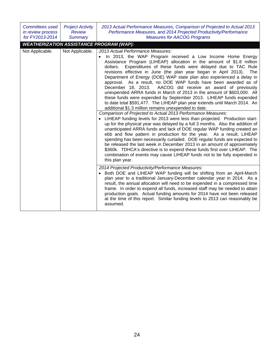| <b>Committees used</b><br>in review process<br>for FY2013-2014 | <b>Project Activity</b><br><b>Review</b><br><b>Summary</b> | 2013 Actual Performance Measures, Comparison of Projected to Actual 2013<br>Performance Measures, and 2014 Projected Productivity/Performance<br><b>Measures for AACOG Programs</b>                                                                                                                                                                                                                                                                                                                                                                                                                                                                                                                                                                                                                                                                                                                                                                                                                                                                                                                                                                                                                                                                                                                                                                                                                                                                                                                                                                                                                                                                                                                                                                                                                                                                                                                                                                                                                                                                                                                |
|----------------------------------------------------------------|------------------------------------------------------------|----------------------------------------------------------------------------------------------------------------------------------------------------------------------------------------------------------------------------------------------------------------------------------------------------------------------------------------------------------------------------------------------------------------------------------------------------------------------------------------------------------------------------------------------------------------------------------------------------------------------------------------------------------------------------------------------------------------------------------------------------------------------------------------------------------------------------------------------------------------------------------------------------------------------------------------------------------------------------------------------------------------------------------------------------------------------------------------------------------------------------------------------------------------------------------------------------------------------------------------------------------------------------------------------------------------------------------------------------------------------------------------------------------------------------------------------------------------------------------------------------------------------------------------------------------------------------------------------------------------------------------------------------------------------------------------------------------------------------------------------------------------------------------------------------------------------------------------------------------------------------------------------------------------------------------------------------------------------------------------------------------------------------------------------------------------------------------------------------|
|                                                                |                                                            | <b>WEATHERIZATION ASSISTANCE PROGRAM (WAP):</b>                                                                                                                                                                                                                                                                                                                                                                                                                                                                                                                                                                                                                                                                                                                                                                                                                                                                                                                                                                                                                                                                                                                                                                                                                                                                                                                                                                                                                                                                                                                                                                                                                                                                                                                                                                                                                                                                                                                                                                                                                                                    |
| Not Applicable.                                                | Not Applicable.                                            | 2013 Actual Performance Measures:<br>In 2013, the WAP Program received a Low Income Home Energy<br>Assistance Program (LIHEAP) allocation in the amount of \$1.8 million<br>Expenditures of these funds were delayed due to TAC Rule<br>dollars.<br>revisions effective in June (the plan year began in April 2013). The<br>Department of Energy (DOE) WAP state plan also experienced a delay in<br>approval. As a result, no DOE WAP funds have been awarded as of<br>December 18, 2013. AACOG did receive an award of previously<br>unexpended ARRA funds in March of 2013 in the amount of \$603,000. All<br>these funds were expended by September 2013. LIHEAP funds expended<br>to date total \$591,477. The LIHEAP plan year extends until March 2014. An<br>additional \$1.3 million remains unexpended to date.<br>Comparison of Projected to Actual 2013 Performance Measures:<br>• LIHEAP funding levels for 2013 were less than projected. Production start-<br>up for the physical year was delayed by a full 3 months. Also the addition of<br>unanticipated ARRA funds and lack of DOE regular WAP funding created an<br>ebb and flow pattern in production for the year. As a result, LIHEAP<br>spending has been necessarily curtailed. DOE regular funds are expected to<br>be released the last week in December 2013 in an amount of approximately<br>\$360k. TDHCA's directive is to expend these funds first over LIHEAP. The<br>combination of events may cause LIHEAP funds not to be fully expended in<br>this plan year.<br>2014 Projected Productivity/Performance Measures:<br>Both DOE and LIHEAP WAP funding will be shifting from an April-March<br>plan year to a traditional January-December calendar year in 2014. As a<br>result, the annual allocation will need to be expended in a compressed time<br>frame. In order to expend all funds, increased staff may be needed to attain<br>production goals. Actual funding amounts for 2014 have not been released<br>at the time of this report. Similar funding levels to 2013 can reasonably be<br>assumed. |
|                                                                |                                                            |                                                                                                                                                                                                                                                                                                                                                                                                                                                                                                                                                                                                                                                                                                                                                                                                                                                                                                                                                                                                                                                                                                                                                                                                                                                                                                                                                                                                                                                                                                                                                                                                                                                                                                                                                                                                                                                                                                                                                                                                                                                                                                    |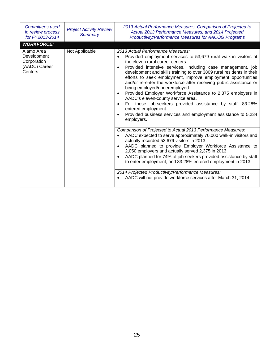| Committees used<br>in review process<br>for FY2013-2014              | <b>Project Activity Review</b><br><b>Summary</b> | 2013 Actual Performance Measures, Comparison of Projected to<br>Actual 2013 Performance Measures, and 2014 Projected<br><b>Productivity/Performance Measures for AACOG Programs</b>                                                                                                                                                                                                                                                                                                                                                                                                                                                                                                                                                                          |
|----------------------------------------------------------------------|--------------------------------------------------|--------------------------------------------------------------------------------------------------------------------------------------------------------------------------------------------------------------------------------------------------------------------------------------------------------------------------------------------------------------------------------------------------------------------------------------------------------------------------------------------------------------------------------------------------------------------------------------------------------------------------------------------------------------------------------------------------------------------------------------------------------------|
| <b>WORKFORCE:</b>                                                    |                                                  |                                                                                                                                                                                                                                                                                                                                                                                                                                                                                                                                                                                                                                                                                                                                                              |
| Alamo Area<br>Development<br>Corporation<br>(AADC) Career<br>Centers | Not Applicable                                   | 2013 Actual Performance Measures:<br>Provided employment services to 53,679 rural walk-in visitors at<br>the eleven rural career centers.<br>Provided intensive services, including case management, job<br>$\bullet$<br>development and skills training to over 3809 rural residents in their<br>efforts to seek employment, improve employment opportunities<br>and/or re-enter the workforce after receiving public assistance or<br>being employed/underemployed.<br>Provided Employer Workforce Assistance to 2,375 employers in<br>$\bullet$<br>AADC's eleven-county service area.<br>For those job-seekers provided assistance by staff, 83.28%<br>entered employment.<br>Provided business services and employment assistance to 5,234<br>employers. |
|                                                                      |                                                  | Comparison of Projected to Actual 2013 Performance Measures:<br>AADC expected to serve approximately 70,000 walk-in visitors and<br>actually recorded 53,679 visitors in 2013.<br>AADC planned to provide Employer Workforce Assistance to<br>2,050 employers and actually served 2,375 in 2013.<br>AADC planned for 74% of job-seekers provided assistance by staff<br>$\bullet$<br>to enter employment, and 83.28% entered employment in 2013.<br>2014 Projected Productivity/Performance Measures:<br>AADC will not provide workforce services after March 31, 2014.<br>$\bullet$                                                                                                                                                                         |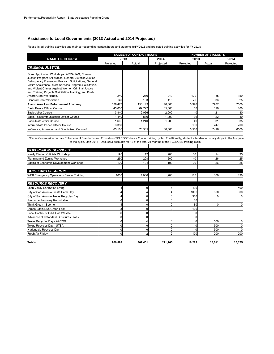## **Assistance to Local Governments (2013 Actual and 2014 Projected)**

Please list all training activities and their corresponding contact hours and students for **FY2013** and projected training activities for **FY 2014**:

| <b>NAME OF COURSE</b><br><b>CRIMINAL JUSTICE:</b>                                                                                                                    |                | <b>NUMBER OF CONTACT HOURS</b><br>2013 | 2014           | 2013        | <b>NUMBER OF STUDENTS</b> |           |
|----------------------------------------------------------------------------------------------------------------------------------------------------------------------|----------------|----------------------------------------|----------------|-------------|---------------------------|-----------|
|                                                                                                                                                                      |                |                                        |                |             |                           | 2014      |
|                                                                                                                                                                      | Projected      | Actual                                 | Projected      | Projected   | Actual                    | Projected |
|                                                                                                                                                                      |                |                                        |                |             |                           |           |
|                                                                                                                                                                      |                |                                        |                |             |                           |           |
| Grant Application Workshops: ARRA JAG, Criminal<br>Justice Program Solicitation, General Juvenile Justice                                                            |                |                                        |                |             |                           |           |
| Delinguency Prevention Program Solicitations, General                                                                                                                |                |                                        |                |             |                           |           |
| Victim Assistance-Direct Services Program Solicitation,                                                                                                              |                |                                        |                |             |                           |           |
| and Violent Crimes Against Women Criminal Justice                                                                                                                    |                |                                        |                |             |                           |           |
| and Training Projects Solicitation Training; and Post-                                                                                                               |                |                                        |                |             |                           |           |
| Award Grant Workshop.                                                                                                                                                | 240            | 210                                    | 240            | 120         | 135                       | 150       |
| General Grant Workshop                                                                                                                                               | 140            | 103                                    | 115            | 70          | 36                        | 25        |
| Alamo Area Law Enforcement Academy                                                                                                                                   | 138,477        | 153,149                                | 140,000        | 6,976       | 7937                      | 7000      |
| <b>Basic Peace Officer Course</b>                                                                                                                                    | 45,000         | 69.722                                 | 65,000         | 50          | 120                       | 100       |
| <b>Basic Jailer Course</b>                                                                                                                                           | 3.840          | 2.066                                  | 2.000          | 40          | 21                        | 30        |
| <b>Basic Telecommunication Officer Course</b>                                                                                                                        | 1,440          | 880                                    | 1,000          | 36          | 22                        | 40        |
| <b>Basic Instructor's Course</b>                                                                                                                                     | 1,600          | 1,240                                  | 1,200          | 40          | 31                        | 35        |
| Intermediate Peace Officer Course                                                                                                                                    | 3.380          |                                        |                | 130         | 247                       | 200       |
| In-Service, Advanced and Specialized Courses                                                                                                                         | 65,166         | 73,585                                 | 60,000         | 6,500       | 7496                      | 6500      |
|                                                                                                                                                                      |                |                                        |                |             |                           |           |
| *Texas Commission on Law Enforcement Standards and Education (TCLEOSE) has a 2 year training cycle. Traditionally, student attendance usually drops in the first yea |                |                                        |                |             |                           |           |
| of the cycle. Jan 2013 - Dec 2013 accounts for 12 of the total 24 months of the TCLEOSE training cycle.                                                              |                |                                        |                |             |                           |           |
|                                                                                                                                                                      |                |                                        |                |             |                           |           |
| <b>GOVERNMENT SERVICES:</b>                                                                                                                                          |                |                                        |                |             |                           |           |
| Newly Elected Officials Workshop                                                                                                                                     | 195            | 112                                    | 200            | 30          | 14                        | 25        |
| Planning and Zoning Workshop                                                                                                                                         | 260            | 208                                    | 200            | 40          | 26                        | 25        |
| Basics of Economic Development Workshop                                                                                                                              | 120            | 104                                    | 100            | 30          | 26                        | 25        |
|                                                                                                                                                                      |                |                                        |                |             |                           |           |
| <b>HOMELAND SECURITY:</b>                                                                                                                                            |                |                                        |                |             |                           |           |
| <b>WEB Emergency Operations Center Training</b>                                                                                                                      | 1000           | 1,000                                  | 1,200          | 100         | 100                       | 120       |
|                                                                                                                                                                      |                |                                        |                |             |                           |           |
| <b>RESOURCE RECOVERY:</b>                                                                                                                                            |                |                                        |                |             |                           |           |
| Leon Valley EarthWise Living                                                                                                                                         | 4              | $\Omega$                               | $\Delta$       | 400         |                           | 400       |
| City of San Antonio Fiesta Earth Day                                                                                                                                 | 4              | 4                                      | $\overline{4}$ | 1000        | 300                       | 300       |
| City of San Antonio Texas Recycles Day                                                                                                                               | 4              | 0                                      | $\Omega$       | 300         | $\Omega$                  |           |
| Resource Recovery Roundtable                                                                                                                                         | 6              | $\Omega$                               | $\Omega$       | 80          |                           |           |
| Think Green - Boerne                                                                                                                                                 | $\overline{4}$ | $\Omega$                               | $\Omega$       | 80          | $\Omega$                  |           |
| Olmos Basin Live Green Fest                                                                                                                                          | 3              | 0                                      | $\Omega$       | 100         |                           |           |
| Local Control of Oil & Gas Wasate                                                                                                                                    | 6              | $\Omega$                               | $\Omega$       | $\mathbf 0$ |                           |           |
| <b>Advanced Substandard Structures Class</b>                                                                                                                         | $\overline{0}$ | $\Omega$                               | $\Omega$       | $\mathbf 0$ |                           |           |
| Texas Recycles Day - AACOG                                                                                                                                           | $\mathbf 0$    | 4                                      | $\Omega$       | $\mathbf 0$ | 500                       |           |
| Texas Recycles Day - UTSA                                                                                                                                            | $\Omega$       | 6                                      | $\Omega$       | $\mathbf 0$ | 500                       |           |
| Harlandale Recycles Day                                                                                                                                              | $\mathbf 0$    | 6                                      | $\mathbf 0$    | $\mathbf 0$ | 300                       |           |
| Fresh Air Friday                                                                                                                                                     | 0              | $\overline{2}$                         | $\overline{2}$ | 100         | 200                       | 200       |

**Totals: 260,889 302,401 271,265 16,222 18,011 15,175**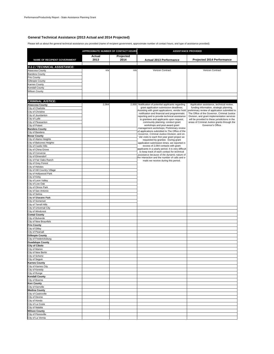#### **General Technical Assistance (2013 Actual and 2014 Projected)**

Please tell us about the general technical assistance you provided (name of recipient government, approximate number of contact hours, and type of assistance provided):

|                                             | <b>APPROXIMATE NUMBER OF CONTACT HOURS</b> |                   |                                                                                                 | <b>ASSISTANCE PROVIDED</b>                                                                     |
|---------------------------------------------|--------------------------------------------|-------------------|-------------------------------------------------------------------------------------------------|------------------------------------------------------------------------------------------------|
|                                             |                                            |                   |                                                                                                 |                                                                                                |
| NAME OF RECIPIENT GOVERNMENT                | Actual<br>2013                             | Projected<br>2014 | Actual 2013 Performance                                                                         | Projected 2014 Performance                                                                     |
|                                             |                                            |                   |                                                                                                 |                                                                                                |
| 9-1-1 / TECHNICAL ASSISTANCE:               |                                            |                   |                                                                                                 |                                                                                                |
| Atascosa County                             | n/a                                        | n/a               | Verizon Contract                                                                                | Verizon Contract                                                                               |
| <b>Bandera County</b>                       |                                            |                   |                                                                                                 |                                                                                                |
| Frio County                                 |                                            |                   |                                                                                                 |                                                                                                |
| Gillespie County                            |                                            |                   |                                                                                                 |                                                                                                |
| Karnes County                               |                                            |                   |                                                                                                 |                                                                                                |
| Kendall County<br>Wilson County             |                                            |                   |                                                                                                 |                                                                                                |
|                                             |                                            |                   |                                                                                                 |                                                                                                |
|                                             |                                            |                   |                                                                                                 |                                                                                                |
| <b>CRIMINAL JUSTICE:</b>                    |                                            |                   |                                                                                                 |                                                                                                |
| <b>Atascosa County</b>                      | 2,064                                      |                   | 2,000 Notification of potential applicants regarding                                            | Application assistance, technical review,                                                      |
| City of Charlotte                           |                                            |                   | grant application submission deadlines;<br>Assisting with grant applications, vendor hold       | funding information, strategic planning,<br>preliminary review of application submitted to     |
| City of Christine                           |                                            |                   | notification and financial and programmatic                                                     | The Office of the Governor, Criminal Justice                                                   |
| City of Jourdanton                          |                                            |                   | reporting and to provide technical assistance                                                   | Division, and grant implementation services                                                    |
| City of Lytle<br>City of Pleasanton         |                                            |                   | to grantees and applicants upon request;<br>community planning; conduct grant                   | will be provided to these jurisdictions in the<br>areas of Criminal Justice grants through the |
| City of Poteet                              |                                            |                   | workshops and post-award grant                                                                  | Governor's Office.                                                                             |
| <b>Bandera County</b>                       |                                            |                   | management workshops; Preliminary review                                                        |                                                                                                |
| City of Bandera                             |                                            |                   | of applications submitted to The Office of the                                                  |                                                                                                |
| <b>Bexar County</b>                         |                                            |                   | Governor, Criminal Justice Division: and on-<br>site visits to each first year grant project as |                                                                                                |
| City of Alamo Heights                       |                                            |                   | requested by grantee. During grant                                                              |                                                                                                |
| City of Balcones Heights                    |                                            |                   | application submission times, we reported in                                                    |                                                                                                |
| City of Castle Hills                        |                                            |                   | excess of 2,064 contacts with grant<br>applicants in a yearly period. It is very difficult      |                                                                                                |
| City of China Grove                         |                                            |                   | to keep track of each contact for technical                                                     |                                                                                                |
| City of Converse<br>City of Elmendorf       |                                            |                   | assistance because of the dynamic nature of                                                     |                                                                                                |
| City of Fair Oaks Ranch                     |                                            |                   | the interaction and the number of calls and e-                                                  |                                                                                                |
| City of Grey Forest                         |                                            |                   | mails we receive during this period.                                                            |                                                                                                |
| City of Helotes                             |                                            |                   |                                                                                                 |                                                                                                |
| City of Hill Country Village                |                                            |                   |                                                                                                 |                                                                                                |
| City of Hollywood Park                      |                                            |                   |                                                                                                 |                                                                                                |
| City of Kirby                               |                                            |                   |                                                                                                 |                                                                                                |
| City of Leon Valley                         |                                            |                   |                                                                                                 |                                                                                                |
| City of Live Oak                            |                                            |                   |                                                                                                 |                                                                                                |
| City of Olmos Park                          |                                            |                   |                                                                                                 |                                                                                                |
| City of San Antonio<br>City of Selma        |                                            |                   |                                                                                                 |                                                                                                |
| City of Shavano Park                        |                                            |                   |                                                                                                 |                                                                                                |
| City of Somerset                            |                                            |                   |                                                                                                 |                                                                                                |
| City of Terrell Hills                       |                                            |                   |                                                                                                 |                                                                                                |
| City of Universal City                      |                                            |                   |                                                                                                 |                                                                                                |
| City of Windcrest                           |                                            |                   |                                                                                                 |                                                                                                |
| <b>Comal County</b>                         |                                            |                   |                                                                                                 |                                                                                                |
| City of Bulverde                            |                                            |                   |                                                                                                 |                                                                                                |
| City of New Braunfels                       |                                            |                   |                                                                                                 |                                                                                                |
| <b>Frio County</b>                          |                                            |                   |                                                                                                 |                                                                                                |
| City of Dilley<br>City of Pearsall          |                                            |                   |                                                                                                 |                                                                                                |
| <b>Gillespie County</b>                     |                                            |                   |                                                                                                 |                                                                                                |
| City of Fredericksburg                      |                                            |                   |                                                                                                 |                                                                                                |
| <b>Guadalupe County</b>                     |                                            |                   |                                                                                                 |                                                                                                |
| <b>City of Cibolo</b>                       |                                            |                   |                                                                                                 |                                                                                                |
| City of Marion                              |                                            |                   |                                                                                                 |                                                                                                |
| City of New Berlin                          |                                            |                   |                                                                                                 |                                                                                                |
| City of Schertz                             |                                            |                   |                                                                                                 |                                                                                                |
| City of Seguin                              |                                            |                   |                                                                                                 |                                                                                                |
| <b>Karnes County</b><br>City of Karnes City |                                            |                   |                                                                                                 |                                                                                                |
| City of Kenedy                              |                                            |                   |                                                                                                 |                                                                                                |
| City of Runge                               |                                            |                   |                                                                                                 |                                                                                                |
| <b>Kendall County</b>                       |                                            |                   |                                                                                                 |                                                                                                |
| City of Boerne                              |                                            |                   |                                                                                                 |                                                                                                |
| <b>Kerr County</b>                          |                                            |                   |                                                                                                 |                                                                                                |
| City of Kerrville                           |                                            |                   |                                                                                                 |                                                                                                |
| <b>Medina County</b>                        |                                            |                   |                                                                                                 |                                                                                                |
| City of Castroville                         |                                            |                   |                                                                                                 |                                                                                                |
| City of Devine                              |                                            |                   |                                                                                                 |                                                                                                |
| City of Hondo                               |                                            |                   |                                                                                                 |                                                                                                |
| City of La Coste<br>City of Natalia         |                                            |                   |                                                                                                 |                                                                                                |
| <b>Wilson County</b>                        |                                            |                   |                                                                                                 |                                                                                                |
| City of Floresville                         |                                            |                   |                                                                                                 |                                                                                                |
| City of La Vernia                           |                                            |                   |                                                                                                 |                                                                                                |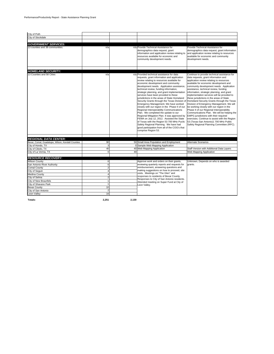| City of Poth                                      |                |    |                                                                                                                                                                                                                                                                                                                                                                                                                                                                                                                                                                                                                                                                                                                                                                                                                                                                                                          |                                                                                                                                                                                                                                                                                                                                                                                                                                                                                                                                                                                                                                                                                                                                                                                                                                |
|---------------------------------------------------|----------------|----|----------------------------------------------------------------------------------------------------------------------------------------------------------------------------------------------------------------------------------------------------------------------------------------------------------------------------------------------------------------------------------------------------------------------------------------------------------------------------------------------------------------------------------------------------------------------------------------------------------------------------------------------------------------------------------------------------------------------------------------------------------------------------------------------------------------------------------------------------------------------------------------------------------|--------------------------------------------------------------------------------------------------------------------------------------------------------------------------------------------------------------------------------------------------------------------------------------------------------------------------------------------------------------------------------------------------------------------------------------------------------------------------------------------------------------------------------------------------------------------------------------------------------------------------------------------------------------------------------------------------------------------------------------------------------------------------------------------------------------------------------|
| City of Stockdale                                 |                |    |                                                                                                                                                                                                                                                                                                                                                                                                                                                                                                                                                                                                                                                                                                                                                                                                                                                                                                          |                                                                                                                                                                                                                                                                                                                                                                                                                                                                                                                                                                                                                                                                                                                                                                                                                                |
|                                                   |                |    |                                                                                                                                                                                                                                                                                                                                                                                                                                                                                                                                                                                                                                                                                                                                                                                                                                                                                                          |                                                                                                                                                                                                                                                                                                                                                                                                                                                                                                                                                                                                                                                                                                                                                                                                                                |
| <b>GOVERNMENT SERVICES:</b>                       |                |    |                                                                                                                                                                                                                                                                                                                                                                                                                                                                                                                                                                                                                                                                                                                                                                                                                                                                                                          |                                                                                                                                                                                                                                                                                                                                                                                                                                                                                                                                                                                                                                                                                                                                                                                                                                |
| 13 counties and 38 communities.                   | n/a            |    | n/a Provide Technical Assistance for<br>demographics data request, grant<br>information and application review relating to<br>resources available for economic and<br>community development needs.                                                                                                                                                                                                                                                                                                                                                                                                                                                                                                                                                                                                                                                                                                       | Provide Technical Assistance for<br>demographics data request, grant information<br>and application review relating to resources<br>available for economic and community<br>development needs.                                                                                                                                                                                                                                                                                                                                                                                                                                                                                                                                                                                                                                 |
| <b>HOMELAND SECURITY:</b>                         |                |    |                                                                                                                                                                                                                                                                                                                                                                                                                                                                                                                                                                                                                                                                                                                                                                                                                                                                                                          |                                                                                                                                                                                                                                                                                                                                                                                                                                                                                                                                                                                                                                                                                                                                                                                                                                |
| 13 Counties and 58 Cities                         | n/a            |    | n/a Provided technical assistance for data<br>requests, grant information and application<br>review relating to resources available for<br>economic development and community<br>development needs. Application assistance,<br>technical review, funding information,<br>strategic planning, and grant implementation<br>services have been provided to these<br>jurisdictions in the areas of State Homeland<br>Security Grants through the Texas Division of<br>Emergency Management. We have worked<br>closely with our region in the Phase II of our<br>Regional Interoperability Communications<br>Plan. We completed the update to our<br>Regional Mitigation Plan. It was approved by<br>FEMA on July 12, 2012. Assisted the State<br>of Texas with the Region 53 700 MHz Puclic<br>Safety Regional Planning. We have had<br>good participation from all of the COG's that<br>comprise Region 53. | Continue to provide technical assistance for<br>data requests, grant information and<br>application review relating to resources<br>available for economic development and<br>community development needs. Application<br>assistance, technical review, funding<br>information, strategic planning, and grant<br>implementation services will be provided to<br>these jurisdictions in the areas of State<br>Homeland Security Grants through the Texas<br>Division of Emergency Management. We will<br>be working closely with our region in the<br>Phase II of our Regional Interoperability<br>Communications Plan. We will be helping the<br>EMPG jursdictions with their required<br>exercises. Continue to assist with the Region<br>53 (Texas-San Antonio)1 700 MHz Public<br>Safety Regional Planning Committee (RPC). |
|                                                   |                |    |                                                                                                                                                                                                                                                                                                                                                                                                                                                                                                                                                                                                                                                                                                                                                                                                                                                                                                          |                                                                                                                                                                                                                                                                                                                                                                                                                                                                                                                                                                                                                                                                                                                                                                                                                                |
| <b>REGIONAL DATA CENTER:</b>                      |                |    |                                                                                                                                                                                                                                                                                                                                                                                                                                                                                                                                                                                                                                                                                                                                                                                                                                                                                                          |                                                                                                                                                                                                                                                                                                                                                                                                                                                                                                                                                                                                                                                                                                                                                                                                                                |
| Bexar, Comal, Guadalupe, Wilson, Kendall Counties | 90             |    | 50 Small Area Population and Employment                                                                                                                                                                                                                                                                                                                                                                                                                                                                                                                                                                                                                                                                                                                                                                                                                                                                  | <b>Alternate Scenarios</b>                                                                                                                                                                                                                                                                                                                                                                                                                                                                                                                                                                                                                                                                                                                                                                                                     |
| City of Hondo, TX<br>City of Cibolo, TX           | 3<br>40        | 40 | 0 Sample Web Mapping Application<br>Web Mapping Application                                                                                                                                                                                                                                                                                                                                                                                                                                                                                                                                                                                                                                                                                                                                                                                                                                              | Staff Version with Additional Data Layers                                                                                                                                                                                                                                                                                                                                                                                                                                                                                                                                                                                                                                                                                                                                                                                      |
| City of La Vernia, TX                             | $\Omega$       | 40 |                                                                                                                                                                                                                                                                                                                                                                                                                                                                                                                                                                                                                                                                                                                                                                                                                                                                                                          | Web Mapping Application                                                                                                                                                                                                                                                                                                                                                                                                                                                                                                                                                                                                                                                                                                                                                                                                        |
|                                                   |                |    |                                                                                                                                                                                                                                                                                                                                                                                                                                                                                                                                                                                                                                                                                                                                                                                                                                                                                                          |                                                                                                                                                                                                                                                                                                                                                                                                                                                                                                                                                                                                                                                                                                                                                                                                                                |
| <b>RESOURCE RECOVERY:</b>                         |                |    |                                                                                                                                                                                                                                                                                                                                                                                                                                                                                                                                                                                                                                                                                                                                                                                                                                                                                                          |                                                                                                                                                                                                                                                                                                                                                                                                                                                                                                                                                                                                                                                                                                                                                                                                                                |
| <b>Wilson County</b>                              | 6              |    | Approve work and orders on their grants,                                                                                                                                                                                                                                                                                                                                                                                                                                                                                                                                                                                                                                                                                                                                                                                                                                                                 | Unknown, Depends on who is awarded                                                                                                                                                                                                                                                                                                                                                                                                                                                                                                                                                                                                                                                                                                                                                                                             |
| San Antonio River Authority                       | 6              |    | reviewing quarterly reports and requests for                                                                                                                                                                                                                                                                                                                                                                                                                                                                                                                                                                                                                                                                                                                                                                                                                                                             | grants.                                                                                                                                                                                                                                                                                                                                                                                                                                                                                                                                                                                                                                                                                                                                                                                                                        |
| Comal County                                      | $\overline{2}$ |    | reimbursement, answering questions and                                                                                                                                                                                                                                                                                                                                                                                                                                                                                                                                                                                                                                                                                                                                                                                                                                                                   |                                                                                                                                                                                                                                                                                                                                                                                                                                                                                                                                                                                                                                                                                                                                                                                                                                |
| City of Sequin                                    | 4              |    | making suggestions on how to proceed, site                                                                                                                                                                                                                                                                                                                                                                                                                                                                                                                                                                                                                                                                                                                                                                                                                                                               |                                                                                                                                                                                                                                                                                                                                                                                                                                                                                                                                                                                                                                                                                                                                                                                                                                |
| Medina County                                     | 4              |    | visits. Meetings on "The Glen" and                                                                                                                                                                                                                                                                                                                                                                                                                                                                                                                                                                                                                                                                                                                                                                                                                                                                       |                                                                                                                                                                                                                                                                                                                                                                                                                                                                                                                                                                                                                                                                                                                                                                                                                                |
| City of Selma                                     | 2              |    | responses to residents of Bexar County.<br>Responses to City of San Antonio residents.                                                                                                                                                                                                                                                                                                                                                                                                                                                                                                                                                                                                                                                                                                                                                                                                                   |                                                                                                                                                                                                                                                                                                                                                                                                                                                                                                                                                                                                                                                                                                                                                                                                                                |
| City of New Braunfels                             | $\overline{1}$ |    | Attended meeting on Super Fund at City of                                                                                                                                                                                                                                                                                                                                                                                                                                                                                                                                                                                                                                                                                                                                                                                                                                                                |                                                                                                                                                                                                                                                                                                                                                                                                                                                                                                                                                                                                                                                                                                                                                                                                                                |
| City of Shavano Park                              | $\overline{1}$ |    | Leon Valley.                                                                                                                                                                                                                                                                                                                                                                                                                                                                                                                                                                                                                                                                                                                                                                                                                                                                                             |                                                                                                                                                                                                                                                                                                                                                                                                                                                                                                                                                                                                                                                                                                                                                                                                                                |
| <b>Bexar County</b>                               | 10             |    |                                                                                                                                                                                                                                                                                                                                                                                                                                                                                                                                                                                                                                                                                                                                                                                                                                                                                                          |                                                                                                                                                                                                                                                                                                                                                                                                                                                                                                                                                                                                                                                                                                                                                                                                                                |
| City of San Antonio                               | $\overline{2}$ |    |                                                                                                                                                                                                                                                                                                                                                                                                                                                                                                                                                                                                                                                                                                                                                                                                                                                                                                          |                                                                                                                                                                                                                                                                                                                                                                                                                                                                                                                                                                                                                                                                                                                                                                                                                                |
| Leon Valley                                       | 16             |    |                                                                                                                                                                                                                                                                                                                                                                                                                                                                                                                                                                                                                                                                                                                                                                                                                                                                                                          |                                                                                                                                                                                                                                                                                                                                                                                                                                                                                                                                                                                                                                                                                                                                                                                                                                |

**Totals: 2,251 2,130**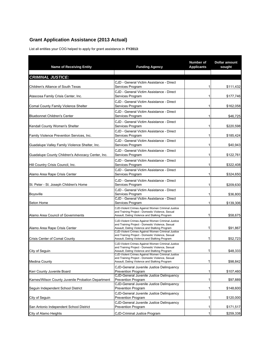# **Grant Application Assistance (2013 Actual)**

List all entities your COG helped to apply for grant assistance in **FY2013**:

| <b>Name of Receiving Entity</b>                    | <b>Funding Agency</b>                                                                                                                                  | Number of<br><b>Applicants</b> | Dollar amount<br>sought |
|----------------------------------------------------|--------------------------------------------------------------------------------------------------------------------------------------------------------|--------------------------------|-------------------------|
| <b>CRIMINAL JUSTICE:</b>                           |                                                                                                                                                        |                                |                         |
|                                                    | CJD - General Victim Assistance - Direct                                                                                                               | 1                              | \$111,432               |
| Children's Alliance of South Texas                 | Services Program<br>CJD - General Victim Assistance - Direct                                                                                           |                                |                         |
| Atascosa Family Crisis Center, Inc.                | Services Program                                                                                                                                       | 1                              | \$177,746               |
| Comal County Family Violence Shelter               | CJD - General Victim Assistance - Direct<br>Services Program                                                                                           | 1                              | \$162,058               |
| <b>Bluebonnet Children's Center</b>                | CJD - General Victim Assistance - Direct<br>Services Program                                                                                           | 1                              | \$46,725                |
| Kendall County Women's Shelter                     | CJD - General Victim Assistance - Direct<br>Services Program                                                                                           | 1                              | \$220,598               |
| Family Violence Prevention Services, Inc.          | CJD - General Victim Assistance - Direct<br>Services Program                                                                                           | 1                              | \$185,424               |
| Guadalupe Valley Family Violence Shelter, Inc.     | CJD - General Victim Assistance - Direct<br>Services Program                                                                                           | 1                              | \$40,943                |
| Guadalupe County Children's Advocacy Center, Inc.  | CJD - General Victim Assistance - Direct<br>Services Program                                                                                           | 1                              | \$122,761               |
| Hill Country Crisis Council, Inc.                  | CJD - General Victim Assistance - Direct<br>Services Program                                                                                           | 1                              | \$322,408               |
| Alamo Area Rape Crisis Center                      | CJD - General Victim Assistance - Direct<br>Services Program                                                                                           | 1                              | \$324,650               |
| St. Peter - St. Joseph Children's Home             | CJD - General Victim Assistance - Direct<br>Services Program                                                                                           | 1                              | \$209,630               |
| <b>Boysville</b>                                   | CJD - General Victim Assistance - Direct<br>Services Program                                                                                           | 1                              | \$36,800                |
| Seton Home                                         | CJD - General Victim Assistance - Direct<br>Services Program                                                                                           | 1                              | \$139,306               |
| Alamo Area Council of Governments                  | CJD-Violent Crimes Against Women Criminal Justice<br>and Training Project - Domestic Violence, Sexual                                                  | 1                              | \$58,675                |
|                                                    | Assault, Dating Violence and Stalking Program<br>CJD-Violent Crimes Against Women Criminal Justice                                                     |                                |                         |
| Alamo Area Rape Crisis Center                      | and Training Project - Domestic Violence, Sexual<br>Assault, Dating Violence and Stalking Program                                                      | 1                              | \$91,867                |
| Crisis Center of Comal County                      | CJD-Violent Crimes Against Women Criminal Justice<br>and Training Project - Domestic Violence, Sexual<br>Assault, Dating Violence and Stalking Program | 1                              | \$52,723                |
| City of Seguin                                     | CJD-Violent Crimes Against Women Criminal Justice<br>and Training Project - Domestic Violence, Sexual<br>Assault, Dating Violence and Stalking Program | 1                              | \$48,333                |
| <b>Medina County</b>                               | CJD-Violent Crimes Against Women Criminal Justice<br>and Training Project - Domestic Violence, Sexual<br>Assault, Dating Violence and Stalking Program | 1                              | \$98,842                |
| Kerr County Juvenile Board                         | CJD-General Juvenile Justice Delinquency<br><b>Prevention Program</b>                                                                                  | 1                              | \$107,460               |
| Karnes/Wilson County Juvenile Probation Department | CJD-General Juvenile Justice Delinguency<br><b>Prevention Program</b>                                                                                  | 1                              | \$97,889                |
| Sequin Independent School District                 | CJD-General Juvenile Justice Delinquency<br><b>Prevention Program</b>                                                                                  | 1                              | \$148,600               |
| City of Seguin                                     | CJD-General Juvenile Justice Delinquency<br><b>Prevention Program</b>                                                                                  | 1                              | \$120,000               |
| San Antonio Independent School District            | CJD-General Juvenile Justice Delinquency<br><b>Prevention Program</b>                                                                                  | 1                              | \$171,517               |
| City of Alamo Heights                              | <b>CJD-Criminal Justice Program</b>                                                                                                                    | $\mathbf{1}$                   | \$259,338               |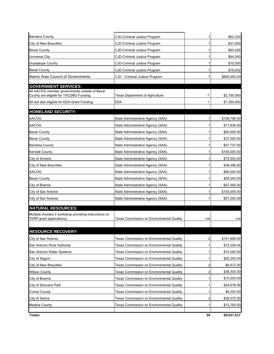| <b>Bandera County</b>                                                             | CJD-Criminal Justice Program                     | 1   | \$62,230     |
|-----------------------------------------------------------------------------------|--------------------------------------------------|-----|--------------|
| City of New Braunfels                                                             | <b>CJD-Criminal Justice Program</b>              | 1   | \$31,500     |
| <b>Bexar County</b>                                                               | CJD-Criminal Justice Program                     | 1   | \$63,426     |
| Universal City                                                                    | CJD-Criminal Justice Program                     | 1   | \$64,040     |
| <b>Guadalupe County</b>                                                           | CJD-Criminal Justice Program                     | 1   | \$75,000     |
| <b>Bexar County</b>                                                               | CJD-Criminal Justice Program                     | 1   | \$16,632     |
| Alamo Area Council of Governments                                                 | CJD - Criminal Justice Program                   | 1   | \$600,000.00 |
| <b>GOVERNMENT SERVICES:</b>                                                       |                                                  |     |              |
| All AACOG member governments outside of Bexar                                     |                                                  |     |              |
| County are eligible for TXCDBG Funding.                                           | Texas Department of Agriculture                  | 7   | \$2,100,000  |
| All are also eligible for EDA Grant Funding.                                      | <b>EDA</b>                                       | 1   | \$1,300,000  |
| <b>HOMELAND SECURITY:</b>                                                         |                                                  |     |              |
| AACOG                                                                             | State Administrative Agency (SAA)                |     | \$158,798.00 |
| AACOG                                                                             | State Administrative Agency (SAA)                |     | \$71,836.00  |
| <b>Bexar County</b>                                                               | State Administrative Agency (SAA)                | 1   | \$50,000.00  |
| <b>Bexar County</b>                                                               | State Administrative Agency (SAA)                |     | \$37,000.00  |
| <b>Bandera County</b>                                                             | State Administrative Agency (SAA)                | 1   | \$57,727.00  |
| <b>Kendall County</b>                                                             | State Administrative Agency (SAA)                |     | \$150,000.00 |
| City of Schertz                                                                   | State Administrative Agency (SAA)                | 1   | \$75,000.00  |
| City of New Braunfels                                                             | State Administrative Agency (SAA)                |     | \$38,496.00  |
| AACOG                                                                             | State Administrative Agency (SAA)                |     | \$90,000.00  |
| <b>Bexar County</b>                                                               | State Administrative Agency (SAA)                |     | \$50,000.00  |
| City of Boerne                                                                    | State Administrative Agency (SAA)                |     | \$57,000.00  |
| City of San Antonio                                                               | State Administrative Agency (SAA)                |     | \$100,000.00 |
| City of San Antonio                                                               | State Administrative Agency (SAA)                |     | \$31,252.00  |
| <b>NATURAL RESOURCES:</b>                                                         |                                                  |     |              |
| Multiple (Hosted 2 workshop providing instructions on<br>TERP grant applications) | Texas Commission on Environmental Quality        | n/a | n/a          |
|                                                                                   |                                                  |     |              |
| <b>RESOURCE RECOVERY:</b>                                                         |                                                  |     |              |
| City of San Antonio                                                               | Texas Commission on Environmental Quality        | 2   | \$151,606.00 |
| San Antonio River Authority                                                       | Texas Commission on Environmental Quality        | 1   | \$72,026.04  |
| San Antonio Water Systems                                                         | <b>Texas Commission on Environmental Quality</b> | 1   | \$10,000.00  |
| City of Seguin                                                                    | <b>Texas Commission on Environmental Quality</b> | 1   | \$20,250.00  |
| City of New Braunfels                                                             | Texas Commission on Environmental Quality        | 2   | \$6,672.00   |
| Wilson County                                                                     | Texas Commission on Environmental Quality        | 2   | \$38,300.00  |
| City of Boerne                                                                    | Texas Commission on Environmental Quality        | 1   | \$10,200.00  |
| City of Shavano Park                                                              | Texas Commission on Environmental Quality        | 1   | \$24,676.06  |
| Comal County                                                                      | Texas Commission on Environmental Quality        | 1   | \$8,300.00   |
| City of Selma                                                                     | Texas Commission on Environmental Quality        | 2   | \$36,075.00  |
| <b>Medina County</b>                                                              | Texas Commission on Environmental Quality        |     | \$13,750.00  |
|                                                                                   |                                                  |     |              |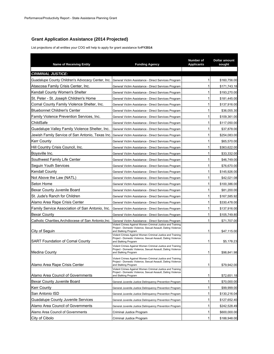# **Grant Application Assistance (2014 Projected)**

List projections of all entities your COG will help to apply for grant assistance for **FY2014**:

| <b>Name of Receiving Entity</b>                      | <b>Funding Agency</b>                                                                                                                              | <b>Number of</b><br><b>Applicants</b> | Dollar amount<br>sought |
|------------------------------------------------------|----------------------------------------------------------------------------------------------------------------------------------------------------|---------------------------------------|-------------------------|
| <b>CRIMINAL JUSTICE:</b>                             |                                                                                                                                                    |                                       |                         |
| Guadalupe County Children's Advocacy Center, Inc.    | General Victim Assistance - Direct Services Program                                                                                                | 1                                     | \$160,756.00            |
| Atascosa Family Crisis Center, Inc.                  | General Victim Assistance - Direct Services Program                                                                                                | 1                                     | \$171,743.18            |
| Kendall County Women's Shelter                       | General Victim Assistance - Direct Services Program                                                                                                | 1                                     | \$193,270.00            |
| St. Peter - St. Joseph Children's Home               | General Victim Assistance - Direct Services Program                                                                                                | 1                                     | \$181,445.00            |
| Comal County Family Violence Shelter, Inc.           | General Victim Assistance - Direct Services Program                                                                                                | 1                                     | \$137,916.00            |
| <b>Bluebonnet Children's Center</b>                  | General Victim Assistance - Direct Services Program                                                                                                | 1                                     | \$36,055.30             |
| Family Violence Prevention Services, Inc.            | General Victim Assistance - Direct Services Program                                                                                                | 1                                     | \$109,361.00            |
| ChildSafe                                            | General Victim Assistance - Direct Services Program                                                                                                | 1                                     | \$117,050.00            |
| Guadalupe Valley Family Violence Shelter, Inc.       | General Victim Assistance - Direct Services Program                                                                                                | 1                                     | \$37,878.00             |
| Jewish Family Service of San Antonio, Texas Inc.     | General Victim Assistance - Direct Services Program                                                                                                | 1                                     | \$254,083.00            |
| <b>Kerr County</b>                                   | General Victim Assistance - Direct Services Program                                                                                                | 1                                     | \$65,570.00             |
| Hill Country Crisis Council, Inc.                    | General Victim Assistance - Direct Services Program                                                                                                | 1                                     | \$363,622.00            |
| Boysville Inc.                                       | General Victim Assistance - Direct Services Program                                                                                                | 1                                     | \$33,332.00             |
| Southwest Family Life Center                         | General Victim Assistance - Direct Services Program                                                                                                | 1                                     | \$46,749.00             |
| Seguin Youth Services                                | General Victim Assistance - Direct Services Program                                                                                                | 1                                     | \$76,670.00             |
| Kendall County                                       | General Victim Assistance - Direct Services Program                                                                                                | 1                                     | \$145,926.00            |
| Not Above the Law (NATL)                             | General Victim Assistance - Direct Services Program                                                                                                | 1                                     | \$42,021.08             |
| Seton Home                                           | General Victim Assistance - Direct Services Program                                                                                                | 1                                     | \$100,386.00            |
| Bexar County Juvenile Board                          | General Victim Assistance - Direct Services Program                                                                                                | 1                                     | \$81,200.00             |
| St. Jude's Ranch for Children                        | General Victim Assistance - Direct Services Program                                                                                                | 1                                     | \$167,585.92            |
| Alamo Area Rape Crisis Center                        | General Victim Assistance - Direct Services Program                                                                                                | 1                                     | \$330,478.00            |
| Family Service Association of San Antonio, Inc.      | General Victim Assistance - Direct Services Program                                                                                                | 1                                     | \$137,916.00            |
| Bexar County                                         | General Victim Assistance - Direct Services Program                                                                                                | 1                                     | \$105,749.80            |
| Catholic Charities, Archdiocese of San Antonio, Inc. | General Victim Assistance - Direct Services Program                                                                                                | 1                                     | \$71,707.00             |
| City of Seguin                                       | Violent Crimes Against Women Criminal Justice and Training<br>Project - Domestic Violence, Sexual Assault, Dating Violence<br>and Stalking Program | 1                                     | \$47,115.00             |
| <b>SART Foundation of Comal County</b>               | Violent Crimes Against Women Criminal Justice and Training<br>Project - Domestic Violence, Sexual Assault, Dating Violence<br>and Stalking Program | 1                                     | \$5,178.23              |
| <b>Medina County</b>                                 | Violent Crimes Against Women Criminal Justice and Training<br>Project - Domestic Violence, Sexual Assault, Dating Violence<br>and Stalking Program | 1                                     | \$98,841.98             |
| Alamo Area Rape Crisis Center                        | Violent Crimes Against Women Criminal Justice and Training<br>Project - Domestic Violence, Sexual Assault, Dating Violence<br>and Stalking Program | 1                                     | \$79,942.00             |
| Alamo Area Council of Governments                    | Violent Crimes Against Women Criminal Justice and Training<br>Project - Domestic Violence, Sexual Assault, Dating Violence<br>and Stalking Program | 1                                     | \$72,651.18             |
| Bexar County Juvenile Board                          | General Juvenile Justice Delinquency Prevention Program                                                                                            | 1                                     | \$70,000.00             |
| <b>Kerr County</b>                                   | General Juvenile Justice Delinquency Prevention Program                                                                                            | 1                                     | \$99,999.00             |
| San Antonio ISD                                      | General Juvenile Justice Delinguency Prevention Program                                                                                            | 1                                     | \$130,216.04            |
| <b>Guadalupe County Juvenile Services</b>            | General Juvenile Justice Delinguency Prevention Program                                                                                            | 1                                     | \$127,652.40            |
| Alamo Area Council of Governments                    | General Juvenile Justice Delinquency Prevention Program                                                                                            | 1                                     | \$242,528.49            |
| Alamo Area Council of Governments                    | Criminal Justice Program                                                                                                                           | 1                                     | \$600,000.00            |
| City of Cibolo                                       | Criminal Justice Program                                                                                                                           | 1                                     | \$188,948.00            |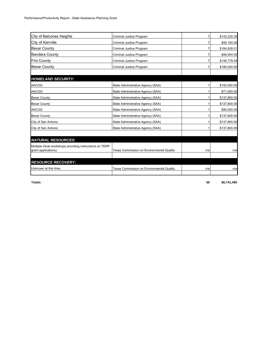| <b>City of Balcones Heights</b>                                                 | Criminal Justice Program                         |     | \$142,225.35 |
|---------------------------------------------------------------------------------|--------------------------------------------------|-----|--------------|
| City of Kerrville                                                               | Criminal Justice Program                         |     | \$49,160.00  |
| <b>Bexar County</b>                                                             | Criminal Justice Program                         | 1   | \$184,828.01 |
| <b>Bandera County</b>                                                           | Criminal Justice Program                         |     | \$99,954.00  |
| <b>Frio County</b>                                                              | Criminal Justice Program                         |     | \$148,779.54 |
| <b>Bexar County</b>                                                             | Criminal Justice Program                         |     | \$185,000.00 |
|                                                                                 |                                                  |     |              |
| <b>HOMELAND SECURITY:</b>                                                       |                                                  |     |              |
| <b>AACOG</b>                                                                    | State Administrative Agency (SAA)                |     | \$150,000.00 |
| <b>AACOG</b>                                                                    | State Administrative Agency (SAA)                |     | \$71,000.00  |
| <b>Bexar County</b>                                                             | State Administrative Agency (SAA)                |     | \$137,800.00 |
| <b>Bexar County</b>                                                             | State Administrative Agency (SAA)                |     | \$137,800.00 |
| <b>AACOG</b>                                                                    | State Administrative Agency (SAA)                |     | \$90,000.00  |
| <b>Bexar County</b>                                                             | State Administrative Agency (SAA)                |     | \$137,800.00 |
| City of San Antonio                                                             | State Administrative Agency (SAA)                |     | \$137,800.00 |
| City of San Antonio                                                             | State Administrative Agency (SAA)                |     | \$137,800.00 |
|                                                                                 |                                                  |     |              |
| <b>NATURAL RESOURCES:</b>                                                       |                                                  |     |              |
| Multiple (Host workshops providing instructions on TERP<br>grant applications). | Texas Commission on Environmental Quality        | n/a | n/a          |
|                                                                                 |                                                  |     |              |
| <b>RESOURCE RECOVERY:</b>                                                       |                                                  |     |              |
| Unknown at this time.                                                           | <b>Texas Commission on Environmental Quality</b> | n/a | n/a          |

**Totals: 50 \$6,741,490**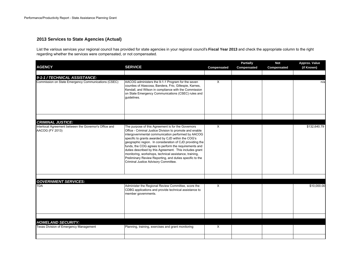## **2013 Services to State Agencies (Actual)**

List the various services your regional council has provided for state agencies in your regional council's **Fiscal Year 2013** and check the appropriate column to the right regarding whether the services were compensated, or not compensated.

| <b>AGENCY</b>                                                             | <b>SERVICE</b>                                                                                                                                                                                                                                                                                                                                                                                                                                                                                                                                                           | Compensated | <b>Partially</b><br>Compensated | <b>Not</b><br>Compensated | Approx. Value<br>(if Known) |
|---------------------------------------------------------------------------|--------------------------------------------------------------------------------------------------------------------------------------------------------------------------------------------------------------------------------------------------------------------------------------------------------------------------------------------------------------------------------------------------------------------------------------------------------------------------------------------------------------------------------------------------------------------------|-------------|---------------------------------|---------------------------|-----------------------------|
| 9-1-1 / TECHNICAL ASSISTANCE:                                             |                                                                                                                                                                                                                                                                                                                                                                                                                                                                                                                                                                          |             |                                 |                           |                             |
| Commission on State Emergency Communications (CSEC)                       | AACOG administers the 9-1-1 Program for the seven<br>counties of Atascosa, Bandera, Frio, Gillespie, Karnes,<br>Kendall, and Wilson in compliance with the Commission<br>on State Emergency Communications (CSEC) rules and<br>quidelines.                                                                                                                                                                                                                                                                                                                               | X           |                                 |                           | n/a                         |
|                                                                           |                                                                                                                                                                                                                                                                                                                                                                                                                                                                                                                                                                          |             |                                 |                           |                             |
| <b>CRIMINAL JUSTICE:</b>                                                  |                                                                                                                                                                                                                                                                                                                                                                                                                                                                                                                                                                          |             |                                 |                           |                             |
| Interlocal Agreement between the Governor's Office and<br>AACOG (FY 2013) | The purpose of this Agreement is for the Governors<br>Office - Criminal Justice Division to promote and enable<br>intergovernmental communication performed by AACOG<br>specific to grants awarded by CJD within the COG's<br>geographic region. In consideration of CJD providing the<br>funds, the COG agrees to perform the requirements and<br>duties described by this Agreement. This includes grant<br>monitoring, workshops, technical assistance, training,<br>Preliminary Review Reporting, and duties specific to the<br>Criminal Justice Advisory Committee. | X           |                                 |                           | \$132,640.79                |
|                                                                           |                                                                                                                                                                                                                                                                                                                                                                                                                                                                                                                                                                          |             |                                 |                           |                             |
| <b>GOVERNMENT SERVICES:</b>                                               |                                                                                                                                                                                                                                                                                                                                                                                                                                                                                                                                                                          |             |                                 |                           |                             |
| <b>TDA</b>                                                                | Administer the Regional Review Committee, score the<br>CDBG applications and provide technical assistance to<br>member governments.                                                                                                                                                                                                                                                                                                                                                                                                                                      | X           |                                 |                           | \$10,000.00                 |
|                                                                           |                                                                                                                                                                                                                                                                                                                                                                                                                                                                                                                                                                          |             |                                 |                           |                             |
| <b>HOMELAND SECURITY:</b>                                                 |                                                                                                                                                                                                                                                                                                                                                                                                                                                                                                                                                                          |             |                                 |                           |                             |
| Texas Division of Emergency Management                                    | Planning, training, exercises and grant monitoring                                                                                                                                                                                                                                                                                                                                                                                                                                                                                                                       | $\times$    |                                 |                           |                             |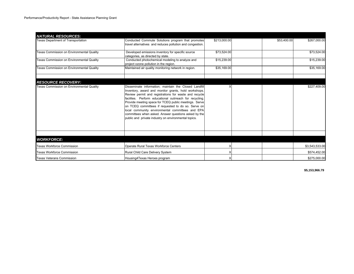| <b>NATURAL RESOURCES:</b>                        |                                                                                                                                                                                                                                                                                                                                                                                                                                                                                                                      |              |             |                |
|--------------------------------------------------|----------------------------------------------------------------------------------------------------------------------------------------------------------------------------------------------------------------------------------------------------------------------------------------------------------------------------------------------------------------------------------------------------------------------------------------------------------------------------------------------------------------------|--------------|-------------|----------------|
| <b>Texas Department of Transportation</b>        | Conducted Commute Solutions program that promotes<br>travel alternatives and reduces pollution and congestion.                                                                                                                                                                                                                                                                                                                                                                                                       | \$213,000.00 | \$53,400.00 | \$267,000.00   |
| Texas Commission on Environmental Quality        | Developed emissions inventory for specific source<br>categories, as directed by state.                                                                                                                                                                                                                                                                                                                                                                                                                               | \$73,524.00  |             | \$73,524.00    |
| <b>Texas Commission on Environmental Quality</b> | Conducted photochemical modeling to analyze and<br>project ozone pollution in the region.                                                                                                                                                                                                                                                                                                                                                                                                                            | \$15,239.00  |             | \$15,239.00    |
| Texas Commission on Environmental Quality        | Maintained air quality monitoring network in region.                                                                                                                                                                                                                                                                                                                                                                                                                                                                 | \$35,169.00  |             | \$35,169.00    |
| <b>RESOURCE RECOVERY:</b>                        |                                                                                                                                                                                                                                                                                                                                                                                                                                                                                                                      |              |             |                |
| Texas Commission on Environmental Quality        | Disseminate information: maintain the Closed Landfill<br>Inventory, award and monitor grants, hold workshops.<br>Review permit and registrations for waste and recycle<br>facilites. Perform educational outrreach for recycling.<br>Provide meeting space for TCEQ public meetings. Serve<br>on TCEQ committees if requested to do so. Serve on<br>local community environmental committees and EPA<br>committees when asked. Answer questions asked by the<br>public and private industry on environmental topics. |              |             | \$227,409.00   |
|                                                  |                                                                                                                                                                                                                                                                                                                                                                                                                                                                                                                      |              |             |                |
| <b>WORKFORCE:</b>                                |                                                                                                                                                                                                                                                                                                                                                                                                                                                                                                                      |              |             |                |
| <b>Texas Workforce Commission</b>                | Operate Rural Texas Workforce Centers                                                                                                                                                                                                                                                                                                                                                                                                                                                                                |              |             | \$3,543,533.00 |
| <b>Texas Workforce Commission</b>                | Rural Child Care Delivery System                                                                                                                                                                                                                                                                                                                                                                                                                                                                                     |              |             | \$574,452.00   |
| <b>Texas Veterans Commission</b>                 | Housing4Texas Heroes program                                                                                                                                                                                                                                                                                                                                                                                                                                                                                         |              |             | \$275,000.00   |

**\$5,153,966.79**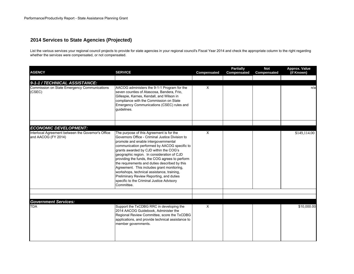# **2014 Services to State Agencies (Projected)**

List the various services your regional council projects to provide for state agencies in your regional council's Fiscal Year 2014 and check the appropriate column to the right regarding whether the services were compensated, or not compensated.

| <b>AGENCY</b>                                                             | <b>SERVICE</b>                                                                                                                                                                                                                                                                                                                                                                                                                                                                                                                                                                    | Compensated | <b>Partially</b><br>Compensated | <b>Not</b><br>Compensated | Approx. Value<br>(if Known) |
|---------------------------------------------------------------------------|-----------------------------------------------------------------------------------------------------------------------------------------------------------------------------------------------------------------------------------------------------------------------------------------------------------------------------------------------------------------------------------------------------------------------------------------------------------------------------------------------------------------------------------------------------------------------------------|-------------|---------------------------------|---------------------------|-----------------------------|
| 9-1-1 / TECHNICAL ASSISTANCE:                                             |                                                                                                                                                                                                                                                                                                                                                                                                                                                                                                                                                                                   |             |                                 |                           |                             |
| Commission on State Emergency Communications<br>(CSEC)                    | AACOG administers the 9-1-1 Program for the<br>seven counties of Atascosa, Bandera, Frio,<br>Gillespie, Karnes, Kendall, and Wilson in<br>compliance with the Commission on State<br>Emergency Communications (CSEC) rules and<br>guidelines.                                                                                                                                                                                                                                                                                                                                     | X           |                                 |                           | n/a                         |
| <b>ECONOMIC DEVELOPMENT:</b>                                              |                                                                                                                                                                                                                                                                                                                                                                                                                                                                                                                                                                                   |             |                                 |                           |                             |
| Interlocal Agreement between the Governor's Office<br>and AACOG (FY 2014) | The purpose of this Agreement is for the<br>Governors Office - Criminal Justice Division to<br>promote and enable intergovernmental<br>communication performed by AACOG specific to<br>grants awarded by CJD within the COG's<br>geographic region. In consideration of CJD<br>providing the funds, the COG agrees to perform<br>the requirements and duties described by this<br>Agreement. This includes grant monitoring,<br>workshops, technical assistance, training,<br>Preliminary Review Reporting, and duties<br>specific to the Criminal Justice Advisory<br>Committee. | X           |                                 |                           | \$149,114.00                |
|                                                                           |                                                                                                                                                                                                                                                                                                                                                                                                                                                                                                                                                                                   |             |                                 |                           |                             |
|                                                                           |                                                                                                                                                                                                                                                                                                                                                                                                                                                                                                                                                                                   |             |                                 |                           |                             |
| <b>Government Services:</b><br><b>TDA</b>                                 | Support the TxCDBG RRC in developing the<br>2014 AACOG Guidebook, Administer the<br>Regional Review Committee, score the TxCDBG<br>applications, and provide technical assistance to<br>member governments.                                                                                                                                                                                                                                                                                                                                                                       | X           |                                 |                           | \$10,000.00                 |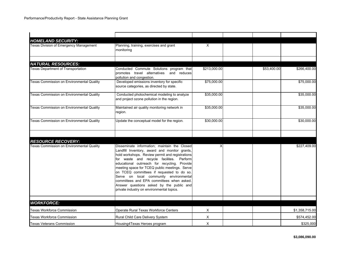| <b>HOMELAND SECURITY:</b>                 |                                                                                                                                                                                                                                                                                                                                                                                                                                                                                                                            |              |             |                |
|-------------------------------------------|----------------------------------------------------------------------------------------------------------------------------------------------------------------------------------------------------------------------------------------------------------------------------------------------------------------------------------------------------------------------------------------------------------------------------------------------------------------------------------------------------------------------------|--------------|-------------|----------------|
| Texas Division of Emergency Management    | Planning, training, exercises and grant<br>monitoring                                                                                                                                                                                                                                                                                                                                                                                                                                                                      | X            |             |                |
|                                           |                                                                                                                                                                                                                                                                                                                                                                                                                                                                                                                            |              |             |                |
| <b>NATURAL RESOURCES:</b>                 |                                                                                                                                                                                                                                                                                                                                                                                                                                                                                                                            |              |             |                |
| <b>Texas Department of Transportation</b> | Conducted Commute Solutions program that<br>promotes travel alternatives and reduces<br>pollution and congestion.                                                                                                                                                                                                                                                                                                                                                                                                          | \$213,000.00 | \$53,400.00 | \$266,400.00   |
| Texas Commission on Environmental Quality | Developed emissions inventory for specific<br>source categories, as directed by state.                                                                                                                                                                                                                                                                                                                                                                                                                                     | \$75,000.00  |             | \$75,000.00    |
| Texas Commission on Environmental Quality | Conducted photochemical modeling to analyze<br>and project ozone pollution in the region.                                                                                                                                                                                                                                                                                                                                                                                                                                  | \$35,000.00  |             | \$35,000.00    |
| Texas Commission on Environmental Quality | Maintained air quality monitoring network in<br>region.                                                                                                                                                                                                                                                                                                                                                                                                                                                                    | \$35,000.00  |             | \$35,000.00    |
| Texas Commission on Environmental Quality | Update the conceptual model for the region.                                                                                                                                                                                                                                                                                                                                                                                                                                                                                | \$30,000.00  |             | \$30,000.00    |
| <b>RESOURCE RECOVERY:</b>                 |                                                                                                                                                                                                                                                                                                                                                                                                                                                                                                                            |              |             |                |
| Texas Commission on Environmental Quality | Disseminate information; maintain the Closed<br>Landfill Inventory, award and monitor grants,<br>hold workshops. Review permit and registrations<br>for waste and recycle facilites. Perform<br>educational outrreach for recycling. Provide<br>meeting space for TCEQ public meetings. Serve<br>on TCEQ committees if requested to do so.<br>Serve on local community environmental<br>committees and EPA committees when asked.<br>Answer questions asked by the public and<br>private industry on environmental topics. | X            |             | \$227,409.00   |
| <b>WORKFORCE:</b>                         |                                                                                                                                                                                                                                                                                                                                                                                                                                                                                                                            |              |             |                |
| <b>Texas Workforce Commission</b>         | Operate Rural Texas Workforce Centers                                                                                                                                                                                                                                                                                                                                                                                                                                                                                      | $\times$     |             | \$1,358,715.00 |
| Texas Workforce Commission                | Rural Child Care Delivery System                                                                                                                                                                                                                                                                                                                                                                                                                                                                                           | X            |             | \$574,452.00   |
| <b>Texas Veterans Commission</b>          | Housing4Texas Heroes program                                                                                                                                                                                                                                                                                                                                                                                                                                                                                               | X            |             | \$325,000      |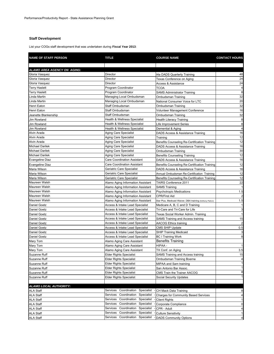#### **Staff Development**

List your COGs staff development that was undertaken during **Fiscal Year 2013**:

| <b>NAME OF STAFF PERSON</b> | <b>TITLE</b>                            | <b>COURSE NAME</b>                                        | <b>CONTACT HOURS</b>    |
|-----------------------------|-----------------------------------------|-----------------------------------------------------------|-------------------------|
|                             |                                         |                                                           |                         |
| ALAMO AREA AGENCY ON AGING: |                                         |                                                           |                         |
| Gloria Vasquez              | Director                                | t4a DADS Quarterly Training                               | 48                      |
| Gloria Vasquez              | Director                                | Texas Conference on Aging                                 | 24                      |
| Gloria Vasquez              | Director                                | <b>Access &amp; Assistance</b>                            | 24                      |
| <b>Terry Haslett</b>        | Program Coordinator                     | <b>TCOA</b>                                               | 4                       |
| <b>Terry Haslett</b>        | Program Coordinator                     | <b>SAMS Administrator Training</b>                        | 8                       |
| Linda Martin                | Managing Local Ombudsman                | Ombudsman Training                                        | 32                      |
| Linda Martin                | Managing Local Ombudsman                | National Consumer Voice for LTC                           | 20                      |
| Henri Eaton                 | Staff Ombudsman                         | Ombudsman Training                                        | 32                      |
| Henri Eaton                 | Staff Ombudsman                         | Volunteer Management Conference                           | 16                      |
| Jeanette Blankenship        | Staff Ombudsman                         | Ombudsman Training                                        | 32                      |
| Jim Rowland                 | Health & Wellness Specialist            | Health Literacy Training                                  | 8                       |
| Jim Rowland                 | Health & Wellness Specialist            | Life Improvement Series                                   | 8                       |
| <b>Jim Rowland</b>          | <b>Health &amp; Wellness Specialist</b> | Demential & Aging                                         | $\overline{\mathbf{4}}$ |
| Alvin Arada                 | Aging Care Specialist                   | DADS Access & Assistance Training                         | 16                      |
| Alvin Arada                 | Aging Care Specialist                   | Training                                                  | 12                      |
| Alvin Arada                 | Aging Care Specialist                   | Benefits Counseling Re-Certification Training             | 12                      |
| <b>Michael Darilek</b>      | Aging Care Specialist                   | DADS Access & Assistance Training                         | 16                      |
| <b>Michael Darilek</b>      | Aging Care Specialist                   | Ombudsman Training                                        | 30                      |
| <b>Michael Darilek</b>      | Aging Care Specialist                   | <b>Benefits Counseling Training</b>                       | 12                      |
| <b>Evangeline Diaz</b>      | <b>Care Coordination Assistant</b>      | DADS Access & Assistance Training                         | 16                      |
| <b>Evangeline Diaz</b>      | Care Coordination Assistant             | Benefits Counseling Re-Certification Training             | 12                      |
| Maria Wilson                | Geriatric Care Specialist               | DADS Access & Assistance Training                         | 16                      |
| Maria Wilson                | Geriatric Care Specialist               | Annual Ombudsman Re-Certification Training                | 12                      |
| Maria Wilson                | Geriatric Care Specialist               | Benefits Counseling Re-Certification Training             | 12                      |
| Maureen Walsh               | Alamo Aging Information Assistant       | TAIRS Conference 2011                                     | 22                      |
| Maureen Walsh               | Alamo Aging Information Assistant       | <b>SAMS Training</b>                                      | $\mathbf{1}$            |
| Maureen Walsh               | Alamo Aging Information Assistant       | <b>Psychotropic Medications</b>                           | 1.5                     |
| Maureen Walsh               | Alamo Aging Information Assistant       | <b>CPR/First Aid</b>                                      | $\overline{c}$          |
| Maureen Walsh               | Alamo Aging Information Assistant       | Star Plus, Medicaid Waiver, DBA training (Anthony Patron) | 1.5                     |
| <b>Daniel Goetz</b>         | Access & Intake Lead Specialist         | Medicare A, B, C and D Training                           | $\mathbf{1}$            |
| Daniel Goetz                | Access & Intake Lead Specialist         | Tri-Care and Tri-Care for Life                            | 3                       |
| Daniel Goetz                | Access & Intake Lead Specialist         | Texas Social Worker Admin. Training                       | $\mathbf{1}$            |
| Daniel Goetz                | Access & Intake Lead Specialist         | SAMS Training and Access training                         | 15                      |
| Daniel Goetz                | Access & Intake Lead Specialist         | <b>AACOG Ethics training</b>                              | $\overline{2}$          |
| Daniel Goetz                | Access & Intake Lead Specialist         | <b>CMS SHIP Update</b>                                    | 0.5                     |
| Daniel Goetz                | Access & Intake Lead Specialist         | <b>SHIP Training Medicaid</b>                             | 3                       |
| Daniel Goetz                |                                         |                                                           | 8                       |
| Mary Tom                    | Access & Intake Lead Specialist         | <b>BC I Training Work</b><br><b>Benefits Training</b>     |                         |
|                             | Alamo Aging Care Assistant              | HIPAA -                                                   | $\mathbf{1}$            |
| Mary Tom                    | Alamo Aging Care Assistant              |                                                           |                         |
| Mary Tom                    | Alamo Aging Care Assistant              | TX Conf. on Aging                                         | 3.5                     |
| Suzanne Ruff                | <b>Elder Rights Specialist</b>          | SAMS Training and Access training                         | 15                      |
| Suzanne Ruff                | Elder Rights Specialist                 | Ombudsman Training Boerne                                 | 4<br>$\mathbf{1}$       |
| Suzanne Ruff                | Elder Rights Specialist                 | MIPAA and Sam trainiing                                   |                         |
| Suzanne Ruff                | <b>Elder Rights Specialist</b>          | San Antonio Bar Assoc.                                    | $\mathbf{1}$<br>8       |
| Suzanne Ruff                | <b>Elder Rights Specialist</b>          | CMS Train the Trainer AACOG                               |                         |
| Suzanne Ruff                | Elder Rights Specialist                 | <b>Social Security Updates</b>                            | $\mathbf{1}$            |
| ALAMO LOCAL AUTHORITY:      |                                         |                                                           |                         |
|                             | Coordination<br>Specialist<br>Services  |                                                           |                         |
| <b>ALA Staff</b>            |                                         | CH Mack Data Training                                     | 8                       |
| <b>ALA Staff</b>            | Services<br>Coordination<br>Specialist  | <b>Charges for Community Based Services</b>               | 4                       |
| <b>ALA Staff</b>            | Coordination<br>Services<br>Specialist  | <b>Client Rights</b>                                      | $\mathbf{1}$            |
| <b>ALA Staff</b>            | Services<br>Coordination<br>Specialist  | Corporate Compliance                                      | $\mathbf 0$             |
| <b>ALA Staff</b>            | Coordination<br>Services<br>Specialist  | CPR - Adult                                               | $\overline{4}$          |
| <b>ALA Staff</b>            | Coordination<br>Services<br>Specialist  | <b>Culture Sensitivity</b>                                | $\mathbf{1}$            |
| <b>ALA Staff</b>            | Services<br>Coordination<br>Specialist  | <b>DADS Community Options</b>                             | $\overline{\mathbf{r}}$ |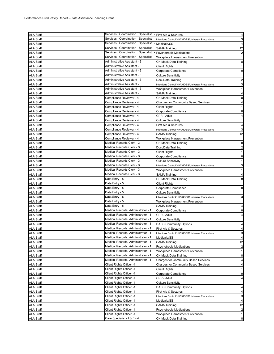| ALA Staff        | Services Coordination Specialist       | - First Aid & Seizures                             | 4                       |
|------------------|----------------------------------------|----------------------------------------------------|-------------------------|
| <b>ALA Staff</b> | Services<br>Coordination<br>Specialist | Infections Control/HIV/AIDES/Universal Precautions | 3                       |
| <b>ALA Staff</b> | Coordination Specialist<br>Services    | Medicaid/SS                                        | $\overline{4}$          |
| <b>ALA Staff</b> | Services Coordination Specialist       | <b>SAMA Training</b>                               | 12                      |
| <b>ALA Staff</b> | Services<br>Coordination Specialist    | <b>Psychotropic Medications</b>                    | $\overline{a}$          |
| <b>ALA Staff</b> | Services Coordination Specialist       | Workplace Harassment Prevention                    | $\mathbf{1}$            |
| <b>ALA Staff</b> | Administrative Assistant - 3           | CH Mack Data Training                              | 8                       |
| <b>ALA Staff</b> | Administrative Assistant - 3           | <b>Client Rights</b>                               | $\mathbf{1}$            |
| <b>ALA Staff</b> | Administrative Assistant - 3           | Corporate Compliance                               | $\mathbf 0$             |
| <b>ALA Staff</b> | Administrative Assistant - 3           | <b>Culture Sensitivity</b>                         | $\mathbf{1}$            |
| <b>ALA Staff</b> | Administrative Assistant - 3           | DocuData Training                                  | $\overline{a}$          |
| <b>ALA Staff</b> | Administrative Assistant - 3           | Infections Control/HIV/AIDES/Universal Precautions | $\mathbf{3}$            |
| <b>ALA Staff</b> | Administrative Assistant - 3           | Workplace Harassment Prevention                    | $\mathbf{1}$            |
| <b>ALA Staff</b> | Administrative Assistant - 3           | SAMA Training                                      | $\overline{\mathbf{4}}$ |
| <b>ALA Staff</b> | Compliance Reviewer - 4                | CH Mack Data Training                              | 8                       |
| <b>ALA Staff</b> | Compliance Reviewer - 4                | Charges for Community Based Services               | 4                       |
| <b>ALA Staff</b> | Compliance Reviewer - 4                | <b>Client Rights</b>                               | $\mathbf{1}$            |
| <b>ALA Staff</b> | Compliance Reviewer - 4                | Corporate Compliance                               | $\mathbf 0$             |
| <b>ALA Staff</b> | Compliance Reviewer - 4                | CPR - Adult                                        | 4                       |
| <b>ALA Staff</b> | Compliance Reviewer - 4                | <b>Culture Sensitivity</b>                         | $\mathbf{1}$            |
| <b>ALA Staff</b> | Compliance Reviewer - 4                | First Aid & Seizures                               | $\overline{\mathbf{4}}$ |
| <b>ALA Staff</b> | Compliance Reviewer - 4                | Infections Control/HIV/AIDES/Universal Precautions | 3                       |
| <b>ALA Staff</b> | Compliance Reviewer - 4                | SAMA Training                                      | 12                      |
| <b>ALA Staff</b> | Compliance Reviewer - 4                | Workplace Harassment Prevention                    | $\mathbf{1}$            |
| <b>ALA Staff</b> | Medical Records Clerk - 3              | CH Mack Data Training                              | 8                       |
| <b>ALA Staff</b> | Medical Records Clerk - 3              | DocuData Training                                  | $\overline{\mathbf{c}}$ |
| <b>ALA Staff</b> | Medical Records Clerk - 3              | Client Rights                                      | $\mathbf{1}$            |
| <b>ALA Staff</b> | Medical Records Clerk - 3              | Corporate Compliance                               | $\mathbf 0$             |
| <b>ALA Staff</b> | Medical Records Clerk - 3              | <b>Culture Sensitivity</b>                         | $\mathbf{1}$            |
| <b>ALA Staff</b> | Medical Records Clerk - 3              | Infections Control/HIV/AIDES/Universal Precautions | 3                       |
| <b>ALA Staff</b> | Medical Records Clerk - 3              | Workplace Harassment Prevention                    | $\mathbf{1}$            |
| <b>ALA Staff</b> | Medical Records Clerk - 3              | SAMA Training                                      | 4                       |
| <b>ALA Staff</b> | Data Entry - 5                         | CH Mack Data Training                              | 8                       |
| <b>ALA Staff</b> | Data Entry - 5                         | <b>Client Rights</b>                               | $\mathbf{1}$            |
| <b>ALA Staff</b> | Data Entry - 5                         | Corporate Compliance                               | $\overline{0}$          |
| <b>ALA Staff</b> | Data Entry - 5                         | <b>Culture Sensitivity</b>                         | $\mathbf{1}$            |
| <b>ALA Staff</b> | Data Entry - 5                         | Infections Control/HIV/AIDES/Universal Precautions | 3                       |
| <b>ALA Staff</b> | Data Entry - 5                         | Workplace Harassment Prevention                    | $\mathbf{1}$            |
| <b>ALA Staff</b> | Data Entry - 5                         | SAMA Training                                      | $\overline{\mathbf{4}}$ |
| <b>ALA Staff</b> | Medical Records Administrator - 1      | Corporate Compliance                               | $\mathbf 0$             |
| <b>ALA Staff</b> | Medical Records Administrator - 1      | CPR - Adult                                        | 4                       |
| <b>ALA Staff</b> | Medical Records Administrator - 1      | <b>Culture Sensitivity</b>                         | $\mathbf{1}$            |
| <b>ALA Staff</b> | Medical Records Administrator - 1      | <b>DADS Community Options</b>                      | 4                       |
| <b>ALA Staff</b> | Medical Records Administrator - 1      | First Aid & Seizures                               | 4                       |
| ALA Staff        | Medical Records Administrator - 1      | Infections Control/HIV/AIDES/Universal Precautions | 3                       |
| <b>ALA Staff</b> | Medical Records Administrator - 1      | Medicaid/SS                                        | 4                       |
| <b>ALA Staff</b> | Medical Records Administrator - 1      | <b>SAMA Training</b>                               | 12                      |
| ALA Staff        | Medical Records Administrator - 1      | <b>Psychotropic Medications</b>                    | $\overline{\mathbf{c}}$ |
| <b>ALA Staff</b> | Medical Records Administrator - 1      | Workplace Harassment Prevention                    | $\mathbf{1}$            |
| <b>ALA Staff</b> | Medical Records Administrator - 1      | CH Mack Data Training                              | 8                       |
| ALA Staff        | Medical Records Administrator - 1      | <b>Charges for Community Based Services</b>        | 4                       |
| <b>ALA Staff</b> | Client Rights Officer -1               | <b>Charges for Community Based Services</b>        | 4                       |
| <b>ALA Staff</b> | Client Rights Officer -1               | <b>Client Rights</b>                               | $\mathbf{1}$            |
| <b>ALA Staff</b> | Client Rights Officer -1               | Corporate Compliance                               | $\mathbf 0$             |
| <b>ALA Staff</b> | Client Rights Officer -1               | CPR - Adult                                        | $\overline{\mathbf{r}}$ |
| <b>ALA Staff</b> | Client Rights Officer -1               | <b>Culture Sensitivity</b>                         | $\mathbf{1}$            |
| <b>ALA Staff</b> | Client Rights Officer -1               | <b>DADS Community Options</b>                      | 4                       |
| <b>ALA Staff</b> | Client Rights Officer -1               | First Aid & Seizures                               | 4                       |
| <b>ALA Staff</b> | Client Rights Officer -1               | Infections Control/HIV/AIDES/Universal Precautions | 3                       |
| <b>ALA Staff</b> | Client Rights Officer -1               | Medicaid/SS                                        | 4                       |
| <b>ALA Staff</b> | Client Rights Officer -1               | <b>SAMA Training</b>                               | 12                      |
| <b>ALA Staff</b> | Client Rights Officer -1               | <b>Psychotropic Medications</b>                    | $\overline{a}$          |
| <b>ALA Staff</b> | Client Rights Officer -1               | Workplace Harassment Prevention                    | $\mathbf{1}$            |
| <b>ALA Staff</b> | Care Specialist - I & E - 4            | CH Mack Data Training                              | $\bf8$                  |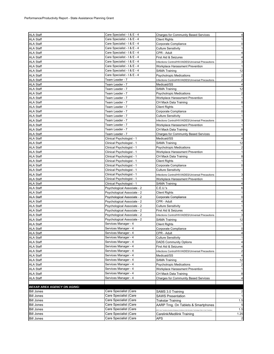| <b>ALA Staff</b>                   | Care Specialist - I & E - 4 | <b>Charges for Community Based Services</b>                                                                     | $\overline{\mathbf{4}}$ |
|------------------------------------|-----------------------------|-----------------------------------------------------------------------------------------------------------------|-------------------------|
| <b>ALA Staff</b>                   | Care Specialist - I & E - 4 | <b>Client Rights</b>                                                                                            | $\mathbf{1}$            |
| <b>ALA Staff</b>                   | Care Specialist - I & E - 4 | Corporate Compliance                                                                                            | $\mathbf 0$             |
| <b>ALA Staff</b>                   | Care Specialist - I & E - 4 | Culture Sensitivity                                                                                             | $\mathbf{1}$            |
| <b>ALA Staff</b>                   | Care Specialist - I & E - 4 | CPR - Adult                                                                                                     | 4                       |
| <b>ALA Staff</b>                   | Care Specialist - I & E - 4 | First Aid & Seizures                                                                                            | 4                       |
| <b>ALA Staff</b>                   | Care Specialist - I & E - 4 | Infections Control/HIV/AIDES/Universal Precautions                                                              | 3                       |
| <b>ALA Staff</b>                   | Care Specialist - I & E - 4 | Workplace Harassment Prevention                                                                                 | $\mathbf{1}$            |
| <b>ALA Staff</b>                   | Care Specialist - I & E - 4 | SAMA Training                                                                                                   | 12                      |
| <b>ALA Staff</b>                   | Care Specialist - I & E - 4 | <b>Psychotropic Medications</b>                                                                                 | $\overline{a}$          |
| <b>ALA Staff</b>                   | Team Leader - 7             | Infections Control/HIV/AIDES/Universal Precautions                                                              | $\overline{a}$          |
| <b>ALA Staff</b>                   | Team Leader - 7             | Medicaid/SS                                                                                                     | $\overline{a}$          |
| <b>ALA Staff</b>                   | Team Leader - 7             | <b>SAMA Training</b>                                                                                            | 12                      |
| <b>ALA Staff</b>                   | Team Leader - 7             | <b>Psychotropic Medications</b>                                                                                 | $\overline{2}$          |
| <b>ALA Staff</b>                   | Team Leader - 7             | Workplace Harassment Prevention                                                                                 | $\mathbf{1}$            |
| <b>ALA Staff</b>                   | Team Leader - 7             | CH Mack Data Training                                                                                           | 8                       |
| <b>ALA Staff</b>                   | Team Leader - 7             | <b>Client Rights</b>                                                                                            | $\mathbf{1}$            |
| <b>ALA Staff</b>                   | Team Leader - 7             | Corporate Compliance                                                                                            | $\mathbf 0$             |
| <b>ALA Staff</b>                   | Team Leader - 7             | <b>Culture Sensitivity</b>                                                                                      | $\mathbf{1}$            |
| <b>ALA Staff</b>                   | Team Leader - 7             | Infections Control/HIV/AIDES/Universal Precautions                                                              | 3                       |
| <b>ALA Staff</b>                   | Team Leader - 7             | Workplace Harassment Prevention                                                                                 | $\mathbf{1}$            |
| <b>ALA Staff</b>                   | Team Leader - 7             | CH Mack Data Training                                                                                           | 8                       |
| <b>ALA Staff</b>                   | Team Leader - 7             | <b>Charges for Community Based Services</b>                                                                     | $\overline{\mathbf{r}}$ |
| <b>ALA Staff</b>                   | Clinical Psychologist - 1   | Medicaid/SS                                                                                                     | $\overline{4}$          |
| <b>ALA Staff</b>                   | Clinical Psychologist - 1   | SAMA Training                                                                                                   | 12                      |
| <b>ALA Staff</b>                   | Clinical Psychologist - 1   | <b>Psychotropic Medications</b>                                                                                 | $\overline{a}$          |
| <b>ALA Staff</b>                   | Clinical Psychologist - 1   | Workplace Harassment Prevention                                                                                 | $\mathbf{1}$            |
| <b>ALA Staff</b>                   | Clinical Psychologist - 1   | CH Mack Data Training                                                                                           | 8                       |
| <b>ALA Staff</b>                   | Clinical Psychologist - 1   | <b>Client Rights</b>                                                                                            | $\mathbf{1}$            |
| <b>ALA Staff</b>                   | Clinical Psychologist - 1   | Corporate Compliance                                                                                            | $\overline{0}$          |
| <b>ALA Staff</b>                   | Clinical Psychologist - 1   | <b>Culture Sensitivity</b>                                                                                      | $\mathbf{1}$            |
| <b>ALA Staff</b>                   | Clinical Psychologist - 1   | Infections Control/HIV/AIDES/Universal Precautions                                                              | 3                       |
| <b>ALA Staff</b>                   | Clinical Psychologist - 1   | Workplace Harassment Prevention                                                                                 | $\mathbf{1}$            |
| <b>ALA Staff</b>                   | Clinical Psychologist - 1   | SAMA Training                                                                                                   | 4                       |
| <b>ALA Staff</b>                   | Psychological Associate - 2 | C.E.U.'s                                                                                                        | 6                       |
| <b>ALA Staff</b>                   | Psychological Associate - 2 | Client Rights                                                                                                   | $\mathbf{1}$            |
| <b>ALA Staff</b>                   | Psychological Associate - 2 | Corporate Compliance                                                                                            | $\mathbf 0$             |
| <b>ALA Staff</b>                   | Psychological Associate - 2 | CPR - Adult                                                                                                     | 4                       |
| <b>ALA Staff</b>                   | Psychological Associate - 2 | <b>Culture Sensitivity</b>                                                                                      | $\mathbf{1}$            |
| <b>ALA Staff</b>                   | Psychological Associate - 2 | First Aid & Seizures                                                                                            | 4                       |
| <b>ALA Staff</b>                   | Psychological Associate - 2 | Infections Control/HIV/AIDES/Universal Precautions                                                              | 3                       |
| <b>ALA Staff</b>                   | Psychological Associate - 2 | SAMA Training                                                                                                   | 12                      |
| <b>ALA Staff</b>                   | Services Manager - 4        | <b>Client Rights</b>                                                                                            | 1                       |
| <b>ALA Staff</b>                   | Services Manager - 4        | Corporate Compliance                                                                                            | $\mathbf 0$             |
| <b>ALA Staff</b>                   | Services Manager - 4        | CPR - Adult                                                                                                     | $\overline{4}$          |
| <b>ALA Staff</b>                   | Services Manager - 4        | <b>Culture Sensitivity</b>                                                                                      | $\mathbf{1}$            |
| <b>ALA Staff</b>                   | Services Manager - 4        | <b>DADS Community Options</b>                                                                                   | 4                       |
| <b>ALA Staff</b>                   | Services Manager - 4        | First Aid & Seizures                                                                                            | 4                       |
| <b>ALA Staff</b>                   | Services Manager - 4        | Infections Control/HIV/AIDES/Universal Precautions                                                              | $\overline{a}$          |
| <b>ALA Staff</b>                   | Services Manager - 4        | Medicaid/SS                                                                                                     | $\overline{\mathbf{r}}$ |
| <b>ALA Staff</b>                   | Services Manager - 4        | <b>SAMA Training</b>                                                                                            | 12                      |
| <b>ALA Staff</b>                   | Services Manager - 4        | <b>Psychotropic Medications</b>                                                                                 | $\overline{c}$          |
| <b>ALA Staff</b>                   | Services Manager - 4        | Workplace Harassment Prevention                                                                                 | $\mathbf{1}$            |
| <b>ALA Staff</b>                   | Services Manager - 4        | CH Mack Data Training                                                                                           | 8                       |
| <b>ALA Staff</b>                   | Services Manager - 4        | <b>Charges for Community Based Services</b>                                                                     | $\overline{a}$          |
|                                    |                             |                                                                                                                 |                         |
| <b>BEXAR AREA AGENCY ON AGING:</b> |                             |                                                                                                                 |                         |
| <b>Bill Jones</b>                  | Care Specialist (Care       | SAMS 3.0 Training                                                                                               | $\overline{\mathbf{c}}$ |
| <b>Bill Jones</b>                  | Care Specialist (Care       | <b>SAWS Presentation</b>                                                                                        | $\mathbf{1}$            |
| <b>Bill Jones</b>                  | Care Specialist (Care       | <b>Trakstar Training</b>                                                                                        | 1.5                     |
| <b>Bill Jones</b>                  | Care Specialist (Care       | AARP Trng. On Tablets & Smartphones                                                                             | 5                       |
| <b>Bill Jones</b>                  | Care Specialist (Care       | .<br>DRC Care Transitions Quarterly Workgroup Conference Call-Information Technology's Role in Care Transitions | 1.5                     |
| <b>Bill Jones</b>                  | Care Specialist (Care       | Carelink/Medilink Training                                                                                      | 1.25                    |
| <b>Bill Jones</b>                  | Care Specialist (Care       | APS                                                                                                             | $\overline{a}$          |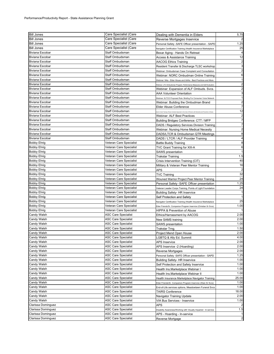| <b>Bill Jones</b>  | Care Specialist (Care      | Dealing with Dementia in Elders                                                                          | 5.75                    |
|--------------------|----------------------------|----------------------------------------------------------------------------------------------------------|-------------------------|
| <b>Bill Jones</b>  | Care Specialist (Care      | Reverse Mortgages Inservice                                                                              | 2                       |
| <b>Bill Jones</b>  | Care Specialist (Care      | Personal Safety -SAFE Officer presentation - SAPD                                                        | 1.25                    |
| <b>Bill Jones</b>  | Care Specialist (Care      | Navigator Certification Training (Health Insurance Marketplace                                           | 25                      |
| Biviana Escobar    | Staff Ombudsman            | Bexar Aging - Hands On Retreat                                                                           | 4                       |
| Biviana Escobar    | Staff Ombudsman            | <b>Access &amp; Assistance Training</b>                                                                  | 12                      |
| Biviana Escobar    | Staff Ombudsman            | AACOG Ethics Training                                                                                    | $\overline{a}$          |
| Biviana Escobar    | Staff Ombudsman            | Resident Transfer & Discharge TLSC workshop                                                              | 3                       |
| Biviana Escobar    | Staff Ombudsman            | Webinar: Ombudsman Case Complaint and Consultation                                                       | $\overline{a}$          |
| Biviana Escobar    | Staff Ombudsman            | Webinar: NORC Ombudman Online Training                                                                   | 6                       |
| Biviana Escobar    | Staff Ombudsman            | Webinar: N4a - Elder Abuse and AAAs : Best Practices and More                                            | $\mathbf{1}$            |
| Biviana Escobar    | Staff Ombudsman            | Webinar: LTC Ombudsman Program: Performance Measures and Self Evaluation                                 | $\overline{a}$          |
| Biviana Escobar    | Staff Ombudsman            | Webinar: Expansion of ALF Ombuds. Svcs.                                                                  | $\overline{a}$          |
| Biviana Escobar    | Staff Ombudsman            | <b>AAA Volunteer Orientation</b>                                                                         | 3                       |
| Biviana Escobar    | Staff Ombudsman            | Webinar: SLTCO Proposed Rule: Briefing For Consumer Voice Network                                        | $\mathbf{1}$            |
| Biviana Escobar    | Staff Ombudsman            | Webinar: Building the Ombudman Brand                                                                     | $\overline{\mathbf{c}}$ |
| Biviana Escobar    | Staff Ombudsman            | <b>Elder Abuse Conference</b>                                                                            | $\overline{7}$          |
| Biviana Escobar    | Staff Ombudsman            | and in Hand Training: Person-Centered Approach in the Care of Persons with Dementia and Prevention of Ab | 12                      |
| Biviana Escobar    | Staff Ombudsman            | Webinar: ALF Best Practices                                                                              | $\overline{a}$          |
| Biviana Escobar    | Staff Ombudsman            | Building Bridges Conference: CTT / MFP                                                                   | $\overline{7}$          |
| Biviana Escobar    | Staff Ombudsman            | DADS / Regulatory Services Division Training                                                             | $\overline{7}$          |
| Biviana Escobar    | Staff Ombudsman            | Webinar: Nursing Home Medical Necesity                                                                   | $\overline{a}$          |
| Biviana Escobar    | Staff Ombudsman            | DADS/LTCR & Ombudsman QTR Meetings                                                                       | 8                       |
| Biviana Escobar    | Staff Ombudsman            | DADS / LTCR / ALF Provider Training                                                                      | $\overline{\mathbf{4}}$ |
| <b>Bobby Ehrig</b> | Veteran Care Specialist    | <b>Battle Buddy Training</b>                                                                             | 8                       |
| <b>Bobby Ehrig</b> | Veteran Care Specialist    | TVC Grant Training for XIII-A                                                                            | 6                       |
| <b>Bobby Ehrig</b> | Veteran Care Specialist    | <b>SAWS</b> presentation                                                                                 | $\mathbf{1}$            |
| <b>Bobby Ehrig</b> | Veteran Care Specialist    | Trakstar Training                                                                                        | 1.5                     |
| <b>Bobby Ehrig</b> | Veteran Care Specialist    | Crisis Intervention Training (CIT)                                                                       | 40                      |
| <b>Bobby Ehrig</b> | Veteran Care Specialist    | Military & Veteran Peer Mentor Training                                                                  | 16                      |
| <b>Bobby Ehrig</b> | Veteran Care Specialist    | APS                                                                                                      | $\overline{c}$          |
| <b>Bobby Ehrig</b> | Veteran Care Specialist    | <b>TVC Training</b>                                                                                      | 32                      |
| <b>Bobby Ehrig</b> | Veteran Care Specialist    | Wouned Warrior Project Peer Mentor Training                                                              | 24                      |
| <b>Bobby Ehrig</b> | Veteran Care Specialist    | Personal Safety - SAFE Officer presentation                                                              | 1.25                    |
| <b>Bobby Ehrig</b> | Veteran Care Specialist    | Veteran Leader Corps Training, Points of Light Foundation                                                | 24                      |
| <b>Bobby Ehrig</b> | Veteran Care Specialist    | <b>Building Safety- HR Inservice</b>                                                                     | $\mathbf{1}$            |
| <b>Bobby Ehrig</b> | Veteran Care Specialist    | Self Protection and Safety                                                                               | $\mathbf{1}$            |
| Bobby Ehrig        | Veteran Care Specialist    | Navigator Certification Training (Health Insurance Marketplace                                           | 25                      |
| <b>Bobby Ehrig</b> | Veteran Care Specialist    | Elder Friends/Sr. Companion Program Inservice (Christian Sr Svcs)                                        | 1.00                    |
| <b>Bobby Ehrig</b> | Veteran Care Specialist    | <b>HIPPA &amp; Prevention of Abuse</b>                                                                   |                         |
| Candy Walsh        | ASC Care Specialist        | Ethics/Harrassment by AACOG                                                                              | 2.00                    |
| Candy Walsh        | ASC Care Specialist        | New SAMS training                                                                                        | 2.00                    |
| Candy Walsh        | <b>ASC Care Specialist</b> | SAWS presentation                                                                                        | 1.00                    |
| Candy Walsh        | ASC Care Specialist        | Trakstar Trng.                                                                                           | 1.50                    |
| Candy Walsh        | <b>ASC Care Specialist</b> | Project Mend Open House                                                                                  | 2.00                    |
| Candy Walsh        | ASC Care Specialist        | LGBTQ & Ally Ed. Summit                                                                                  | 4.00                    |
| Candy Walsh        | <b>ASC Care Specialist</b> | <b>APS Inservice</b>                                                                                     | 2.00                    |
| Candy Walsh        | ASC Care Specialist        | APS Inservice -2 (Hoarding)                                                                              | 2.00                    |
| Candy Walsh        | ASC Care Specialist        | Reverse Mortgages                                                                                        | 2.00                    |
| Candy Walsh        | <b>ASC Care Specialist</b> | Personal Safety -SAFE Officer presentation - SAPD                                                        | 1.25                    |
| Candy Walsh        | <b>ASC Care Specialist</b> | <b>Building Safety- HR Inservice</b>                                                                     | 1.00                    |
| Candy Walsh        | <b>ASC Care Specialist</b> | Self Protection and Safety Inservice                                                                     | 1.00                    |
| Candy Walsh        | <b>ASC Care Specialist</b> | Health Ins.Marketplace Webinar I                                                                         | 1.00                    |
| Candy Walsh        | ASC Care Specialist        | Health Ins.Marketplace Webinar II                                                                        | 1.00                    |
| Candy Walsh        | ASC Care Specialist        | Health Insurance Marketplace Navigator Training                                                          | 25.00                   |
| Candy Walsh        | <b>ASC Care Specialist</b> | Elder Friends/Sr. Companion Program Inservice (Xtian Sr Svcs)                                            | 1.00                    |
| Candy Walsh        | ASC Care Specialist        | End-of-Life services options, Meadowlawn Funeral Svcs                                                    | 1.00                    |
| Candy Walsh        | <b>ASC Care Specialist</b> | <b>TAIRS Conference</b>                                                                                  | 18.00                   |
| Candy Walsh        | <b>ASC Care Specialist</b> | Navigator Training Update                                                                                | 2.00                    |
| Candy Walsh        | ASC Care Specialist        | VIA Bus Services - Inservice                                                                             | 1.00                    |
| Clarissa Dominguez | <b>ASC Care Specialist</b> | APS                                                                                                      |                         |
| Clarissa Dominguez | ASC Care Specialist        | Disability Awareness/Working with Visually Impaired - In-service                                         | 1.5                     |
| Clarissa Dominguez | ASC Care Specialist        | APS - Hoarding - In-service                                                                              | $1\vert$                |
| Clarissa Dominguez | <b>ASC Care Specialist</b> | Reverse Mortgage                                                                                         | $\overline{a}$          |
|                    |                            |                                                                                                          |                         |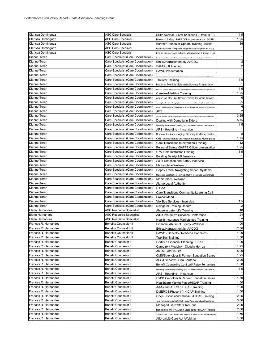| Clarissa Dominguez   | <b>ASC Care Specialist</b>          | SHIP Webinar - Form 1200 and LIS from TLSC                                                                 | 1.5    |
|----------------------|-------------------------------------|------------------------------------------------------------------------------------------------------------|--------|
| Clarissa Dominguez   | <b>ASC Care Specialist</b>          | Personal Safety -SAFE Officer presentation - SAPD                                                          | 1.25   |
| Clarissa Dominguez   | <b>ASC Care Specialist</b>          | Benefit Counselor Update Training, Austin                                                                  | 16     |
| Clarissa Dominguez   | ASC Care Specialist                 | Elder Friends/Sr. Companion Program Inservice (Xtian Sr Svcs)                                              |        |
| Clarissa Dominguez   | <b>ASC Care Specialist</b>          | End-of-Life services options, Meadowlawn Funeral Svcs                                                      |        |
| Dianne Teran         | Care Specialist (Care Coordination) | The importance of Filing Income Tax & Barriers to Filing Income Tax Faced by Marginalized Populations      |        |
| Dianne Teran         | Care Specialist (Care Coordination) | Ethics/Harrassment by AACOG                                                                                |        |
| Dianne Teran         | Care Specialist (Care Coordination) | SAMS 3.0 Training                                                                                          |        |
| Dianne Teran         | Care Specialist (Care Coordination) | <b>SAWS Presentation</b>                                                                                   |        |
| Dianne Teran         | Care Specialist (Care Coordination) |                                                                                                            |        |
| Dianne Teran         | Care Specialist (Care Coordination) | Trakstar Training                                                                                          | 1.5    |
| Dianne Teran         | Care Specialist (Care Coordination) | National Multiple Sclerosis Society Presentation                                                           |        |
| Dianne Teran         | Care Specialist (Care Coordination) | DRC Care Transitions Quarterly Workgroup Conference Call-Information Technology's Role in Care Transiti    | 1.5    |
| Dianne Teran         | Care Specialist (Care Coordination) | Carelink/Medilink Training                                                                                 | 1.25   |
| Dianne Teran         | Care Specialist (Care Coordination) | Abuse in Later Life: Cross-Training for Victim Service                                                     |        |
| Dianne Teran         | Care Specialist (Care Coordination) | mproving Care Transitions: Engaging Older Patients on the Issue of Preventing Re-Hospitalization           | 0.5    |
| Dianne Teran         | Care Specialist (Care Coordination) | What Ethical Social Workers Need to Know: Texas Law for the Social Worker                                  | 6      |
| Dianne Teran         | Care Specialist (Care Coordination) | <b>APS</b>                                                                                                 |        |
| Dianne Teran         | Care Specialist (Care Coordination) |                                                                                                            | 3.25   |
| Dianne Teran         | Care Specialist (Care Coordination) | .<br>All Faiths Welcome: Recognizing & Appreciating Religious Diversity & Inclusion in Practice & Policies | 5.75   |
| Dianne Teran         | Care Specialist (Care Coordination) | Dealing with Demetia in Elders                                                                             | 1.5    |
| Dianne Teran         | Care Specialist (Care Coordination) | Disability Awareness/Working with Visually Impaired - In-service                                           |        |
|                      |                                     | APS - Hoarding - In-service                                                                                |        |
| Dianne Teran         | Care Specialist (Care Coordination) | Summer Institute in Aging- Diversity in Mental Health                                                      | 1.75   |
| Dianne Teran         | Care Specialist (Care Coordination) | CMS: Introduction to the Health Insurance Marketplace                                                      |        |
| Dianne Teran         | Care Specialist (Care Coordination) | Care Transitions Intervention Training                                                                     | 12     |
| Dianne Teran         | Care Specialist (Care Coordination) | Personal Safety - SAFFE Officer presentation                                                               | 1.25   |
| Dianne Teran         | Care Specialist (Care Coordination) | <b>UIW Field Instructor Training</b>                                                                       | 5.5    |
| Dianne Teran         | Care Specialist (Care Coordination) | <b>Building Safety- HR Inservice</b>                                                                       |        |
| Dianne Teran         | Care Specialist (Care Coordination) | Self Protection and Safety Inservice                                                                       |        |
| Dianne Teran         | Care Specialist (Care Coordination) | Marketplace Webinar II                                                                                     |        |
| Dianne Teran         | Care Specialist (Care Coordination) | Happy Trails- Navigating School Systems                                                                    |        |
| Dianne Teran         | Care Specialist (Care Coordination) | Navigator Certification Training (Health Insurance Marketplace                                             | 25     |
| Dianne Teran         | Care Specialist (Care Coordination) | Marketplace Webinar I                                                                                      |        |
| Dianne Teran         | Care Specialist (Care Coordination) | Alamo Local Authority                                                                                      |        |
| Dianne Teran         | Care Specialist (Care Coordination) | HIPAA                                                                                                      |        |
| Dianne Teran         | Care Specialist (Care Coordination) | Care Transitions Community Learning Call                                                                   |        |
| Dianne Teran         | Care Specialist (Care Coordination) | Project Mend                                                                                               |        |
| Dianne Teran         | Care Specialist (Care Coordination) | VIA Bus Services - Inservice                                                                               | 1.5    |
| Dianne Teran         | Care Specialist (Care Coordination) | Navigator Training Update                                                                                  |        |
| Elena Hernandez      | <b>ASC Resource Specialist</b>      | Abuse in Later Life Training                                                                               | 48     |
| Elena Hernandez      | ASC Resource Specialist             | <b>Adult Protective Services Conference</b>                                                                | 24     |
| Elena Hernandez      | <b>ASC Resource Specialist</b>      | Health Insurance Marketplace Training                                                                      | 32     |
| Frances R. Hernandez | <b>Benefits Counselor II</b>        | Financial Abuse of Elderly - Webinar                                                                       | 1.00   |
| Frances R. Hernandez | <b>Benefits Counselor II</b>        | Ethics/Harrassment by AACOG                                                                                | 2.00   |
| Frances R. Hernandez | <b>Benefits Counselor II</b>        | SAWS - Benefits / Rebecca Gonzales                                                                         | $1.00$ |
| Frances R. Hernandez | <b>Benefits Counselor II</b>        | <b>TrakStar Training</b>                                                                                   | 1.50   |
| Frances R. Hernandez | <b>Benefit Counselor II</b>         | Certified Financial Planning / USAA                                                                        | 1.00   |
| Frances R. Hernandez | <b>Benefit Counselor II</b>         | CareLink / MedLink - Claudia Herrea                                                                        | 1.25   |
| Frances R. Hernandez | <b>Benefit Counselor II</b>         | Abuse Later in Life                                                                                        | 8.00   |
| Frances R. Hernandez | <b>Benefit Counselor II</b>         | <b>CMS/Stkeholder &amp; Partner Education Series</b>                                                       | 1.25   |
| Frances R. Hernandez | <b>Benefit Counselor II</b>         | APS/Overview - Lisa Senteno                                                                                | 2.00   |
| Frances R. Hernandez | <b>Benefit Counselor II</b>         | Benefit Counseling Conf call/ Patsy Fernandez                                                              | 1.00   |
| Frances R. Hernandez | <b>Benefit Counselor II</b>         | Disability Awareness/Working with Visually Impaired - In-service                                           | 1.5    |
| Frances R. Hernandez | <b>Benefit Counselor II</b>         | APS - Hoarding - In-service                                                                                |        |
| Frances R. Hernandez | <b>Benefit Counselor II</b>         | CMS/Stkeholder & Partner Education Series                                                                  | 1.50   |
| Frances R. Hernandez | <b>Benefit Counselor II</b>         | Healthcare Market Place/HICAP Training                                                                     | 1.50   |
| Frances R. Hernandez | <b>Benefit Counselor II</b>         | AAAs and ADRC / HICAP Training                                                                             | 1.00   |
| Frances R. Hernandez | <b>Benefit Counselor II</b>         | DMEPOS: Phase II ? HICAP Training                                                                          | 1.50   |
| Frances R. Hernandez | <b>Benefit Counselor II</b>         | Open Discussion: Tableau ?HICAP Training                                                                   | 2.25   |
| Frances R. Hernandez | <b>Benefit Counselor II</b>         | Lets Talk About "ACL/AOA, CMS, Legal Awarness & Legal Assistance                                           | 3.00   |
| Frances R. Hernandez | <b>Benefit Counselor II</b>         | Managed Care: Star, Star+Plus                                                                              | 2.00   |
| Frances R. Hernandez | <b>Benefit Counselor II</b>         | Hot Topics: MIPPA , Open Discussing / HICAP Training                                                       | 2.00   |
| Frances R. Hernandez | Benefit Counselor II                | National Senior Law Center- SSA, Medicare, Medicaid -same sex couple                                       | 1.50   |
| Frances R. Hernandez | <b>Benefit Counselor II</b>         | Affordalble Care Act /Webinar                                                                              | 1.00   |
|                      |                                     |                                                                                                            |        |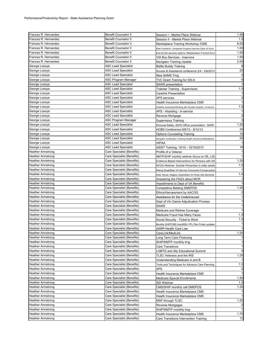| Frances R. Hernandez     | <b>Benefit Counselor II</b> | Session I - Market Place Webinar                                 | 1.50           |
|--------------------------|-----------------------------|------------------------------------------------------------------|----------------|
| Frances R. Hernandez     | <b>Benefit Counselor II</b> | Session II - Market Place Webinar                                | 1.5            |
| Frances R. Hernandez     | <b>Benefit Counselor II</b> | Marketplace Training Workshop / CMS                              | 8.00           |
| Frances R. Hernandez     | <b>Benefit Counselor II</b> | Elder Friends/Sr. Companion Program Inservice (Xtian Sr Svcs)    | 1.00           |
| Frances R. Hernandez     | <b>Benefit Counselor II</b> | End-of-Life services options, Meadowlawn Funeral Svcs            | 1.00           |
| Frances R. Hernandez     | <b>Benefit Counselor II</b> | VIA Bus Services - Inservice                                     | 1.50           |
| Frances R. Hernandez     | Benefit Counselor II        | Navigator Training Update                                        | 2.00           |
| George Losoya            | <b>ASC Lead Specialist</b>  | <b>Battle Buddy Training</b>                                     |                |
| George Losoya            | ASC Lead Specialist         | Access & Assistance conference 2/4 - 2/6/2013                    | 20             |
| George Losoya            | <b>ASC Lead Specialist</b>  | New SAMS Trng.                                                   |                |
| George Losoya            | ASC Program Manager         | TVC Grant Training for XIII-A                                    |                |
| George Losoya            | ASC Lead Specialist         | <b>SAWS</b> presentation                                         |                |
| George Losoya            | ASC Lead Specialist         | Trakstar Training - Supervisors                                  | 1.5            |
| George Losoya            | ASC Lead Specialist         | Carelink Presentation                                            |                |
| George Losoya            | <b>ASC Lead Specialist</b>  | <b>APS</b> services                                              |                |
| George Losoya            | ASC Lead Specialist         | Health Insurance Marketplace CMS                                 |                |
| George Losoya            | ASC Lead Specialist         | Disability Awareness/Working with Visually Impaired - In-service | 1.5            |
| George Losoya            | <b>ASC Lead Specialist</b>  | APS - Hoarding - In-service                                      |                |
| George Losoya            | ASC Lead Specialist         | Reverse Mortgage                                                 | $\overline{2}$ |
| George Losoya            | ASC Program Manager         | Supervisory Training                                             |                |
| George Losoya            | <b>ASC Lead Specialist</b>  | Personal Safety -SAFE Officer presentation - SAPD                | 1.25           |
| George Losoya            | ASC Lead Specialist         | HCBS Conference 9/9/13 - 9/12/13                                 | 24             |
| George Losoya            | <b>ASC Lead Specialist</b>  | <b>Options Counseling Training</b>                               | 16             |
| George Losoya            | <b>ASC Lead Specialist</b>  | Navigator Certification Training (Health Insurance Marketplace   | 25             |
| George Losoya            | ASC Lead Specialist         | HIPAA                                                            |                |
| George Losoya            | <b>ASC Lead Specialist</b>  | ASIST Training, 10/15 - 10/16/2013                               | 16             |
| <b>Heather Armstrong</b> | Care Specialist (Benefits)  | Profile of a Veteran                                             |                |
| <b>Heather Armstrong</b> | Care Specialist (Benefits)  | NMTP/SHIP monthly webinar (focus on OE, LIS)                     |                |
| Heather Armstrong        | Care Specialist (Benefits)  | Evidence Based Interventions for Persons with AD                 | 1.25           |
| <b>Heather Armstrong</b> | Care Specialist (Benefits)  | NCOA Webinar- Suicide Prevention in older adults                 | 1.5            |
| <b>Heather Armstrong</b> | Care Specialist (Benefits)  | Rating Disabilities VA Service Connected Compensation            |                |
| Heather Armstrong        | Care Specialist (Benefits)  | Elder Abuse, Neglect, Exploitation for those with dementia       | 1.5            |
| <b>Heather Armstrong</b> | Care Specialist (Benefits)  | Answering the FAQ's about MCR                                    |                |
| <b>Heather Armstrong</b> | Care Specialist (Benefits)  | Impediments to Dept of VA Benefits                               |                |
| Heather Armstrong        | Care Specialist (Benefits)  | <b>Competitive Bidding DMEPOS</b>                                | 1.25           |
| Heather Armstrong        | Care Specialist (Benefits)  | Ethics/Harrassment by AACOG                                      |                |
| <b>Heather Armstrong</b> | Care Specialist (Benefits)  | Assistance for the Underinsured                                  |                |
| Heather Armstrong        | Care Specialist (Benefits)  | Dept of VA Claims Adjudication Process                           |                |
| Heather Armstrong        | Care Specialist (Benefits)  | SAWS                                                             |                |
| <b>Heather Armstrong</b> | Care Specialist (Benefits)  | Medicare and Retiree Coverage                                    |                |
| <b>Heather Armstrong</b> | Care Specialist (Benefits)  | Medicare Fraud Has Many Faces                                    | 1.5            |
| <b>Heather Armstrong</b> | Care Specialist (Benefits)  | Social Security - Ticket to Work                                 | 1.5            |
| Heather Armstrong        | Care Specialist (Benefits)  | Monthly SHIP/CMS trng-MSN, FPL,Plan Finder updates               |                |
| Heather Armstrong        | Care Specialist (Benefits)  | AARP-Health Care Law                                             |                |
| <b>Heather Armstrong</b> | Care Specialist (Benefits)  | CareLink/MedLink                                                 | 1.25           |
| Heather Armstrong        | Care Specialist (Benefits)  | Long Term Care Financing                                         |                |
| Heather Armstrong        | Care Specialist (Benefits)  | SHIP/NMTP monthly trng                                           |                |
| <b>Heather Armstrong</b> | Care Specialist (Benefits)  | Care Transitions                                                 |                |
| <b>Heather Armstrong</b> | Care Specialist (Benefits)  | LGBTQ and Ally Educational Summit                                |                |
| Heather Armstrong        | Care Specialist (Benefits)  | TLSC Veterans and the IRS                                        | 1.25           |
| Heather Armstrong        | Care Specialist (Benefits)  | Understanding Medicare A and B                                   |                |
| <b>Heather Armstrong</b> | Care Specialist (Benefits)  | Tools and Techniques for Advance Care Planning                   | 1.5            |
| <b>Heather Armstrong</b> | Care Specialist (Benefits)  | APS                                                              |                |
| Heather Armstrong        | Care Specialist (Benefits)  | Health Insurance Marketplace CMS                                 |                |
| <b>Heather Armstrong</b> | Care Specialist (Benefits)  | <b>Medicare Special Enrollments</b>                              | 1.50           |
| <b>Heather Armstrong</b> | Care Specialist (Benefits)  | SSI Webinar                                                      | 1.5            |
| <b>Heather Armstrong</b> | Care Specialist (Benefits)  | CMS/SHIP monthly call DMEPOS                                     | 1.25           |
| Heather Armstrong        | Care Specialist (Benefits)  | Health Insurance Marketplace CMS                                 |                |
| <b>Heather Armstrong</b> | Care Specialist (Benefits)  | Health Insurance Marketplace CMS                                 |                |
| <b>Heather Armstrong</b> | Care Specialist (Benefits)  | MSP through TLSC                                                 | 1.25           |
| <b>Heather Armstrong</b> | Care Specialist (Benefits)  | Reverse Mortgages                                                |                |
| <b>Heather Armstrong</b> | Care Specialist (Benefits)  | SHIP/NMTP monthly trng                                           |                |
| Heather Armstrong        | Care Specialist (Benefits)  | Health Insurance Marketplace CMS                                 | 1.75           |
| Heather Armstrong        | Care Specialist (Benefits)  | Care Transitions Intervention Training                           | 12             |
|                          |                             |                                                                  |                |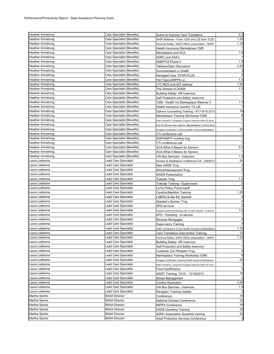| <b>Heather Armstrong</b> | Care Specialist (Benefits)  | Action to Improve Care Transitions                               | 0.5  |
|--------------------------|-----------------------------|------------------------------------------------------------------|------|
| <b>Heather Armstrong</b> | Care Specialist (Benefits)  | SHIP Webinar - Form 1200 and LIS from TLSC                       | 1.25 |
| <b>Heather Armstrong</b> | Care Specialist (Benefits)  | Personal Safety - SAFE Officer presentation - SAPD               | 1.25 |
| <b>Heather Armstrong</b> | Care Specialist (Benefits)  | Health Insurance Marketplace CMS                                 |      |
| <b>Heather Armstrong</b> | Care Specialist (Benefits)  | Marketplace and ACA                                              | 1.5  |
| <b>Heather Armstrong</b> | Care Specialist (Benefits)  | ADRC and AAA's                                                   |      |
| <b>Heather Armstrong</b> | Care Specialist (Benefits)  | DMEPOS Phase II                                                  | 1.5  |
| <b>Heather Armstrong</b> | Care Specialist (Benefits)  | Tableau/Open Discussion                                          | 2.25 |
| <b>Heather Armstrong</b> | Care Specialist (Benefits)  | Documentation in SAMS                                            |      |
| <b>Heather Armstrong</b> | Care Specialist (Benefits)  | Managed Care: STAR PLUS                                          |      |
| <b>Heather Armstrong</b> | Care Specialist (Benefits)  | Hot Topics;MIPPA i.e                                             | 1.5  |
| <b>Heather Armstrong</b> | Care Specialist (Benefits)  | LTC MCD and QIT webinar                                          | 1.25 |
| <b>Heather Armstrong</b> | Care Specialist (Benefits)  | The Demise of DOMA                                               | 1.5  |
| <b>Heather Armstrong</b> | Care Specialist (Benefits)  | Building Safety- HR Inservice                                    |      |
| <b>Heather Armstrong</b> | Care Specialist (Benefits)  | Self Protection and Safety Inservice                             |      |
| <b>Heather Armstrong</b> | Care Specialist (Benefits)  | CMS - Health Ins.Marketplace Webinar II                          | 1.5  |
| <b>Heather Armstrong</b> | Care Specialist (Benefits)  | Health Insurance monthly TX call                                 |      |
| <b>Heather Armstrong</b> | Care Specialist (Benefits)  | Options Counseling Training - 9/17-9/18 2013                     | 16   |
| <b>Heather Armstrong</b> | Care Specialist (Benefits)  | Marketplace Training Workshop / CMS                              | 8    |
| <b>Heather Armstrong</b> | Care Specialist (Benefits)  | Elder Friends/Sr. Companion Program Inservice (Xtian Sr Svcs)    |      |
| <b>Heather Armstrong</b> | Care Specialist (Benefits)  | End-of-Life services options, Meadowlawn Funeral Svcs            |      |
| <b>Heather Armstrong</b> | Care Specialist (Benefits)  | Navigator Certification Training (Health Insurance Marketplace   | 25   |
| <b>Heather Armstrong</b> | Care Specialist (Benefits)  | CTI conference call                                              |      |
| <b>Heather Armstrong</b> | Care Specialist (Benefits)  | SHIP/NMTP monthly trng                                           |      |
| <b>Heather Armstrong</b> | Care Specialist (Benefits)  | CTI conference call                                              |      |
| <b>Heather Armstrong</b> | Care Specialist (Benefits)  | ACA-What It Means for Seniors                                    | 0.5  |
| <b>Heather Armstrong</b> | Care Specialist (Benefits)  | <b>ACA-What It Means for Seniors</b>                             |      |
| <b>Heather Armstrong</b> | Care Specialist (Benefits)  | VIA Bus Services - Inservice                                     | 1.5  |
| Laura Ledesma            | Lead Care Specialist        | Access & Assistance conference 2/4 - 2/6/2013                    | 20   |
| Laura Ledesma            | <b>Lead Care Specialist</b> | New SAMS Trng.                                                   | 2    |
| Laura Ledesma            | <b>Lead Care Specialist</b> | Ethics/Harrassment Trng                                          | 2    |
| Laura Ledesma            | <b>Lead Care Specialist</b> | SAWS Presentation                                                |      |
| Laura Ledesma            | Lead Care Specialist        | Trakstar Trng.                                                   | 1.5  |
| Laura Ledesma            | Lead Care Specialist        | Trakstar Training - Supervisors                                  |      |
| Laura Ledesma            | <b>Lead Care Specialist</b> | La Fe Policy /Food Insuff.                                       |      |
| Laura Ledesma            | <b>Lead Care Specialist</b> | Carelink/Medilink Training                                       | 1.25 |
| Laura Ledesma            | Lead Care Specialist        | LGBTQ & Ally Ed. Summit                                          |      |
| Laura Ledesma            | <b>Lead Care Specialist</b> | Speaker's Bureau Trng.                                           |      |
| Laura Ledesma            | <b>Lead Care Specialist</b> | APS services                                                     |      |
| Laura Ledesma            | Lead Care Specialist        | Disability Awareness/Working with Visually Impaired - In-service | 1.5  |
| Laura Ledesma            | Lead Care Specialist        | APS - Hoarding - In-service                                      |      |
| Laura Ledesma            | Lead Care Specialist        | Reverse Mortgages                                                | 2    |
| Laura Ledesma            | <b>Lead Care Specialist</b> | <b>Supervisory Training</b>                                      |      |
| Laura Ledesma            | Lead Care Specialist        | CMS: Introduction to the Health Insurance Marketplace            | 1.75 |
| Laura Ledesma            | Lead Care Specialist        | Care Transitions Intervention Training                           | 12   |
| Laura Ledesma            | Lead Care Specialist        | Personal Safety -SAFE Officer presentation - SAPD                | 1.25 |
| Laura Ledesma            | Lead Care Specialist        | <b>Building Safety-HR Inservice</b>                              |      |
| Laura Ledesma            | <b>Lead Care Specialist</b> | Self Protection and Safety Inservice                             |      |
| Laura Ledesma            | Lead Care Specialist        | Cuidando Con Respeto Trng.                                       | 3    |
| Laura Ledesma            | Lead Care Specialist        | Marketplace Training Workshop / CMS                              | 8    |
| Laura Ledesma            | Lead Care Specialist        | Navigator Certification Training (Health Insurance Marketplace   | 25   |
| Laura Ledesma            | <b>Lead Care Specialist</b> | Elder Friends/Sr. Companion Program Inservice (Xtian Sr Svcs)    |      |
| Laura Ledesma            | <b>Lead Care Specialist</b> | Food Insufficiency                                               | 5    |
| Laura Ledesma            | Lead Care Specialist        | ASIST Training, 10/15 - 10/16/2013                               | 16   |
| Laura Ledesma            | Lead Care Specialist        | Stress Management                                                | 3    |
| Laura Ledesma            | <b>Lead Care Specialist</b> | <b>Conflict Resolution</b>                                       | 3.25 |
| Laura Ledesma            | Lead Care Specialist        | VIA Bus Services - Inservice                                     | 1.5  |
| Laura Ledesma            | Lead Care Specialist        | Navigator Training Update                                        |      |
| Martha Spinks            | <b>BAAA Director</b>        | Conference                                                       | 16   |
| Martha Spinks            | <b>BAAA Director</b>        | National Grantee Conference                                      | 32   |
| Martha Spinks            | <b>BAAA Director</b>        | <b>MIPPA Conference</b>                                          | 16   |
| Martha Spinks            | <b>BAAA Director</b>        | <b>DADS Quarterly Training</b>                                   | 32   |
| Martha Spinks            | <b>BAAA Director</b>        | ADRC Association Quarterly training                              | 32   |
| Martha Spinks            | <b>BAAA Director</b>        | Adult Protective Services Conference                             | 3    |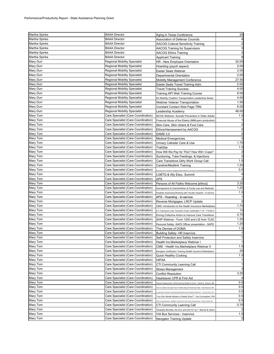| Martha Spinks | <b>BAAA Director</b>                | Aging in Texas Conference                                                                               | 20                      |
|---------------|-------------------------------------|---------------------------------------------------------------------------------------------------------|-------------------------|
| Martha Spinks | <b>BAAA Director</b>                | Association of Defense Councils                                                                         |                         |
| Martha Spinks | <b>BAAA Director</b>                | <b>AACOG Cultural Sensitivity Training</b>                                                              | $\overline{\mathbf{c}}$ |
| Martha Spinks | <b>BAAA Director</b>                | <b>AACOG Training for Supervisors</b>                                                                   | 3                       |
| Martha Spinks | <b>BAAA Director</b>                | <b>AACOG Ethics Training</b>                                                                            | $\overline{\mathbf{c}}$ |
| Martha Spinks | <b>BAAA Director</b>                | <b>Applicant Training</b>                                                                               | 8                       |
| Mary Durr     | Regional Mobility Specialist        | HR - New Employee Orientation                                                                           | 32.00                   |
| Mary Durr     | <b>Regional Mobility Specialist</b> | Hoarding (psych aspect)                                                                                 | 2.00                    |
| Mary Durr     | <b>Regional Mobility Specialist</b> | Easter Seals Webinar                                                                                    | 2.00                    |
| Mary Durr     | Regional Mobility Specialist        | Departmental Orientation                                                                                | 2.00                    |
| Mary Durr     | <b>Regional Mobility Specialist</b> | <b>Mobility Management Conference</b>                                                                   | 27.50                   |
| Mary Durr     | <b>Regional Mobility Specialist</b> | Easter Seals Travel Training Adm                                                                        | 2.00                    |
| Mary Durr     | <b>Regional Mobility Specialist</b> | Travel Training Success:                                                                                | 4.00                    |
| Mary Durr     | <b>Regional Mobility Specialist</b> | Training API Web Training Course                                                                        | 8.00                    |
| Mary Durr     | <b>Regional Mobility Specialist</b> | SA Mobility Coalition Transportation Leadership Series                                                  | 4.00                    |
| Mary Durr     | <b>Regional Mobility Specialist</b> | <b>Webinar Veteran Transportation</b>                                                                   | 1.50                    |
| Mary Durr     | <b>Regional Mobility Specialist</b> | Constant Contact Web Page TRN                                                                           | 6.00                    |
| Mary Durr     | <b>Regional Mobility Specialist</b> | Leadership Academy                                                                                      | 48.00                   |
| Mary Tom      | Care Specialist (Care Coordination) | NCOA Webinar- Suicide Prevention in Older Adults                                                        | 1.5                     |
| Mary Tom      | Care Specialist (Care Coordination) | Financial Abuse of the Elderly (MMLearn production)                                                     |                         |
| Mary Tom      | Care Specialist (Care Coordination) | Skin Care, Skin Ulcers & Foot Care                                                                      | 2                       |
| Mary Tom      | Care Specialist (Care Coordination) | Ethics/Harrassment by AACOG                                                                             | $\overline{\mathbf{c}}$ |
| Mary Tom      | Care Specialist (Care Coordination) | <b>SAMS 3.0</b>                                                                                         | $\overline{\mathbf{c}}$ |
| Mary Tom      | Care Specialist (Care Coordination) | <b>Medical Emergencies</b>                                                                              | $\overline{c}$          |
| Mary Tom      | Care Specialist (Care Coordination) | Urinary Catheter Care & Use                                                                             | 1.75                    |
| Mary Tom      | Care Specialist (Care Coordination) | TrakStar                                                                                                | 1.5                     |
| Mary Tom      | Care Specialist (Care Coordination) | How Will We Pay for This? How Will I Cope?                                                              | 2                       |
| Mary Tom      | Care Specialist (Care Coordination) | Suctioning, Tube Feedings, & Injections                                                                 | $\overline{\mathbf{c}}$ |
| Mary Tom      | Care Specialist (Care Coordination) | Care Transitions Qtrly Work Group Call                                                                  | 1.5                     |
| Mary Tom      | Care Specialist (Care Coordination) | Carelink/Medilink Training                                                                              | 1.25                    |
| Mary Tom      | Care Specialist (Care Coordination) | proving Care Transitions: Engaging Older Patients on the Issue of Preventing Re-Hospitalization         | 0.5                     |
| Mary Tom      | Care Specialist (Care Coordination) | LGBTQ & Ally Educ. Summit                                                                               |                         |
| Mary Tom      | Care Specialist (Care Coordination) | APS                                                                                                     |                         |
| Mary Tom      | Care Specialist (Care Coordination) | Persons of All Faiths Welcome [ethics]                                                                  | 3.25                    |
| Mary Tom      | Care Specialist (Care Coordination) | Grandparents & Grandchildren & Family Law and Medicaid                                                  | 1.25                    |
| Mary Tom      | Care Specialist (Care Coordination) | Disability Awareness/Working with Visually Impaired - In-service                                        | 1.5                     |
| Mary Tom      | Care Specialist (Care Coordination) | APS - Hoarding - In-service                                                                             |                         |
| Mary Tom      | Care Specialist (Care Coordination) | Reverse Mortgages; LRCP Update                                                                          | $\overline{\mathbf{c}}$ |
| Mary Tom      | Care Specialist (Care Coordination) | CMS: Introduction to the Health Insurance Marketplace                                                   | 1.75                    |
| Mary Tom      | Care Specialist (Care Coordination) | CTI Training for Care Transition Coach certification 7-18 - 7/19/2013                                   | 12                      |
| Mary Tom      | Care Specialist (Care Coordination) | Driving Collective Action to Improve Care Transitions                                                   | 0.75                    |
| Mary Tom      | Care Specialist (Care Coordination) | SHIP Webinar - Form 1200 and LIS from TLSC                                                              | 1.25                    |
| Mary Tom      | Care Specialist (Care Coordination) | Personal Safety -SAFE Officer presentation - SAPD                                                       | 1.25                    |
| Mary Tom      | Care Specialist (Care Coordination) | The Demise of DOMA                                                                                      | 1.5                     |
| Mary Tom      | Care Specialist (Care Coordination) | Building Safety- HR Inservice                                                                           |                         |
| Mary Tom      | Care Specialist (Care Coordination) | Self Protection and Safety Inservice                                                                    | 1                       |
| Mary Tom      | Care Specialist (Care Coordination) | Health Ins. Marketplace Webinar I                                                                       | 1                       |
| Mary Tom      | Care Specialist (Care Coordination) | CMS - Health Ins.Marketplace Webinar II                                                                 | 1.5                     |
| Mary Tom      | Care Specialist (Care Coordination) | Navigator Certification Training (Health Insurance Marketplace                                          | 25                      |
| Mary Tom      | Care Specialist (Care Coordination) | <b>Quick Healthy Cooking</b>                                                                            | 1.5                     |
| Mary Tom      | Care Specialist (Care Coordination) | <b>HIPAA</b>                                                                                            |                         |
| Mary Tom      | Care Specialist (Care Coordination) | CTI Community Learning Call                                                                             | 1                       |
| Mary Tom      | Care Specialist (Care Coordination) | Stress Management                                                                                       | 3                       |
| Mary Tom      | Care Specialist (Care Coordination) | <b>Conflict Resolution</b>                                                                              | 3.25                    |
| Mary Tom      | Care Specialist (Care Coordination) | Heartsaver CPR & First Aid                                                                              |                         |
| Mary Tom      | Care Specialist (Care Coordination) | 'Macular Degeneration: What Everyone Needs to Know" - Danial A. Johnson, MD                             | 0.5                     |
| Mary Tom      | Care Specialist (Care Coordination) | Feel Your Best at Any Age! Tips for Healthy Aging & Preventing Frailty" - Sara Espinoza, MD             | 0.5                     |
| Mary Tom      | Care Specialist (Care Coordination) | Leap toward Treatment: Unraveling the Mechanisms that Link Aging to Alzheimer's" - Veronica Galvan, PhD | 0.5                     |
| Mary Tom      | Care Specialist (Care Coordination) | 'Your Diet: Murder Mystery or Reality Show?" - Sue Cunningham, PhD                                      | 0.5                     |
| Mary Tom      | Care Specialist (Care Coordination) | aths to Aging Research: Highlights of Articles from San Antonio Express-News" - Steven Austed, PhD      | 0.5                     |
| Mary Tom      | Care Specialist (Care Coordination) | CTI Community Learning Call                                                                             | 0.75                    |
| Mary Tom      | Care Specialist (Care Coordination) | 'Disability Benefits, the Do's and Don't's" by T. Barnes & others                                       |                         |
| Mary Tom      | Care Specialist (Care Coordination) | VIA Bus Services - Inservice                                                                            | 1.5                     |
| Mary Tom      | Care Specialist (Care Coordination) | Navigator Training Update                                                                               | $\overline{a}$          |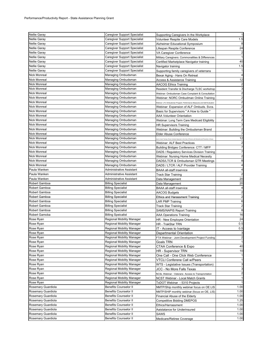| <b>Nellie Garay</b> | Caregiver Support Specialist        | Supporting Caregivers In the Workplace                                                                     | $\overline{1}$          |
|---------------------|-------------------------------------|------------------------------------------------------------------------------------------------------------|-------------------------|
| <b>Nellie Garay</b> | Caregiver Support Specialist        | Volunteer Respite Care Models                                                                              | 1.5                     |
| Nellie Garay        | Caregiver Support Specialist        | Alzheimer Educational Symposium                                                                            | 8                       |
| Nellie Garay        | Caregiver Support Specialist        | Lifespan Respite Conference                                                                                | 24                      |
| <b>Nellie Garay</b> | Caregiver Support Specialist        |                                                                                                            | $\overline{2}$          |
| Nellie Garay        | <b>Caregiver Support Specialist</b> | VA Caregiver Conference                                                                                    | -1                      |
|                     |                                     | Military Caregivers: Commonalities & Differences                                                           | 40                      |
| <b>Nellie Garay</b> | Caregiver Support Specialist        | Certified Marketplace Navigator training                                                                   |                         |
| Nellie Garay        | Caregiver Support Specialist        | Navigator training                                                                                         | 1.5                     |
| <b>Nellie Garay</b> | Caregiver Support Specialist        | Supporting family caregivers of veterrans                                                                  | $\mathbf 1$             |
| Nick Monreal        | Managing Ombudsman                  | Bexar Aging - Hans On Retreat                                                                              | 4                       |
| <b>Nick Monreal</b> | Managing Ombudsman                  | Access & Assistance Training                                                                               | 12                      |
| Nick Monreal        | Managing Ombudsman                  | AACOG Ethics Training                                                                                      | $\overline{2}$          |
| <b>Nick Monreal</b> | Managing Ombudsman                  | Resident Transfer & Discharge TLSC workshop                                                                | 3                       |
| Nick Monreal        | Managing Ombudsman                  | Webinar: Ombudsman Case Complaint & Consultation                                                           | $\overline{2}$          |
| <b>Nick Monreal</b> | Managing Ombudsman                  | Webinar: NORC Ombudman Online Training                                                                     | $\overline{\mathbf{c}}$ |
| <b>Nick Monreal</b> | Managing Ombudsman                  | Webinar: LTC Ombudsman Program: Performance Measures and Self Evaluation                                   | $\overline{c}$          |
| Nick Monreal        | Managing Ombudsman                  | Webinar: Expansion of ALF Ombuds. Svcs.                                                                    | $\overline{c}$          |
| <b>Nick Monreal</b> | Managing Ombudsman                  | Basic for Supervisors " A How to Guide "                                                                   | 4                       |
| <b>Nick Monreal</b> | Managing Ombudsman                  | <b>AAA Volunteer Orientation</b>                                                                           | 3                       |
| <b>Nick Monreal</b> | Managing Ombudsman                  | Webinar: Long Term Care Medicaid Eligibility                                                               | $\overline{2}$          |
| <b>Nick Monreal</b> | Managing Ombudsman                  | HR Supervisors Training                                                                                    | 3                       |
| <b>Nick Monreal</b> | Managing Ombudsman                  | Webinar: Building the Ombudsman Brand                                                                      | $\overline{\mathbf{c}}$ |
| Nick Monreal        | Managing Ombudsman                  | Elder Abuse Conference                                                                                     | $\overline{7}$          |
| <b>Nick Monreal</b> | Managing Ombudsman                  | and in Hand Training: Person-Centered Approach in the Care of Persons with Dementia and Prevention of Abus | 12                      |
| Nick Monreal        | Managing Ombudsman                  | Webinar: ALF Best Practices                                                                                | $\overline{2}$          |
| <b>Nick Monreal</b> | Managing Ombudsman                  | Building Bridges Conference: CTT / MFP                                                                     | $\overline{7}$          |
| <b>Nick Monreal</b> | Managing Ombudsman                  | DADS / Regulatory Services Division Training                                                               | $\overline{7}$          |
| Nick Monreal        | Managing Ombudsman                  | Webinar: Nursing Home Medical Necesity                                                                     | $\overline{c}$          |
| Nick Monreal        | Managing Ombudsman                  |                                                                                                            | 8                       |
| <b>Nick Monreal</b> |                                     | DADS/LTCR & Ombudsman QTR Meetings                                                                         | 4                       |
| Paula Wanken        | Managing Ombudsman                  | DADS / LTCR / ALF Provider Training                                                                        | 4                       |
|                     | Administrative Assistant            | <b>BAAA all-staff inservice</b>                                                                            | $\overline{2}$          |
| Paula Wanken        | Administrative Assistant            | <b>Track Star Training</b>                                                                                 |                         |
| Paula Wanken        | Administrative Assistant            | Data Management                                                                                            | 20                      |
| Robert Gamboa       | <b>Billing Specialist</b>           | Data Management                                                                                            | 20                      |
| Robert Gamboa       | <b>Billing Specialist</b>           | <b>BAAA</b> all-staff inservice                                                                            | 4                       |
| Robert Gamboa       | <b>Billing Specialist</b>           | <b>AACOG Budgets</b>                                                                                       | $\overline{c}$          |
| Robert Gamboa       | <b>Billing Specialist</b>           | Ethics and Harassment Training                                                                             | 2                       |
| Robert Gamboa       | <b>Billing Specialist</b>           | LAR PMP Training                                                                                           | 6                       |
| Robert Gamboa       | <b>Billing Specialist</b>           | <b>Track Star Training</b>                                                                                 | $\overline{2}$          |
| Robert Gamboa       | <b>Billing Specialist</b>           | <b>SAMS/NAPIS Report Training</b>                                                                          | 8                       |
| Robert Gamoba       | <b>Billing Speicalist</b>           | AAA Operations Training                                                                                    | 16                      |
| Rose Ryan           | <b>Regional Mobility Manager</b>    | HR - New Employee Orientation                                                                              | 24                      |
| Rose Ryan           | <b>Regional Mobility Manager</b>    | HR - TrakStar TRN                                                                                          | 0.5                     |
| Rose Ryan           | <b>Regional Mobility Manager</b>    | IT - Access to Ivantage                                                                                    | 0.5                     |
| Rose Ryan           | Regional Mobility Manager           | Departmental Orientation                                                                                   | 3                       |
| Rose Ryan           | Regional Mobility Manager           | FTA Webinar - Joint Development Project Funding                                                            | $\overline{2}$          |
| Rose Ryan           | Regional Mobility Manager           | Goals TRN                                                                                                  | $\mathbf{1}$            |
| Rose Ryan           | <b>Regional Mobility Manager</b>    | CTAA Conference & Expo                                                                                     | 40                      |
| Rose Ryan           | <b>Regional Mobility Manager</b>    | HR - Supervisor TRN                                                                                        | 10                      |
| Rose Ryan           | Regional Mobility Manager           | One Call - One Click Web Conference                                                                        | $\mathbf{1}$            |
| Rose Ryan           | <b>Regional Mobility Manager</b>    | VTCLI Conferene Call w/Peers                                                                               | $\mathbf{1}$            |
| Rose Ryan           | Regional Mobility Manager           | WTS - Legislative Issues (Transportation)                                                                  | 3                       |
| Rose Ryan           | <b>Regional Mobility Manager</b>    | JCC - No More Falls Texas                                                                                  | 3                       |
| Rose Ryan           | <b>Regional Mobility Manager</b>    | NCSL Webinar - Veterans Access to Transprortation                                                          | $\overline{2}$          |
| Rose Ryan           | <b>Regional Mobility Manager</b>    | NCST Webinar - Local Match Grants                                                                          | $\mathbf{1}$            |
| Rose Ryan           | Regional Mobility Manager           | TxDOT Webinar - 5310 Projects                                                                              | $\mathbf{1}$            |
| Rosemary Guardiola  | <b>Benefits Counselor II</b>        | NMTP/Ship monthly webinar focus on OE LIS                                                                  | 1.00                    |
| Rosemary Guardiola  | <b>Benefits Counselor II</b>        | NMTP/SHIP monthly webinar (focus on OE, LIS)                                                               | 1.00                    |
| Rosemary Guardiola  | <b>Benefits Counselor II</b>        |                                                                                                            | 1.00                    |
| Rosemary Guardiola  | <b>Benefits Counselor II</b>        | Financial Abuse of the Elderly                                                                             |                         |
|                     |                                     | <b>Competitive Bidding DMEPOS</b>                                                                          | 1.25                    |
| Rosemary Guardiola  | <b>Benefits Counselor II</b>        | Ethics/Harrassment                                                                                         | 1.00<br>1.00            |
| Rosemary Guardiola  | <b>Benefits Counselor II</b>        | Aaistatance for Underinsured                                                                               |                         |
| Rosemary Guardiola  | <b>Benefits Counselor II</b>        | SAWS                                                                                                       | 1.00                    |
| Rosemary Guardiola  | <b>Benefits Counselor II</b>        | Medicare/Retiree Coverage                                                                                  | 1.00                    |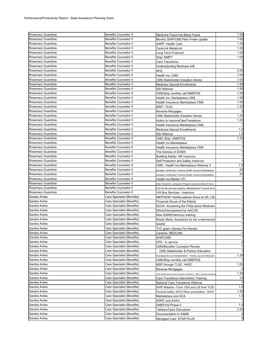| Rosemary Guardiola | <b>Benefits Counselor II</b> | Medicare Fraud has Many Faces                                             | 1.50           |
|--------------------|------------------------------|---------------------------------------------------------------------------|----------------|
| Rosemary Guardiola | <b>Benefits Counselor II</b> | Monthy SHIP/CMS Plan Finder update                                        | 1.00           |
| Rosemary Guardiola | <b>Benefits Counselor II</b> | AARP -Health Care                                                         | 1.00           |
| Rosemary Guardiola | Benefits Counselor II        | CareLink MedeLink                                                         | 1.25           |
| Rosemary Guardiola | <b>Benefits Counselor II</b> |                                                                           | 1.00           |
| Rosemary Guardiola |                              | Long Term Financial                                                       | 1.00           |
|                    | <b>Benefits Counselor II</b> | Ship/NMPT                                                                 |                |
| Rosemary Guardiola | <b>Benefits Counselor II</b> | <b>Care Transitions</b>                                                   | $\mathbf{1}$   |
| Rosemary Guardiola | <b>Benefits Counselor II</b> | Understanding Medicare A/B                                                | $\mathbf{1}$   |
| Rosemary Guardiola | <b>Benefits Counselor II</b> | <b>APS</b>                                                                | 2.00           |
| Rosemary Guardiola | <b>Benefits Counselor II</b> | Health Ins. CMS                                                           | 1.00           |
| Rosemary Guardiola | <b>Benefits Counselor II</b> | <b>CMS Stakeholder Eduation Series</b>                                    | 1.00           |
| Rosemary Guardiola | <b>Benefits Counselor II</b> | <b>Medicare Special Enrollments</b>                                       | 1.50           |
| Rosemary Guardiola | <b>Benefits Counselor II</b> | SSI Webinar                                                               | 1.50           |
| Rosemary Guardiola | <b>Benefits Counselor II</b> | CMS/Ship monthly call DMEPOS                                              | 1.25           |
| Rosemary Guardiola | <b>Benefits Counselor II</b> | Health Ins. Marketplace CMS                                               | 1.00           |
| Rosemary Guardiola | <b>Benefits Counselor II</b> | Health Insurance Marketplace CMS                                          | 1.00           |
| Rosemary Guardiola | <b>Benefits Counselor II</b> | MSP / TLSC                                                                | 1.25           |
| Rosemary Guardiola | <b>Benefits Counselor II</b> | Reverse Morgages                                                          | $\overline{2}$ |
| Rosemary Guardiola | <b>Benefits Counselor II</b> | <b>CMS Stakeholder Eduation Series</b>                                    | 1.25           |
| Rosemary Guardiola | <b>Benefits Counselor II</b> |                                                                           | 1.25           |
|                    | <b>Benefits Counselor II</b> | Action to improveCareTransitions                                          | $\mathbf{1}$   |
| Rosemary Guardiola |                              | Health Insurance Marketplace CMS                                          |                |
| Rosemary Guardiola | <b>Benefits Counselor II</b> | <b>Medicare Special Enrollments</b>                                       | 1.5            |
| Rosemary Guardiola | <b>Benefits Counselor II</b> | SSI Webinar                                                               | 1.5            |
| Rosemary Guardiola | <b>Benefits Counselor II</b> | CMS /Ship DMEPOS                                                          | 1.25           |
| Rosemary Guardiola | <b>Benefits Counselor II</b> | Health Ins.Marketplace                                                    | $\mathbf{1}$   |
| Rosemary Guardiola | <b>Benefits Counselor II</b> | Health Insurance Marketplace CMS                                          | $\overline{1}$ |
| Rosemary Guardiola | <b>Benefits Counselor II</b> | The Demise of DOMA                                                        | $\mathbf{1}$   |
| Rosemary Guardiola | <b>Benefits Counselor II</b> | <b>Building Safety- HR Inservice</b>                                      | $\mathbf{1}$   |
| Rosemary Guardiola | Benefits Counselor II        | Self Protection and Safety Inservice                                      | $\mathbf{1}$   |
| Rosemary Guardiola | <b>Benefits Counselor II</b> | CMS - Health Ins.Marketplace Webinar II                                   | 1.5            |
| Rosemary Guardiola | <b>Benefits Counselor II</b> | Navigator Certification Training (Health Insurance Marketplace            | 25             |
| Rosemary Guardiola | <b>Benefits Counselor II</b> | Navigator Certification Training (Health Insurance Marketplace            | 25             |
| Rosemary Guardiola | <b>Benefits Counselor II</b> | Health Ins Market 101                                                     | $\overline{1}$ |
| Rosemary Guardiola | <b>Benefits Counselor II</b> |                                                                           | $\mathbf{1}$   |
| Rosemary Guardiola | <b>Benefits Counselor II</b> | Elder Friends/Sr. Companion Program Inservice (Xtian Sr Svcs)             | $\mathbf{1}$   |
|                    |                              | End-of-Life services options, Meadowlawn Funeral Svcs                     |                |
| Rosemary Guardiola | <b>Benefits Counselor II</b> | VIA Bus Services - Inservice                                              | $\mathbf{1}$   |
| Sandra Aviles      | Care Specialist (Benefits)   | NMTP/SHIP monthly webinar (focus on OE, LIS)                              | $\mathbf{1}$   |
| Sandra Aviles      | Care Specialist (Benefits)   | Financial Abuse of the Elderly                                            | $\mathbf{1}$   |
| Sandra Aviles      | Care Specialist (Benefits)   | NCOA -Answering the FAQs about Medicare                                   | $\mathbf{1}$   |
| Sandra Aviles      | Care Specialist (Benefits)   | Ethics/Harrassment by AACOG                                               | $\overline{a}$ |
| Sandra Aviles      | Care Specialist (Benefits)   | New SAMS/Harmony training                                                 | $\overline{2}$ |
| Sandra Aviles      | Care Specialist (Benefits)   | Needy Meds: Assistance for the underinsured                               | $\mathbf{1}$   |
| Sandra Aviles      | Care Specialist (Benefits)   | <b>SAWS</b>                                                               | $\mathbf{1}$   |
| Sandra Aviles      | Care Specialist (Benefits)   | TVC grant -Homes For Heroes                                               | $\mathbf{1}$   |
| Sandra Aviles      | Care Specialist (Benefits)   | Carelink- MEDLINK                                                         | -1             |
| Sandra Aviles      | Care Specialist (Benefits)   | SHIP/CMS-                                                                 | $\mathbf{1}$   |
| Sandra Aviles      | Care Specialist (Benefits)   | APS - In service                                                          | $\overline{a}$ |
| Sandra Aviles      | Care Specialist (Benefits)   |                                                                           | $\mathbf{1}$   |
|                    |                              | <b>CMS/Benefits Counselor Review</b>                                      | $\mathbf{1}$   |
| Sandra Aviles      | Care Specialist (Benefits)   | <b>CMS Stakeholder &amp; Partner Education</b>                            |                |
| Sandra Aviles      | Care Specialist (Benefits)   | Grandparents and Grandchildren - Family Law and Medicaid                  | 1.25           |
| Sandra Aviles      | Care Specialist (Benefits)   | CMS/Ship monthly call DMEPOS                                              | -1             |
| Sandra Aviles      | Care Specialist (Benefits)   | MSP through TLSC, HHSC                                                    | 1.25           |
| Sandra Aviles      | Care Specialist (Benefits)   | Reverse Mortgages                                                         |                |
| Sandra Aviles      | Care Specialist (Benefits)   | CMS Stakeholder & Partner Education: Planfinder, LINET, Medicaid Enrollme | 1.25           |
| Sandra Aviles      | Care Specialist (Benefits)   | Care Transitions Intervention Training                                    | 12             |
| Sandra Aviles      | Care Specialist (Benefits)   | National Care Transitions Webinar                                         | $\mathbf{1}$   |
| Sandra Aviles      | Care Specialist (Benefits)   | SHIP Webinar - Form 1200 and LIS from TLSC                                | 1.5            |
| Sandra Aviles      | Care Specialist (Benefits)   | Personal Safety -SAFE Officer presentation - SAPD                         | 1.25           |
| Sandra Aviles      | Care Specialist (Benefits)   | Marketplace and ACA                                                       | 1.5            |
| Sandra Aviles      | Care Specialist (Benefits)   | ADRC and AAA's                                                            |                |
| Sandra Aviles      | Care Specialist (Benefits)   |                                                                           | 1.5            |
|                    |                              | DMEPOS Phase II                                                           | 2.25           |
| Sandra Aviles      | Care Specialist (Benefits)   | Tableau/Open Discussion                                                   |                |
| Sandra Aviles      | Care Specialist (Benefits)   | Documentation in SAMS                                                     | 3              |
| Sandra Aviles      | Care Specialist (Benefits)   | Managed Care: STAR PLUS                                                   | $\overline{a}$ |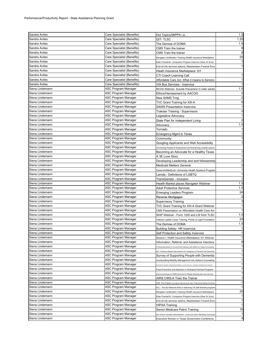| Sandra Aviles   | Care Specialist (Benefits) | Hot Topics; MIPPA i.e                                                           | 1.5                     |
|-----------------|----------------------------|---------------------------------------------------------------------------------|-------------------------|
| Sandra Aviles   | Care Specialist (Benefits) | QIT- TLSC                                                                       | 1.25                    |
| Sandra Aviles   | Care Specialist (Benefits) | The Demise of DOMA                                                              | 1.5                     |
| Sandra Aviles   | Care Specialist (Benefits) | CMS Train the trainer                                                           | 8                       |
| Sandra Aviles   | Care Specialist (Benefits) | CMS Train the trainer                                                           | 8                       |
| Sandra Aviles   | Care Specialist (Benefits) | Navigator Certification Training (Health Insurance Marketplace                  | 25                      |
| Sandra Aviles   | Care Specialist (Benefits) | Elder Friends/Sr. Companion Program Inservice (Xtian Sr Svcs)                   | $\mathbf{1}$            |
| Sandra Aviles   | Care Specialist (Benefits) | End-of-Life services options, Meadowlawn Funeral Svcs                           | $\overline{1}$          |
| Sandra Aviles   | Care Specialist (Benefits) | Heath Insurance Marketplace 101                                                 |                         |
| Sandra Aviles   | Care Specialist (Benefits) | CTI Coach Learning Call                                                         | $\mathbf{1}$            |
| Sandra Aviles   | Care Specialist (Benefits) | Affordable Care Act. What it means to Seniors                                   | $\mathbf{1}$            |
| Sandra Aviles   | Care Specialist (Benefits) | VIA Bus Services - Inservice                                                    | $\overline{1}$          |
| Siena Lindemann | <b>ASC Program Manager</b> | NCOA Webinar- Suicide Prevention in older adults                                | 1.5                     |
| Siena Lindemann | ASC Program Manager        | Ethics/Harrassment by AACOG                                                     | $\overline{\mathbf{c}}$ |
| Siena Lindemann | ASC Program Manager        | New SAMS Trng.                                                                  | $\overline{a}$          |
| Siena Lindemann | ASC Program Manager        | TVC Grant Training for XIII-A                                                   | 6                       |
| Siena Lindemann | ASC Program Manager        | <b>SAWS Presentation Inservice</b>                                              | $\mathbf{1}$            |
| Siena Lindemann | ASC Program Manager        | <b>Trakstar Training - Supervisors</b>                                          | $\overline{\mathbf{c}}$ |
| Siena Lindemann | ASC Program Manager        | Legislative Advocacy                                                            | $\mathbf{1}$            |
| Siena Lindemann | ASC Program Manager        | State Plan for Independent Living                                               | $\overline{2}$          |
| Siena Lindemann | ASC Program Manager        | Advocacy                                                                        | 1.5                     |
| Siena Lindemann | ASC Program Manager        | Tornado                                                                         | $\mathbf{1}$            |
| Siena Lindemann | ASC Program Manager        | Emergency Mgmt in Texas                                                         | $\mathbf{1}$            |
| Siena Lindemann | ASC Program Manager        | Community                                                                       | $\mathbf{1}$            |
| Siena Lindemann | ASC Program Manager        | Googling Applicants and Web Accessibility                                       | $\mathbf{1}$            |
| Siena Lindemann | ASC Program Manager        | Connecting People to Employment and Enhancing mobility options                  |                         |
| Siena Lindemann | ASC Program Manager        | Becoming an Advocate for a Healthy Texas                                        | $\mathbf{1}$            |
| Siena Lindemann | ASC Program Manager        | A 3E Love Story                                                                 | $\mathbf{1}$            |
| Siena Lindemann | ASC Program Manager        | Developing Leadership and and followership                                      | $\overline{c}$          |
| Siena Lindemann | ASC Program Manager        | <b>Medicaid Matters General</b>                                                 | $\overline{a}$          |
| Siena Lindemann | ASC Program Manager        | CareLink/MedLink- University Health Systems Program                             | $\mathbf{1}$            |
| Siena Lindemann | ASC Program Manager        | Lamda - Definitions of LGBTQ                                                    | $\mathbf{1}$            |
| Siena Lindemann | ASC Program Manager        | TransGender - Inclusion                                                         | $\overline{1}$          |
| Siena Lindemann | ASC Program Manager        | Health Market places Navigator Webinar                                          | 1.5                     |
| Siena Lindemann | ASC Program Manager        | <b>Adult Protective Services</b>                                                | 1.5                     |
| Siena Lindemann | ASC Program Manager        | <b>Emerging Leaders Program</b>                                                 | 24                      |
| Siena Lindemann | ASC Program Manager        | Reverse Mortgages                                                               | $\overline{\mathbf{c}}$ |
| Siena Lindemann | ASC Program Manager        | <b>Supervisory Training</b>                                                     | 3                       |
| Siena Lindemann | ASC Program Manager        | TVC Grant Training for XIII-A Grant Webinar                                     | $\mathbf{1}$            |
| Siena Lindemann | ASC Program Manager        | CMS Presentation on Affordable Health Care Act                                  | $\mathbf{1}$            |
| Siena Lindemann | ASC Program Manager        | SHIP Webinar - Form 1200 and LIS from TLSC                                      | 1.5                     |
| Siena Lindemann | ASC Program Manager        | Veteran Leader Corps Training, Points of Light Foundation                       | 24                      |
| Siena Lindemann | ASC Program Manager        | The Demise of DOMA                                                              | 1.5                     |
| Siena Lindemann | <b>ASC Program Manager</b> | <b>Building Safety- HR Inservice</b>                                            | $\mathbf{1}$            |
| Siena Lindemann | ASC Program Manager        | Self Protection and Safety Inservice                                            | -1                      |
| Siena Lindemann | ASC Program Manager        | Session I. Health Insurance Marketplace 101 Webinar                             | $\mathbf{1}$            |
| Siena Lindemann | ASC Program Manager        | Information, Referral, and Assistance Intensive                                 | 8                       |
| Siena Lindemann | ASC Program Manager        | A Partnership Model to Connect Rural Veterans with ADRCs for Options Counseling | $\mathbf{1}$            |
| Siena Lindemann | ASC Program Manager        | ACL- Evidence Based Interventions for Caregivers of Persons with Dementia       | $\mathbf{1}$            |
| Siena Lindemann | ASC Program Manager        | Survey of Supporting People with Dementia                                       | $\mathbf{1}$            |
| Siena Lindemann | <b>ASC Program Manager</b> | Incorporating Mobility Management into Options Counseling                       | $\mathbf{1}$            |
| Siena Lindemann | ASC Program Manager        | an Antonio Volunteer Administrators Meeting - Lunch and Learn - Volunteer Ha    | $\mathbf{1}$            |
| Siena Lindemann | ASC Program Manager        | Fraud Prevention and Detection in Participant Directed Programs                 | $\mathbf{1}$            |
| Siena Lindemann | ASC Program Manager        | Improving Access to HCBS Services for People directing their own services       | $\mathbf{1}$            |
| Siena Lindemann | ASC Program Manager        | AIRS CIRS-A Train the Trainer                                                   | $\mathbf{1}$            |
| Siena Lindemann | ASC Program Manager        | CMS: The Program you save may be your own- Fraud and Abuse Controls             | 1                       |
| Siena Lindemann | ASC Program Manager        | ACL - The AD Networks Role in delivering VA Self-directed programs              | 1                       |
| Siena Lindemann | ASC Program Manager        | Navigator Certification Training (Health Insurance Marketplace                  | 25                      |
| Siena Lindemann | ASC Program Manager        | Elder Friends/Sr. Companion Program Inservice (Xtian Sr Svcs)                   | $\mathbf{1}$            |
| Siena Lindemann | ASC Program Manager        | End-of-Life services options, Meadowlawn Funeral Svcs                           | $\mathbf{1}$            |
| Siena Lindemann | ASC Program Manager        | HIPAA Training                                                                  | $\mathbf{1}$            |
| Siena Lindemann | ASC Program Manager        | Senior Medicare Patrol Training                                                 | 16                      |
| Siena Lindemann | ASC Program Manager        | San Antonio Volunteer Administrators - Lunch and Learn: Marketing Techniques    | $\mathbf{1}$            |
| Siena Lindemann | ASC Program Manager        | Executive Women in Texas Government Conference                                  | $\overline{\mathbf{4}}$ |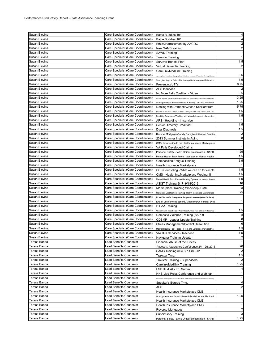| <b>Susan Blevins</b> | Care Specialist (Care Coordination) | Battle Buddies 101                                                                                    | $\overline{4}$          |
|----------------------|-------------------------------------|-------------------------------------------------------------------------------------------------------|-------------------------|
| Susan Blevins        | Care Specialist (Care Coordination) | Battle Buddies 101                                                                                    | 4                       |
| Susan Blevins        | Care Specialist (Care Coordination) | Ethics/Harrassment by AACOG                                                                           | $\overline{2}$          |
| Susan Blevins        | Care Specialist (Care Coordination) | New SAMS training                                                                                     | $\overline{2}$          |
| Susan Blevins        | Care Specialist (Care Coordination) | <b>SAWS Training</b>                                                                                  | $\mathbf{1}$            |
| Susan Blevins        | Care Specialist (Care Coordination) | <b>Trakstar Training</b>                                                                              | $\mathbf{1}$            |
| Susan Blevins        | Care Specialist (Care Coordination) |                                                                                                       | 1.5                     |
| <b>Susan Blevins</b> |                                     | Survivor Benefit Plan                                                                                 | $\overline{2}$          |
|                      | Care Specialist (Care Coordination) | Virtual Dementia Training                                                                             |                         |
| Susan Blevins        | Care Specialist (Care Coordination) | CareLink/MedLink Training                                                                             | $\mathbf{1}$            |
| Susan Blevins        | Care Specialist (Care Coordination) | mproving Care Transitions: Engaging Older Patients on the Issue of Preventing Re-Hospitalizatio       | 0.5                     |
| Susan Blevins        | Care Specialist (Care Coordination) | Strengthening the Safety Net through Networking and Education                                         | 1.5                     |
| Susan Blevins        | Care Specialist (Care Coordination) | Preventing UTI's                                                                                      | 0.75                    |
| Susan Blevins        | Care Specialist (Care Coordination) | <b>APS Inservice</b>                                                                                  | $\overline{\mathbf{c}}$ |
| Susan Blevins        | Care Specialist (Care Coordination) | No More Falls Coalition - Video                                                                       | 0.5                     |
| Susan Blevins        | Care Specialist (Care Coordination) | All Faiths Welcome: Recognizing & Appreciating Religious Diversity & Inclusion in Practice & Policies | 3.25                    |
| Susan Blevins        | Care Specialist (Care Coordination) | Grandparents & Grandchildren & Family Law and Medicaid                                                | 1.25                    |
| Susan Blevins        | Care Specialist (Care Coordination) | Dealing with Dementia/Jason Schillerstrom                                                             | 5.75                    |
| Susan Blevins        | Care Specialist (Care Coordination) |                                                                                                       | 1.5                     |
|                      |                                     | The Shift from a Crisis Modelto an Illness Management Model of Mental Health Care                     | 1.5                     |
| Susan Blevins        | Care Specialist (Care Coordination) | Disability Awareness/Working with Visually Impaired - In-service                                      |                         |
| Susan Blevins        | Care Specialist (Care Coordination) | APS - Hoarding - In-service                                                                           | $\mathbf{1}$            |
| Susan Blevins        | Care Specialist (Care Coordination) | Senior Directory Breakfast                                                                            | 1.5                     |
| Susan Blevins        | Care Specialist (Care Coordination) | Dual Diagnosis                                                                                        | 1.5                     |
| <b>Susan Blevins</b> | Care Specialist (Care Coordination) | Reverse Mortgages/Family Caregiver/Lifespan Respite                                                   | $\overline{\mathbf{c}}$ |
| Susan Blevins        | Care Specialist (Care Coordination) | 2013 Summer Institute in Aging                                                                        | 8                       |
| Susan Blevins        | Care Specialist (Care Coordination) | CMS: Introduction to the Health Insurance Marketplace                                                 | $\mathbf{1}$            |
| Susan Blevins        | Care Specialist (Care Coordination) | VA Fully Developed Claims                                                                             | $\mathbf{1}$            |
| Susan Blevins        | Care Specialist (Care Coordination) | Personal Safety -SAFE Officer presentation - SAPD                                                     | 1.25                    |
| Susan Blevins        | Care Specialist (Care Coordination) | Mental Health Task Force - Genetics of Mental Health                                                  | 1.5                     |
| Susan Blevins        | Care Specialist (Care Coordination) | Compassion Fatigue Training                                                                           | 3.5                     |
| Susan Blevins        |                                     |                                                                                                       | $\overline{1}$          |
|                      | Care Specialist (Care Coordination) | Health Insurance Marketplace                                                                          |                         |
| Susan Blevins        | Care Specialist (Care Coordination) | CCC Counseling - What we can do for clients                                                           | 1.5                     |
| Susan Blevins        | Care Specialist (Care Coordination) | CMS - Health Ins.Marketplace Webinar II                                                               | 1.5                     |
| <b>Susan Blevins</b> | Care Specialist (Care Coordination) | Mental Health Task Force -Housing Options for Mental Illness                                          | 1.5                     |
| Susan Blevins        | Care Specialist (Care Coordination) | ASIST Training 9/17- 9/18/2013                                                                        | 16                      |
| Susan Blevins        | Care Specialist (Care Coordination) | Marketplace Training Workshop / CMS                                                                   | 8                       |
| Susan Blevins        | Care Specialist (Care Coordination) | Navigator Certification Training (Health Insurance Marketplace                                        | 25                      |
| Susan Blevins        | Care Specialist (Care Coordination) | Elder Friends/Sr. Companion Program Inservice (Xtian Sr Svcs)                                         | $\mathbf{1}$            |
| Susan Blevins        | Care Specialist (Care Coordination) | End-of-Life services options, Meadowlawn Funeral Svcs                                                 | $\mathbf{1}$            |
| Susan Blevins        | Care Specialist (Care Coordination) | <b>HIPAA Training</b>                                                                                 | $\mathbf{1}$            |
| <b>Susan Blevins</b> | Care Specialist (Care Coordination) | Mental Health Task Force - Work Opportunities Play a Role in Recovery                                 | 1.5                     |
| <b>Susan Blevins</b> | Care Specialist (Care Coordination) | Domestic Violence Training (SAPD)                                                                     | 8                       |
|                      |                                     |                                                                                                       | 8                       |
| Susan Blevins        | Care Specialist (Care Coordination) | CDSMP - Leader Update Training                                                                        |                         |
| Susan Blevins        | Care Specialist (Care Coordination) | Stress Management/Conflict Resolution                                                                 | 6                       |
| <b>Susan Blevins</b> | Care Specialist (Care Coordination) | Mental Health Task Force - From the Veterans Perspective                                              | 1.5                     |
| Susan Blevins        | Care Specialist (Care Coordination) | VIA Bus Services - Inservice                                                                          | 1.5                     |
| Susan Blevins        | Care Specialist (Care Coordination) | Navigator Training Update                                                                             | $\overline{\mathbf{c}}$ |
| Teresa Banda         | Lead Benefits Counselor             | Financial Abuse of the Elderly                                                                        | $\overline{1}$          |
| Teresa Banda         | Lead Benefits Counselor             | Access & Assistance Confefrence 2/4 - 2/6/2013                                                        | 20                      |
| Teresa Banda         | Lead Benefits Counselor             | SAMS Training new SPURS 3.01                                                                          | $\overline{2}$          |
| Teresa Banda         | Lead Benefits Counselor             | Trakstar Trng.                                                                                        | 1.5                     |
| Teresa Banda         | <b>Lead Benefits Counselor</b>      | Trakstar Training - Supervisors                                                                       | $\overline{2}$          |
| Teresa Banda         | Lead Benefits Counselor             | Carelink/Medilink Training                                                                            | 1.25                    |
| Teresa Banda         | Lead Benefits Counselor             | LGBTQ & Ally Ed. Summit                                                                               | 4                       |
| Teresa Banda         | Lead Benefits Counselor             | HHS-Live Press Conference and Webinar                                                                 | $\mathbf{1}$            |
|                      |                                     |                                                                                                       |                         |
| Teresa Banda         | ead Benefits Counselor              | Vebinar-The Most Important Conversation: Tools and Techniques for Advance Health Care Planning        | $\mathbf{1}$            |
| Teresa Banda         | Lead Benefits Counselor             | Speaker's Bureau Trng.                                                                                | 4                       |
| Teresa Banda         | <b>Lead Benefits Counselor</b>      | APS                                                                                                   | $\overline{\mathbf{c}}$ |
| Teresa Banda         | Lead Benefits Counselor             | Health Insurance Marketplace CMS                                                                      | $\mathbf{1}$            |
| Teresa Banda         | Lead Benefits Counselor             | Grandparents and Grandchildren & family Law and Medicaid                                              | 1.25                    |
| Teresa Banda         | Lead Benefits Counselor             | Health Insurance Marketplace CMS                                                                      | $\mathbf{1}$            |
| Teresa Banda         | Lead Benefits Counselor             | Health Insurance Marketplace CMS                                                                      | $\mathbf{1}$            |
| Teresa Banda         | ead Benefits Counselor              | Reverse Mortgages                                                                                     | $\overline{c}$          |
| Teresa Banda         | Lead Benefits Counselor             | <b>Supervisory Training</b>                                                                           | 3                       |
| Teresa Banda         | Lead Benefits Counselor             | Personal Safety - SAFE Officer presentation - SAPD                                                    | 1.25                    |
|                      |                                     |                                                                                                       |                         |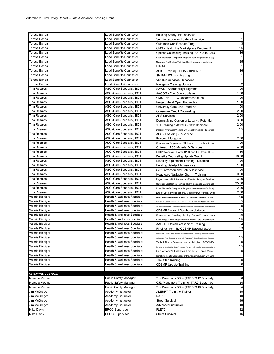| Teresa Banda                    | Lead Benefits Counselor                                      | <b>Building Safety- HR Inservice</b>                                                     | 1                    |
|---------------------------------|--------------------------------------------------------------|------------------------------------------------------------------------------------------|----------------------|
| Teresa Banda                    | Lead Benefits Counselor                                      | Self Protection and Safety Inservice                                                     | $\mathbf{1}$         |
| Teresa Banda                    | Lead Benefits Counselor                                      | Cuidando Con Respeto Trng                                                                | 3                    |
| Teresa Banda                    | Lead Benefits Counselor                                      | CMS - Health Ins.Marketplace Webinar II                                                  | 1.5                  |
| Teresa Banda                    | Lead Benefits Counselor                                      | Options Counseling Training - 9/17-9/18 2013                                             | 16                   |
| Teresa Banda                    | Lead Benefits Counselor                                      | Elder Friends/Sr. Companion Program Inservice (Xtian Sr Svcs)                            |                      |
| Teresa Banda                    | Lead Benefits Counselor                                      | Navigator Certification Training (Health Insurance Marketplace                           | 25                   |
| Teresa Banda                    | Lead Benefits Counselor                                      | HIPAA                                                                                    | $\mathbf{1}$         |
| Teresa Banda                    | <b>Lead Benefits Counselor</b>                               | ASIST Training, 10/15 - 10/16/2013                                                       | 16                   |
| Teresa Banda                    | Lead Benefits Counselor                                      | SHIP/NMTP monthly trng                                                                   | $\mathbf{1}$         |
| Teresa Banda                    | Lead Benefits Counselor                                      | VIA Bus Services - Inservice                                                             | $\mathbf{1}$         |
| Teresa Banda                    | Lead Benefits Counselor                                      | Navigator Training Update                                                                | $\overline{2}$       |
| <b>Tina Rosales</b>             | ASC -Care Specialist, BC II                                  | SAWS - Affordability Programs                                                            | 1.00                 |
| <b>Tina Rosales</b>             | ASC -Care Specialist, BC II                                  | AACOG - Trac Star - updates                                                              | 1.50                 |
| Tina Rosales                    | ASC -Care Specialist, BC II                                  | CMS / SHIP - TX Department of Ins.                                                       | 1.00                 |
| <b>Tina Rosales</b>             | ASC -Care Specialist, BC II                                  | Project Mend Open House Tour                                                             | 1.00                 |
| Tina Rosales                    | ASC -Care Specialist, BC II                                  | University Care Link - Medlink                                                           | 1.00                 |
| <b>Tina Rosales</b>             | ASC -Care Specialist, BC II                                  | Consumer Credit Counseling                                                               | 2.00                 |
| <b>Tina Rosales</b>             | ASC -Care Specialist, BC II                                  | <b>APS Services</b>                                                                      | 2.00                 |
| Tina Rosales                    | ASC -Care Specialist, BC II                                  | Demystifying Customer Loyalty / Retention                                                | 3.00                 |
| <b>Tina Rosales</b>             | ASC -Care Specialist, BC II                                  | 101 Training / MSP/LIS/ SSI/ Medicare                                                    | 2.00                 |
| <b>Tina Rosales</b>             | ASC -Care Specialist, BC II                                  | Disability Awareness/Working with Visually Impaired - In-service                         | 1.5                  |
| <b>Tina Rosales</b>             | ASC -Care Specialist, BC II                                  | APS - Hoarding - In-service                                                              |                      |
| <b>Tina Rosales</b>             | ASC -Care Specialist, BC II                                  | Reverse Mortgage                                                                         | 2.00                 |
| <b>Tina Rosales</b>             | ASC -Care Specialist, BC II                                  | Counseling Employees / Retirees<br>on Medicare                                           | 1.00                 |
| Tina Rosales                    | ASC -Care Specialist, BC II                                  | Outreach ASC Material & Services                                                         | 4.00                 |
| <b>Tina Rosales</b>             | ASC -Care Specialist, BC II                                  | SHIP Webinar - Form 1200 and LIS from TLSC                                               | 1.50                 |
| Tina Rosales                    | ASC -Care Specialist, BC II                                  | Benefits Counseling Update Training                                                      | 16.00                |
| <b>Tina Rosales</b>             | ASC -Care Specialist, BC II                                  | Disabilty Equipment Training - Disabled                                                  | 1.50                 |
| <b>Tina Rosales</b>             | ASC -Care Specialist, BC II                                  | <b>Building Safety- HR Inservice</b>                                                     | 1.00                 |
| Tina Rosales                    | ASC -Care Specialist, BC II                                  | Self Protection and Safety Inservice                                                     | 1.00                 |
| <b>Tina Rosales</b>             | ASC -Care Specialist, BC II                                  | Heathcare Navigator Grant - Training                                                     | 0.50                 |
| Tina Rosales                    | ASC -Care Specialist, BC II                                  |                                                                                          | 3.00                 |
| Tina Rosales                    | ASC -Care Specialist, BC II                                  | Project Mend - 20th Anniversary Event - History of Services                              | 25.00                |
| Tina Rosales                    | ASC -Care Specialist, BC II                                  | Navigator Certification Training (Health Insurance Marketplace                           | 2.00                 |
| Tina Rosales                    | ASC -Care Specialist, BC II                                  | Elder Friends/Sr. Companion Program Inservice (Xtian Sr Svcs)                            | 2.00                 |
| Valerie Biediger                | Health & Wellness Specialist                                 | End-of-Life services options, Meadowlawn Funeral Svcs                                    | 8.5                  |
| Valerie Biediger                | Health & Wellness Specialist                                 | leeting the Mental Health Needs of Texans - St. David's Chpr Conference - UT austir      | 5                    |
| Valerie Biediger                | Health & Wellness Specialist                                 | Effective Communication Tools for Healthcare Professionals 100                           | 1.5                  |
| Valerie Biediger                | Health & Wellness Specialist                                 | loA: Making Community Connections: Chronic Disease Self-Management Education in FQHCs    | 1.5                  |
| Valerie Biediger                |                                                              | <b>CDSME National Database Updates</b>                                                   | 1.5                  |
|                                 | Health & Wellness Specialist                                 | Communities Creating Healthy, Active Environments                                        |                      |
| Valerie Biediger                | Health & Wellness Specialist                                 | Embedding CDSME Programs within Health Care Organizations                                | 1.5                  |
| Valerie Biediger                | Health & Wellness Specialist                                 | AACOG Ethics/Harassment Training                                                         | $\overline{2}$       |
| Valerie Biediger                | Health & Wellness Specialist<br>Health & Wellness Specialist | Findings from the CDSMP National Study                                                   | 1.5                  |
| Valerie Biediger                |                                                              | Senior Health Literacy - How Much Do You and Your Senior Community Understand Together   |                      |
| Valerie Biediger                | Health & Wellness Specialist                                 | nplementing Policy Change to Advance Falls Prevention: Training, Examples, and Resources | 1.5                  |
| Valerie Biediger                | <b>Health &amp; Wellness Specialist</b>                      | Tools & Tips to Enhance Hospital Adoption of CDSMEs                                      | 1.5                  |
| Valerie Biediger                | Health & Wellness Specialist                                 | for Sustainability: Oregon's Business Plan and the Oregon Self-Manage                    | 1.5                  |
| Valerie Biediger                | Health & Wellness Specialist                                 | San Antonio's Diabetes Epidemic: Three Views                                             | 1.5                  |
| Valerie Biediger                | Health & Wellness Specialist                                 | dentifying Health Care Needs of the Aging Population with Data                           |                      |
| Valerie Biediger                | Health & Wellness Specialist                                 | Trak Star Training                                                                       | 1.5                  |
| Valerie Biediger                | <b>Health &amp; Wellness Specialist</b>                      | <b>CDSMP Update Training</b>                                                             | 6                    |
| <b>CRIMINAL JUSTICE:</b>        |                                                              |                                                                                          |                      |
|                                 |                                                              | The Governor's Office (TARC-2012 Quarterly)                                              |                      |
| Marcela Medina                  | <b>Public Safety Manager</b>                                 |                                                                                          | 3                    |
| Marcela Medina                  | <b>Public Safety Manager</b>                                 | CJD Mandatory Training -TARC September                                                   | 24                   |
| Marcela Medina                  | Public Safety Manager                                        | The Governor's Office (TARC-2013 Quarterly)                                              | 4                    |
| Jim McGregor                    | Academy Instructor                                           | ALERRT Train the Trainer                                                                 | 40                   |
| Jim McGregor                    | Academy Instructor                                           | <b>NAPD</b>                                                                              | 40                   |
| Jim McGregor                    |                                                              |                                                                                          |                      |
|                                 | Academy Instructor                                           | <b>Street Survival</b>                                                                   |                      |
| Jim McGregor                    | Academy Instructor                                           | Advanced Instructor                                                                      |                      |
| Mike Davis<br><b>Mike Davis</b> | <b>BPOC Supervisor</b><br><b>BPOC Supervisor</b>             | <b>FLETC</b><br><b>Street Survival</b>                                                   | 16<br>40<br>32<br>16 |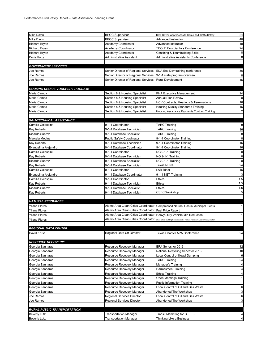| <b>Mike Davis</b>                          | <b>BPOC Supervisor</b>                                         | Data Driven Approaches to Crime and Traffic Safety                             | 24                      |
|--------------------------------------------|----------------------------------------------------------------|--------------------------------------------------------------------------------|-------------------------|
| <b>Mike Davis</b>                          | <b>BPOC Supervisor</b>                                         | Advanced Instructor                                                            | 40                      |
| <b>Richard Bryan</b>                       | Academy Coordinator                                            | Advanced Instructor                                                            | 40                      |
| Richard Bryan                              | Academy Coordinator                                            | <b>TCOLE Coordiantors Conference</b>                                           | 24                      |
| <b>Richard Bryan</b>                       | Academy Coordinator                                            | Coaching & Teambuilding Skills                                                 | 8                       |
| Doris Haby                                 | Administrative Assistant                                       | Administrative Assistants Conference                                           | 8                       |
|                                            |                                                                |                                                                                |                         |
| <b>GOVERNMENT SERVICES:</b>                |                                                                |                                                                                |                         |
| Joe Ramos                                  | Senior Director of Regional Services                           | EDA Eco Dev training conference                                                | 36                      |
| Joe Ramos                                  | Senior Director of Regional Services                           | 9-1-1 state program overview                                                   | 8                       |
| Joe Ramos                                  | Senior Director of Regional Services                           | <b>Rural Development</b>                                                       | 16                      |
|                                            |                                                                |                                                                                |                         |
| <b>HOUSING CHOICE VOUCHER PROGRAM:</b>     |                                                                |                                                                                |                         |
| Maria Campa                                | Section 8 & Housing Specialist                                 | PHA Executive Management                                                       | 24                      |
| Maria Campa                                | Section 8 & Housing Specialist                                 | <b>Annual Plan Review</b>                                                      | 8                       |
| Maria Campa                                | Section 8 & Housing Specialist                                 | HCV Contracts, Hearings & Terminations                                         | 16                      |
| Maria Campa                                | Section 8 & Housing Specialist                                 | Housing Quality Standards Training                                             | 16                      |
| Maria Campa                                | Section 8 & Housing Specialist                                 | Housing Assistance Payments Contract Training                                  | $\overline{\mathbf{c}}$ |
|                                            |                                                                |                                                                                |                         |
| 9-1-1/TECHNICAL ASSISTANCE:                |                                                                |                                                                                |                         |
| Camilla Goldspink                          | 9-1-1 Coordinator                                              | <b>TARC Training</b>                                                           | 8                       |
| Kay Roberts                                | 9-1-1 Database Technician                                      | <b>TARC Training</b>                                                           | 16                      |
| Ricardo Suarez                             | 9-1-1 Database Specialist                                      | TARC Training                                                                  | 8                       |
| Marcela Medina                             | Public Safety Coordinator                                      | 9-1-1 Coordinator Training                                                     | 8                       |
| Kay Roberts                                | 9-1-1 Database Technician                                      | 9-1-1 Coordinator Training                                                     | 16                      |
| Evangelina Alejandro                       | 9-1-1 Database Coordinator                                     | 9-1-1 Coordinator Training                                                     | 16                      |
| Camilla Goldspink                          | 9-1-1 Coordinator                                              | NG 9-1-1 Training                                                              | 8                       |
| Kay Roberts                                | 9-1-1 Database Technician                                      | NG 9-1-1 Training                                                              | 8                       |
| Ricardo Suarez                             | 9-1-1 Database Specialist                                      | NG 9-1-1 Training                                                              | 8                       |
| Kay Roberts                                | 9-1-1 Database Technician                                      | Texas NENA                                                                     | 24                      |
| Camilla Goldspink                          | 9-1-1 Coordinator                                              | LAR Rider                                                                      | 16                      |
| Evangelina Alejandro                       | 9-1-1 Database Coordinator                                     | 9-1-1 NET Training                                                             |                         |
| Camilla Goldspink                          | 9-1-1 Coordinator                                              | <b>Ethics</b>                                                                  | 1.5                     |
| Kay Roberts                                | 9-1-1 Database Technician                                      | <b>Ethics</b>                                                                  | 1.5                     |
| Ricardo Suarez                             | 9-1-1 Database Specialist                                      | Ethics                                                                         | 1.5                     |
| Kay Roberts                                | 9-1-1 Database Technician                                      | CSEC Workshop                                                                  | 5                       |
| <b>NATURAL RESOURCES:</b>                  |                                                                |                                                                                |                         |
|                                            |                                                                | Alamo Area Clean Cities Coordinator Compressed Natural Gas in Municipal Fleets |                         |
| Yliana Flores<br>Yliana Flores             | Alamo Area Clean Cities Coordinator                            | <b>Fuel Price Report</b>                                                       |                         |
|                                            | Alamo Area Clean Cities Coordinator                            | Heavy-Duty Vehicle Idle Reduction                                              |                         |
| Yliana Flores<br>Yliana Flores             | Alamo Area Clean Cities Coordinator                            |                                                                                |                         |
|                                            |                                                                | Clean Cities: Building Partnerships to Reduce Petroleum Use in Transportation  |                         |
|                                            |                                                                |                                                                                |                         |
|                                            |                                                                |                                                                                |                         |
| <b>REGIONAL DATA CENTER:</b>               |                                                                |                                                                                |                         |
| David Kruse                                | Regional Data Ctr Director                                     | Texas Chapter APA Conference                                                   | 24                      |
|                                            |                                                                |                                                                                |                         |
| <b>RESOURCE RECOVERY:</b>                  |                                                                |                                                                                |                         |
| Georgia Zannaras                           | Resource Recovery Manager                                      | EPA Series for 2013                                                            | 12                      |
| Georgia Zannaras                           | Resource Recovery Manager                                      | National Recycling Seriesfor 2013                                              | 10                      |
| Georgia Zannaras                           | Resource Recovery Manager                                      | Local Control of Illegal Dumping                                               | 6                       |
| Georgia Zannaras                           | Resource Recovery Manager                                      | <b>TARC Training</b>                                                           | 24                      |
| Georgia Zannaras                           | Resource Recovery Manager                                      | Manager's Training                                                             |                         |
| Georgia Zannaras                           | Resource Recovery Manager                                      | <b>Harrassment Training</b>                                                    | 4                       |
| Georgia Zannaras                           | Resource Recovery Manager                                      | <b>Ethics Training</b>                                                         | 4                       |
| Georgia Zannaras                           | Resource Recovery Manager                                      | Open Meetings Training                                                         | 1                       |
| Georgia Zannaras                           | Resource Recovery Manager                                      | <b>Public Information Training</b>                                             | 1                       |
| Georgia Zannaras                           | Resource Recovery Manager                                      | Local Control of Oil and Gas Waste                                             | 6                       |
| Georgia Zannaras                           | Resource Recovery Manager                                      | Abandoned Tire Workshop                                                        | 3                       |
| Joe Ramos                                  | Regional Services Director                                     | Local Control of Oil and Gas Waste                                             | 6                       |
| Joe Ramos                                  | <b>Regional Services Director</b>                              | Abandoned Tire Workshop                                                        | 3                       |
|                                            |                                                                |                                                                                |                         |
| <b>RURAL PUBLIC TRANSPORTATION:</b>        |                                                                |                                                                                |                         |
| <b>Beverly Lutz</b><br><b>Beverly Lutz</b> | <b>Transportation Manager</b><br><b>Transportation Manager</b> | Transit Marketing for C. P. T.<br>Thinking Like a Business                     |                         |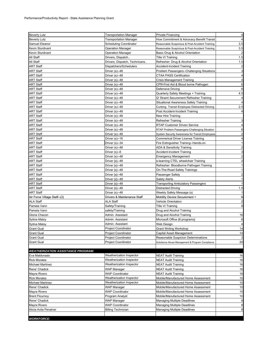| <b>Beverly Lutz</b>                       | <b>Transportation Manager</b> | Private Financing                                        | $\overline{4}$          |
|-------------------------------------------|-------------------------------|----------------------------------------------------------|-------------------------|
| <b>Beverly Lutz</b>                       | <b>Transportation Manager</b> | How Commitment & Advocacy Benefit Transit                | 4                       |
| Samuel Eleanor                            | Scheduling Coordinator        | Reasonable Suspicious & Post-Accident Training           | 3.5                     |
| Kevin Sturdivant                          | Operation Manager             | Reasonable Suspicious & Post-Accident Training           | 3.5                     |
| Kevin Sturdivant                          | Operation Manager             | Basic Drug & Alcohol Orientation                         | $\overline{2}$          |
| All Staff                                 | Drivers, Dispatch             | <b>Title VI Training</b>                                 | 1.5                     |
| All Staff                                 | Drivers, Dispatch, Technicans | Refresher: Drug & Alcohol Orientation                    | 1.5                     |
| <b>ART Staff</b>                          | Dispatchers/Schedulers        | Accident-Incident Training                               | $\overline{\mathbf{c}}$ |
| <b>ART Staff</b>                          | Driver (s)--48                | Problem Passengers--Challenging Situations               | 3                       |
| <b>ART Staff</b>                          | Driver (s)--48                | <b>CTAA PASS Certification</b>                           | 4                       |
| <b>ART Staff</b>                          | Driver (s)--48                | Crisis Management Training                               | $\overline{4}$          |
| <b>ART Staff</b>                          | Driver (s)--48                | CPR-First Aid & Blood borne Pathogen                     | 6                       |
| <b>ART Staff</b>                          | Driver $(s)$ --48             | Defensive Driving                                        | 6                       |
| <b>ART Staff</b>                          | Driver (s)--48                | Quarterly Safety Meetings + Training                     | 4.5                     |
| <b>ART Staff</b>                          | Driver (s)--48                | Q' Straint Securement Refresher Training                 | 4                       |
| <b>ART Staff</b>                          | Driver $(s)$ --48             | Situational Awareness Safety Training                    | $\overline{4}$          |
| <b>ART Staff</b>                          |                               |                                                          | 2.5                     |
|                                           | Driver (s)--48                | Curbing Transit Employee Distracted Driving              | 4                       |
| <b>ART Staff</b>                          | Driver (s)--48                | Post Accident-Incident Training                          |                         |
| <b>ART Staff</b>                          | Driver (s)--48                | New Hire Training                                        |                         |
| <b>ART Staff</b>                          | Driver (s)--48                | <b>Refresher Training</b>                                | 3                       |
| <b>ART Staff</b>                          | Driver (s)--48                | RTAP Customer Driven Service                             | $\overline{4}$          |
| <b>ART Staff</b>                          | Driver (s)--48                | RTAP Problem Passengers-Challenging Situation            | 6                       |
| <b>ART Staff</b>                          | Driver (s)--48                | System Security Awareness for Transit Employees          | $\overline{2}$          |
| <b>ART Staff</b>                          | Driver (s)--16                | Commerical Driver License Training                       | 4                       |
| <b>ART Staff</b>                          | Driver (s)--34                | Fire Extinguisher Training--Hands-on                     | $\mathbf{1}$            |
| <b>ART Staff</b>                          | Driver (s)--48                | ADA & Sensitivity Training                               | $\overline{2}$          |
| <b>ART Staff</b>                          | Driver (s)--6                 | Accident-Incident Training                               | 3                       |
| <b>ART Staff</b>                          | Driver $(s)$ --48             | <b>Emergency Management</b>                              | $\overline{\mathbf{c}}$ |
| <b>ART Staff</b>                          | Driver {s}--48                | e-learning CTEL wheelchair Training                      | $\overline{c}$          |
| <b>ART Staff</b>                          | Driver {s}--48                | Refresher: Bloodborne Pathogen Training                  | $\mathbf{1}$            |
| <b>ART Staff</b>                          | Driver {s}--48                | On-The-Road Safety Trainings                             | $\mathbf{1}$            |
| <b>ART Staff</b>                          | Driver $\{s\}$ --48           | Passenger Safety                                         | $\overline{2}$          |
| ART Staff                                 | Driver {s}--48                | Salety Alerts                                            | $\mathbf{1}$            |
| <b>ART Staff</b>                          | Driver {s}--48                | <b>Transporting Ambulatory Passengers</b>                | $\mathbf{1}$            |
| <b>ART Staff</b>                          | Driver $\{s\}$ --48           | Distracted Driving                                       | 1.5                     |
| <b>ART Staff</b>                          | Driver (s)--48                | Weekly Safety Message (s)                                | 1                       |
| Air Force Village Staff--(3)              | Drivers & Maintenance Staff   | Mobility Device Securement +                             | 6                       |
| <b>ALA Staff</b>                          | <b>ALA Staff</b>              | Vehicle Orientation                                      | $\overline{2}$          |
| Pamela Vann                               | Safety/Training               | Title VI Training                                        | 8                       |
| Pamela Vann                               | safety/Training               | Drug and Alcohol Training                                |                         |
| Gloria Chacon                             | Admin. Assistant              | Drug and Alcohol Training                                | 16                      |
| Sytina Maloy                              | Admin. Assistant              | Microsoft Office {8 programs}                            | 6                       |
| Sytina Maloy                              | Admin. Assistant              | Web Design                                               | 4                       |
| <b>Grant Gual</b>                         | <b>Project Coordinator</b>    | <b>Grant Writing Workshop</b>                            | 14                      |
| Grant Gual                                | <b>Project Coordinator</b>    | Capital Asset Management                                 | 14                      |
| <b>Grant Gual</b>                         | Project Coordinator           | Reasonable Suspicion Determinations                      | 3                       |
| <b>Grant Gual</b>                         | <b>Project Coordinator</b>    | Substance Abuse Management & Program Compliance          | 20                      |
|                                           |                               |                                                          |                         |
| <b>WEATHERIZATION ASSISTANCE PROGRAM:</b> |                               |                                                          |                         |
| Eva Maldonado                             | Weatherization Inspector      | <b>NEAT Audit Training</b>                               | 16                      |
| <b>Rick Morales</b>                       | Weatherization Inspector      | <b>NEAT Audit Training</b>                               | 16                      |
| <b>Michael Martinez</b>                   | Weatherization Inspector      |                                                          | 16                      |
| Rene' Chadick                             |                               | <b>NEAT Audit Training</b><br><b>NEAT Audit Training</b> |                         |
|                                           | WAP Manager                   |                                                          | 16                      |
| Mayra Rivero                              | <b>WAP Coordinator</b>        | <b>NEAT Audit Training</b>                               | 16                      |
| <b>Rick Morales</b>                       | Weatherization Inspector      | Mobile/Manufactured Home Assessment                      | 10                      |
| <b>Michael Martinez</b>                   | Weatherization Inspector      | Mobile/Manufactured Home Assessment                      | 10                      |
| Rene' Chadick                             | WAP Manager                   | Mobile/Manufactured Home Assessment                      | 10                      |
| Mayra Rivero                              | <b>WAP Coordinator</b>        | Mobile/Manufactured Home Assessment                      | 10                      |
| <b>Brent Flournoy</b>                     | Program Analyst               | Mobile/Manufactured Home Assessment                      | 10                      |
| Rene' Chadick                             | WAP Manager                   | <b>Managing Multiple Deadlines</b>                       | 8                       |
| Mayra Rivero                              | <b>WAP Coordinator</b>        | <b>Managing Multiple Deadlines</b>                       | 8                       |
| Alicia Avila Penalver                     | <b>Billing Technician</b>     | <b>Managing Multiple Deadlines</b>                       | 8                       |
|                                           |                               |                                                          |                         |
| <b>WORKFORCE:</b>                         |                               |                                                          |                         |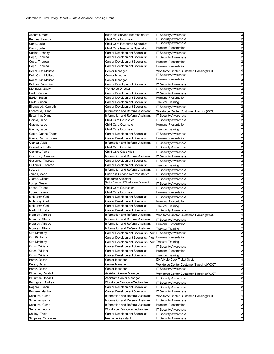| Ashcraft, Marti      | <b>Business Service Representative</b>                     | <b>IT Security Awareness</b>            | $\overline{\mathbf{c}}$                                                                                                                                                                                                                                                         |
|----------------------|------------------------------------------------------------|-----------------------------------------|---------------------------------------------------------------------------------------------------------------------------------------------------------------------------------------------------------------------------------------------------------------------------------|
| Bermea, Brandy       | Child Care Counselor                                       | <b>IT Secuirty Awareness</b>            | $\overline{\mathbf{c}}$                                                                                                                                                                                                                                                         |
| Cantu, Julie         | Child Care Resource Specialist                             | <b>T Security Awareness</b>             | $\overline{\mathbf{c}}$                                                                                                                                                                                                                                                         |
| Cantu, Julie         | Child Care Resource Specialist                             | Humana Presentation                     | $\overline{c}$                                                                                                                                                                                                                                                                  |
| Casias, Johnny       | Career Development Specialist                              | <b>IT Security Awareness</b>            | $\overline{\mathbf{c}}$                                                                                                                                                                                                                                                         |
| Cope, Theresa        | Career Development Specialist                              | <b>IT Security Awareness</b>            | $\overline{c}$                                                                                                                                                                                                                                                                  |
| Cope, Theresa        | Career Development Specialist                              | Humana Presentation                     | $\overline{c}$                                                                                                                                                                                                                                                                  |
| Cope, Theresa        | Career Development Specialist                              | Humana Presentation                     | $\overline{a}$                                                                                                                                                                                                                                                                  |
| DeLaCruz, Melissa    | Center Manager                                             | Workforce Center Customer Tracking(WCCT | 4                                                                                                                                                                                                                                                                               |
| DeLaCruz, Melissa    | Center Manager                                             | <b>IT Security Awareness</b>            | $\overline{\mathbf{c}}$                                                                                                                                                                                                                                                         |
| DeLaCruz, Melissa    | Center Manager                                             | Humana Presentation                     | $\overline{a}$                                                                                                                                                                                                                                                                  |
| DeLeon, Veronica     | Career Development Specialist                              | <b>IT Security Awareness</b>            | $\overline{\mathbf{c}}$                                                                                                                                                                                                                                                         |
| Dieringer, Gaylyn    | Workforce Director                                         | <b>IT Security Awareness</b>            | $\overline{\mathbf{c}}$                                                                                                                                                                                                                                                         |
| Eakle, Susan         | Career Development Specialist                              | <b>IT Security Awareness</b>            | $\overline{\mathbf{c}}$                                                                                                                                                                                                                                                         |
| Eakle, Susan         | Career Development Specialist                              | Humana Presentation                     | $\overline{c}$                                                                                                                                                                                                                                                                  |
| Eakle, Susan         | Career Development Specialist                              | Trakstar Training                       | $\overline{\mathbf{c}}$                                                                                                                                                                                                                                                         |
| Ellenwood, Kenneth   | Career Development Specialist                              |                                         | $\overline{\mathbf{c}}$                                                                                                                                                                                                                                                         |
| Escamilla, Diane     | Information and Referral Assistant                         | <b>IT Security Awareness</b>            | 4                                                                                                                                                                                                                                                                               |
|                      |                                                            | Workforce Center Customer Tracking(WCCT |                                                                                                                                                                                                                                                                                 |
| Escamilla, Diane     | Information and Referral Assistant                         | <b>IT Security Awareness</b>            | $\overline{\mathbf{c}}$                                                                                                                                                                                                                                                         |
| Garcia, Isabel       | Child Care Counselor                                       | <b>IT Security Awareness</b>            | $\overline{c}$                                                                                                                                                                                                                                                                  |
| Garcia, Isabel       | Child Care Counselor                                       | Humana Presentation                     | $\overline{\mathbf{c}}$                                                                                                                                                                                                                                                         |
| Garcia, Isabel       | <b>Child Care Counselor</b>                                | <b>Trakstar Training</b>                | $\overline{\mathbf{c}}$                                                                                                                                                                                                                                                         |
| Garza, Donna (Diana) | <b>Career Development Specialist</b>                       | <b>IT Security Awareness</b>            | $\overline{c}$                                                                                                                                                                                                                                                                  |
| Garza, Donna (Diana) | <b>Career Development Specialist</b>                       | Humana Presentation                     | $\overline{\mathbf{c}}$                                                                                                                                                                                                                                                         |
| Gomez, Alicia        | Information and Referral Assistant                         | <b>IT Security Awareness</b>            | $\overline{\mathbf{c}}$                                                                                                                                                                                                                                                         |
| Gonzales, Bertha     | Child Care Case Aide                                       | <b>IT Security Awareness</b>            | $\overline{c}$                                                                                                                                                                                                                                                                  |
| Goolsby, Tania       | Child Care Case Aide                                       | <b>IT Security Awareness</b>            | $\overline{\mathbf{c}}$                                                                                                                                                                                                                                                         |
| Guerrero, Roxanne    | <b>Information and Referral Assistant</b>                  | <b>IT Security Awareness</b>            | $\overline{c}$                                                                                                                                                                                                                                                                  |
| Gutierrez, Theresa   | Career Development Specialist                              | IT Security Awareness                   | $\overline{c}$                                                                                                                                                                                                                                                                  |
| Gutierrez, Theresa   | Career Development Specialist                              | Trakstar Training                       | $\overline{\mathbf{c}}$                                                                                                                                                                                                                                                         |
| Irby, Lynn           | Information and Referral Assistant                         | <b>IT Security Awareness</b>            | $\overline{c}$                                                                                                                                                                                                                                                                  |
| James, Maria         | <b>Business Service Representative</b>                     | IT Security Awareness                   | $\overline{c}$                                                                                                                                                                                                                                                                  |
|                      |                                                            |                                         |                                                                                                                                                                                                                                                                                 |
| Juarez, Gilbert      | Resource Assistant                                         | IT Security Awareness                   | $\overline{a}$                                                                                                                                                                                                                                                                  |
| odge, Susan          | Senior Director of Workforce & Community                   | <b>IT Security Awareness</b>            | $\overline{\mathbf{c}}$                                                                                                                                                                                                                                                         |
| .opez, Teresa        | Child Care Counselor                                       | <b>IT Security Awareness</b>            | $\overline{\mathbf{c}}$                                                                                                                                                                                                                                                         |
| opez, Teresa.        | Child Care Counselor                                       | Humana Presentation                     |                                                                                                                                                                                                                                                                                 |
| McMurtry, Carl       | Career Development Specialist                              |                                         | $\overline{a}$                                                                                                                                                                                                                                                                  |
|                      |                                                            | <b>IT Security Awareness</b>            | $\overline{\mathbf{c}}$                                                                                                                                                                                                                                                         |
| McMurtry, Carl       | Career Development Specialist                              | Humana Presentation                     |                                                                                                                                                                                                                                                                                 |
| McMurtry, Carl       | Career Development Specialist                              | Trakstar Training                       |                                                                                                                                                                                                                                                                                 |
| Mertz, Michelle      | Career Development Specialist                              | <b>IT Security Awareness</b>            | $\overline{c}$                                                                                                                                                                                                                                                                  |
| Morales, Alfredo     | Information and Referral Assistant                         | Workforce Center Customer Tracking(WCCT | 4                                                                                                                                                                                                                                                                               |
| Morales, Alfredo     | <b>Information and Referral Assistant</b>                  | <b>IT Security Awareness</b>            | $\overline{c}$                                                                                                                                                                                                                                                                  |
| Morales, Alfredo     | Information and Referral Assistant                         | Humana Presentation                     | $\overline{\mathbf{c}}$                                                                                                                                                                                                                                                         |
| Morales, Alfredo     | Information and Referral Assistant                         | Trakstar Training                       | 2                                                                                                                                                                                                                                                                               |
| Orr, Kimberly        | Career Development Specialist - Yout IT Security Awareness |                                         | $\overline{a}$<br>$\overline{a}$<br>۷                                                                                                                                                                                                                                           |
| Orr, Kimberly        | Career Development Specialist - Yout Humana Presentation   |                                         |                                                                                                                                                                                                                                                                                 |
| Orr, Kimberly        | Career Development Specialist - Yout Trakstar Training     |                                         |                                                                                                                                                                                                                                                                                 |
| Orum, William        | Career Development Specialist                              | <b>IT Security Awareness</b>            |                                                                                                                                                                                                                                                                                 |
| Orum, William        | Career Development Specialist                              | Humana Presentation                     |                                                                                                                                                                                                                                                                                 |
| Orum, William        | <b>Career Development Specialist</b>                       | <b>Trakstar Training</b>                |                                                                                                                                                                                                                                                                                 |
| Perez, Oscar         | Center Manager                                             | DNA Help Desk Ticket System             | $\mathbf{p}$<br>$\overline{\mathbf{c}}$<br>$\overline{a}$<br>$\overline{\mathbf{c}}$<br>$\overline{\mathbf{r}}$                                                                                                                                                                 |
| Perez, Oscar         | Center Manager                                             | Workforce Center Customer Tracking(WCCT |                                                                                                                                                                                                                                                                                 |
| Perez, Oscar         | Center Manager                                             | <b>IT Security Awareness</b>            |                                                                                                                                                                                                                                                                                 |
| Plummer, Randall     | Assistant Center Manager                                   | Workforce Center Customer Tracking(WCCT |                                                                                                                                                                                                                                                                                 |
| Plummer, Randall     | Assistant Center Manager                                   | <b>IT Security Awareness</b>            |                                                                                                                                                                                                                                                                                 |
| Rodriguez, Audrey    | Workforce Resource Technician                              | <b>IT Security Awareness</b>            |                                                                                                                                                                                                                                                                                 |
| Rogers, Susan        | Career Development Specialist                              | <b>IT Security Awareness</b>            |                                                                                                                                                                                                                                                                                 |
| Romero, Martha       | Career Development Specialist                              | <b>IT Security Awareness</b>            |                                                                                                                                                                                                                                                                                 |
| Schultze, Gloria     | Information and Referral Assistant                         | Workforce Center Customer Tracking(WCCT |                                                                                                                                                                                                                                                                                 |
| Schultze, Gloria     | Information and Referral Assistant                         | <b>IT Security Awareness</b>            |                                                                                                                                                                                                                                                                                 |
| Schultze, Gloria     | Information and Referral Assistant                         | Humana Presentation                     |                                                                                                                                                                                                                                                                                 |
| Serrano, Leticia     | Workforce Resource Technician                              | <b>IT Security Awareness</b>            |                                                                                                                                                                                                                                                                                 |
| Shirley, Tricia      | Career Development Specialist                              | <b>IT Security Awareness</b>            | $\overline{2}$<br>$\overline{\mathbf{4}}$<br>$\overline{a}$<br>$\overline{\mathbf{4}}$<br>$\overline{a}$<br>$\overline{a}$<br>$\overline{a}$<br>$\mathbf{2}$<br>$\overline{\mathbf{4}}$<br>$\overline{a}$<br>$\overline{2}$<br>$\overline{a}$<br>$\overline{a}$<br>$\mathbf{Z}$ |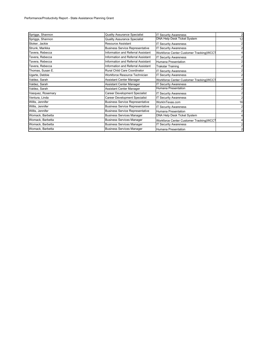| Spriggs, Shannon  | <b>Quality Assurance Specialist</b>    | <b>IT Security Awareness</b>            | $\overline{2}$ |
|-------------------|----------------------------------------|-----------------------------------------|----------------|
| Spriggs, Shannon  | <b>Quality Assurance Specialist</b>    | DNA Help Desk Ticket System             | 12             |
| Stoker, Jackie    | <b>Resource Assistant</b>              | <b>T Security Awareness</b>             |                |
| Strunk, Marikka   | <b>Business Service Representative</b> | <b>T Security Awareness</b>             |                |
| Tavera, Rebecca   | Information and Referral Assistant     | Workforce Center Customer Tracking(WCCT |                |
| Tavera, Rebecca   | Information and Referral Assistant     | <b>IT Security Awareness</b>            |                |
| Tavera, Rebecca   | Information and Referral Assistant     | Humana Presentation                     |                |
| Tavera, Rebecca   | Information and Referral Assistant     | <b>Trakstar Training</b>                |                |
| Thomas, Susan E.  | Rural Child Care Coordinator           | <b>IT Security Awareness</b>            |                |
| Ugarte, Debbie    | Workforce Resource Technician          | <b>T Security Awareness</b>             |                |
| Valdez, Sarah     | <b>Assistant Center Manager</b>        | Workforce Center Customer Tracking(WCCT |                |
| Valdez, Sarah     | Assistant Center Manager               | <b>T Security Awareness</b>             |                |
| Valdez, Sarah     | <b>Assistant Center Manager</b>        | Humana Presentation                     |                |
| Vasquez, Rosemary | Career Development Specialist          | <b>IT Security Awareness</b>            |                |
| Ventura, Linda    | <b>Career Development Specialist</b>   | <b>T Security Awareness</b>             |                |
| Willis, Jennifer  | <b>Business Service Representative</b> | WorkInTexas.com                         | 16             |
| Willis, Jennifer  | <b>Business Service Representative</b> | <b>IT Security Awareness</b>            | 2              |
| Willis, Jennifer  | <b>Business Service Representative</b> | Humana Presentation                     |                |
| Womack, Barbetta  | <b>Business Services Manager</b>       | DNA Help Desk Ticket System             |                |
| Womack, Barbetta  | <b>Business Services Manager</b>       | Workforce Center Customer Tracking(WCCT |                |
| Womack, Barbetta  | <b>Business Services Manager</b>       | T Security Awareness                    |                |
| Womack, Barbetta  | <b>Business Services Manager</b>       | Humana Presentation                     | $\overline{2}$ |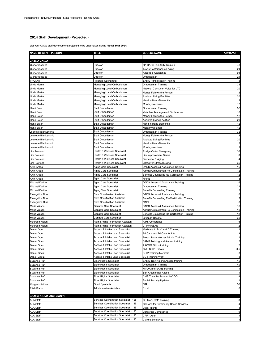## **2014 Staff Development (Projected)**

List your COGs staff development projected to be undertaken during **Fiscal Year 2014**:

| <b>NAME OF STAFF PERSON</b>                  | TITLE                                                                            | <b>COURSE NAME</b>                                         | <b>CONTACT</b> |
|----------------------------------------------|----------------------------------------------------------------------------------|------------------------------------------------------------|----------------|
|                                              |                                                                                  |                                                            |                |
| <b>ALAMO AGING:</b><br>Gloria Vasquez        | Director                                                                         | t4a DADS Quarterly Training                                | 48             |
| Gloria Vasquez                               | Director                                                                         | Texas Conference on Aging                                  | 24             |
| Gloria Vasquez                               | Director                                                                         | <b>Access &amp; Assistance</b>                             | 24             |
| Gloria Vasquez                               | Director                                                                         | Ombudsman                                                  | 24             |
| VACANT                                       | Program Coordinator                                                              | <b>SAMS Administrator Training</b>                         | 8              |
| Linda Martin                                 | Managing Local Ombudsman                                                         | Ombudsman Training                                         | 32             |
| Linda Martin                                 | Managing Local Ombudsman                                                         | National Consumer Voice for LTC                            | 20             |
| Linda Martin                                 | Managing Local Ombudsman                                                         | Money Follows the Person                                   | 12             |
| Linda Martin<br>Linda Martin                 | Managing Local Ombudsman<br>Managing Local Ombudsman                             | <b>Assisted Living Facilities</b><br>Hand in Hand-Dementia | 20<br>12       |
| Linda Martin                                 | Managing Local Ombudsman                                                         | Monthly webinars                                           | 12             |
| Henri Eaton                                  | Staff Ombudsman                                                                  | Ombudsman Training                                         | 32             |
| Henri Eaton                                  | Staff Ombudsman                                                                  | Volunteer Management Conference                            | 16             |
| Henri Eaton                                  | Staff Ombudsman                                                                  | Money Follows the Person                                   | 12             |
| Henri Eaton                                  | Staff Ombudsman                                                                  | <b>Assisted Living Facilities</b>                          | 20             |
| Henri Eaton                                  | Staff Ombudsman                                                                  | Hand in Hand-Dementia                                      | 12             |
| Henri Eaton                                  | Staff Ombudsman                                                                  | Monthly webinars                                           | 12             |
| Jeanette Blankenship                         | Staff Ombudsman                                                                  | Ombudsman Training                                         | 32             |
| Jeanette Blankenship                         | Staff Ombudsman<br>Staff Ombudsman                                               | Money Follows the Person                                   | 12<br>20       |
| Jeanette Blankenship<br>Jeanette Blankenship | Staff Ombudsman                                                                  | <b>Assisted Living Facilities</b><br>Hand in Hand-Dementia | 12             |
| Jeanette Blankenship                         | Staff Ombudsman                                                                  | Monthly webinars                                           | 12             |
| Jim Rowland                                  | <b>Health &amp; Wellness Specialist</b>                                          | Roslyn Carter Caregiving                                   | 36             |
| Jim Rowland                                  | Health & Wellness Specialist                                                     | Life Improvement Series                                    | 8              |
| Jim Rowland                                  | Health & Wellness Specialist                                                     | Demential & Aging                                          | 4              |
| Jim Rowland                                  | <b>Health &amp; Wellness Specialist</b>                                          | <b>Caregiver Stress Busting</b>                            | 36             |
| Alvin Arada                                  | Aging Care Specialist                                                            | DADS Access & Assistance Training                          | 16             |
| Alvin Arada                                  | Aging Care Specialist                                                            | Annual Ombudsman Re-Certification Training                 | 12             |
| Alvin Arada                                  | Aging Care Specialist                                                            | Benefits Counseling Re-Certification Training              | 12             |
| Alvin Arada                                  | Aging Care Specialist                                                            | <b>NAPIS</b>                                               | 8              |
| Michael Darilek<br>Michael Darilek           | Aging Care Specialist                                                            | DADS Access & Assistance Training                          | 16<br>24       |
| Michael Darilek                              | Aging Care Specialist<br>Aging Care Specialist                                   | Ombudsman Training<br><b>Benefits Counseling Training</b>  | 12             |
| Evangeline Diaz                              | Care Coordination Assistant                                                      | DADS Access & Assistance Training                          | 16             |
| <b>Evangeline Diaz</b>                       | <b>Care Coordination Assistant</b>                                               | Benefits Counseling Re-Certification Training              | 12             |
| Evangeline Diaz                              | <b>Care Coordination Assistant</b>                                               | <b>NAPIS</b>                                               | 8              |
| Maria Wilson                                 | Geriatric Care Specialist                                                        | DADS Access & Assistance Training                          | 16             |
| Maria Wilson                                 | Geriatric Care Specialist                                                        | Annual Ombudsman Re-Certification Training                 | 12             |
| Maria Wilson                                 | Geriatric Care Specialist                                                        | Benefits Counseling Re-Certification Training              | 12             |
| Maria Wilson                                 | Geriatric Care Specialist                                                        | Lifespan Respite                                           | 30             |
| Maureen Walsh                                | Alamo Aging Information Assistant                                                | AIRS Conference                                            | 16             |
| Maureen Walsh<br>Daniel Goetz                | Alamo Aging Information Assistant<br>Access & Intake Lead Specialist             | CPR/First Aid<br>Medicare A, B, C and D Training           |                |
| Daniel Goetz                                 | Access & Intake Lead Specialist                                                  | Tri-Care and Tri-Care for Life                             |                |
| Daniel Goetz                                 | Access & Intake Lead Specialist                                                  | Texas Social Worker Admin. Training                        |                |
| Daniel Goetz                                 | Access & Intake Lead Specialist                                                  | SAMS Training and Access training                          | 15             |
| Daniel Goetz                                 | <b>Access &amp; Intake Lead Specialist</b>                                       | <b>AACOG Ethics training</b>                               |                |
| Daniel Goetz                                 | Access & Intake Lead Specialist                                                  | CMS SHIP Update                                            | 0.5            |
| Daniel Goetz                                 | Access & Intake Lead Specialist                                                  | <b>SHIP Training Medicaid</b>                              | 3              |
| Daniel Goetz                                 | Access & Intake Lead Specialist                                                  | <b>BC I Training Work</b>                                  | 8              |
| Suzanne Ruff                                 | <b>Elder Rights Specialist</b>                                                   | SAMS Training and Access training                          | 15             |
| Suzanne Ruff                                 | <b>Elder Rights Specialist</b>                                                   | Ombudsman Training                                         | 12             |
| Suzanne Ruff<br>Suzanne Ruff                 | <b>Elder Rights Specialist</b><br><b>Elder Rights Specialist</b>                 | MIPAA and SAMS trainiing<br>San Antonio Bar Assoc.         |                |
| Suzanne Ruff                                 | <b>Elder Rights Specialist</b>                                                   | CMS Train the Trainer AACOG                                | 8              |
| Suzanne Ruff                                 | <b>Elder Rights Specialist</b>                                                   | Social Security Updates                                    |                |
| Margarita Milnes                             | <b>Grant Specialist</b>                                                          | CTI                                                        | 36             |
| <b>Trish Slaton</b>                          | Administrative Assistant                                                         | Excel                                                      | 18             |
|                                              |                                                                                  |                                                            |                |
| ALAMO LOCAL AUTHORITY:                       |                                                                                  |                                                            |                |
| <b>ALA Staff</b>                             | Services Coordination Specialist - 125                                           | CH Mack Data Training                                      |                |
| ALA Staff                                    | Services Coordination Specialist - 125                                           | <b>Charges for Community Based Services</b>                |                |
| <b>ALA Staff</b>                             | Services Coordination Specialist - 125<br>Services Coordination Specialist - 125 | <b>Client Rights</b>                                       | 0              |
| ALA Staff<br>ALA Staff                       | Services Coordination Specialist - 125                                           | Corporate Compliance<br>CPR - Adult                        |                |
| <b>ALA Staff</b>                             | Services Coordination Specialist - 125                                           | <b>Culture Sensitivity</b>                                 |                |
|                                              |                                                                                  |                                                            |                |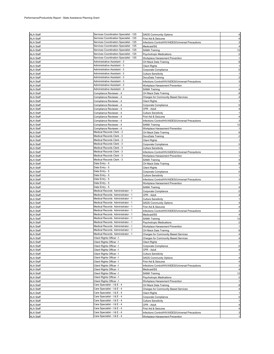| <b>ALA Staff</b>                     | Services Coordination Specialist - 125 | <b>DADS Community Options</b>                      |    |
|--------------------------------------|----------------------------------------|----------------------------------------------------|----|
| <b>ALA Staff</b>                     | Services Coordination Specialist - 125 | First Aid & Seizures                               |    |
| <b>ALA Staff</b>                     | Services Coordination Specialist - 125 | Infections Control/HIV/AIDES/Universal Precautions |    |
| <b>ALA Staff</b>                     | Services Coordination Specialist - 125 | Medicaid/SS                                        |    |
| ALA Staff                            | Services Coordination Specialist - 125 | <b>SAMA Training</b>                               | 12 |
|                                      |                                        |                                                    |    |
| <b>ALA Staff</b>                     | Services Coordination Specialist - 125 | Psychotropic Medications                           |    |
| <b>ALA Staff</b>                     | Services Coordination Specialist - 125 | Workplace Harassment Prevention                    |    |
| <b>ALA Staff</b>                     | Administrative Assistant - 3           | CH Mack Data Training                              | 8  |
| <b>ALA Staff</b>                     | Administrative Assistant - 3           | <b>Client Rights</b>                               |    |
|                                      | Administrative Assistant - 3           |                                                    |    |
| <b>ALA Staff</b>                     |                                        | Corporate Compliance                               |    |
| <b>ALA Staff</b>                     | Administrative Assistant - 3           | <b>Culture Sensitivity</b>                         |    |
| <b>ALA Staff</b>                     | Administrative Assistant - 3           | DocuData Training                                  |    |
| <b>ALA Staff</b>                     | Administrative Assistant - 3           | Infections Control/HIV/AIDES/Universal Precautions |    |
| <b>ALA Staff</b>                     | Administrative Assistant - 3           | Workplace Harassment Prevention                    |    |
|                                      |                                        |                                                    |    |
| <b>ALA Staff</b>                     | Administrative Assistant - 3           | SAMA Training                                      |    |
| <b>ALA Staff</b>                     | Compliance Reviewer - 4                | CH Mack Data Training                              |    |
| <b>ALA Staff</b>                     | Compliance Reviewer - 4                | Charges for Community Based Services               |    |
| <b>ALA Staff</b>                     | Compliance Reviewer - 4                | Client Rights                                      |    |
|                                      |                                        |                                                    |    |
| <b>ALA Staff</b>                     | Compliance Reviewer - 4                | Corporate Compliance                               |    |
| <b>ALA Staff</b>                     | Compliance Reviewer - 4                | CPR - Adult                                        |    |
| <b>ALA Staff</b>                     | Compliance Reviewer - 4                | Culture Sensitivity                                |    |
| <b>ALA Staff</b>                     | Compliance Reviewer - 4                | First Aid & Seizures                               |    |
| <b>ALA Staff</b>                     | Compliance Reviewer - 4                | Infections Control/HIV/AIDES/Universal Precautions |    |
|                                      |                                        |                                                    |    |
| ALA Staff                            | Compliance Reviewer - 4                | SAMA Training                                      | 12 |
| ALA Staff                            | Compliance Reviewer - 4                | Workplace Harassment Prevention                    |    |
| <b>ALA Staff</b>                     | Medical Records Clerk - 3              | CH Mack Data Training                              | 8  |
| <b>ALA Staff</b>                     | Medical Records Clerk - 3              | DocuData Training                                  |    |
|                                      | Medical Records Clerk - 3              |                                                    |    |
| <b>ALA Staff</b>                     |                                        | Client Rights                                      |    |
| <b>ALA Staff</b>                     | Medical Records Clerk - 3              | Corporate Compliance                               |    |
| <b>ALA Staff</b>                     | Medical Records Clerk - 3              | Culture Sensitivity                                |    |
| <b>ALA Staff</b>                     | Medical Records Clerk - 3              | Infections Control/HIV/AIDES/Universal Precautions |    |
| <b>ALA Staff</b>                     | Medical Records Clerk - 3              | Workplace Harassment Prevention                    |    |
|                                      |                                        |                                                    |    |
| <b>ALA Staff</b>                     | Medical Records Clerk - 3              | <b>SAMA Training</b>                               |    |
| <b>ALA Staff</b>                     | Data Entry - 5                         | CH Mack Data Training                              |    |
| <b>ALA Staff</b>                     | Data Entry - 5                         | <b>Client Rights</b>                               |    |
| <b>ALA Staff</b>                     | Data Entry - 5                         | Corporate Compliance                               |    |
|                                      |                                        |                                                    |    |
| <b>ALA Staff</b>                     | Data Entry - 5                         | <b>Culture Sensitivity</b>                         |    |
| ALA Staff                            | Data Entry - 5                         | Infections Control/HIV/AIDES/Universal Precautions |    |
| <b>ALA Staff</b>                     | Data Entry - 5                         | Workplace Harassment Prevention                    |    |
| ALA Staff                            | Data Entry - 5                         | SAMA Training                                      |    |
| <b>ALA Staff</b>                     | Medical Records Administrator - 1      | Corporate Compliance                               | ŋ  |
|                                      |                                        |                                                    |    |
| <b>ALA Staff</b>                     | Medical Records Administrator - 1      | CPR - Adult                                        |    |
| <b>ALA Staff</b>                     | Medical Records Administrator - 1      | <b>Culture Sensitivity</b>                         |    |
| <b>ALA Staff</b>                     | Medical Records Administrator - 1      | <b>DADS Community Options</b>                      |    |
| <b>ALA Staff</b>                     | Medical Records Administrator - 1      | First Aid & Seizures                               |    |
| <b>ALA Staff</b>                     | Medical Records Administrator - 1      | Infections Control/HIV/AIDES/Universal Precautions |    |
|                                      |                                        |                                                    |    |
| ALA Staff                            | Medical Records Administrator - 1      | Medicaid/SS                                        |    |
| <b>ALA Staff</b>                     | Medical Records Administrator - 1      | SAMA Training                                      | 12 |
| <b>ALA Staff</b>                     | Medical Records Administrator - 1      | Psychotropic Medications                           |    |
|                                      |                                        |                                                    |    |
|                                      |                                        |                                                    |    |
| <b>ALA Staff</b>                     | Medical Records Administrator - 1      | Workplace Harassment Prevention                    |    |
|                                      | Medical Records Administrator - 1      | CH Mack Data Training                              | 8  |
| <b>ALA Staff</b>                     | Medical Records Administrator - 1      | Charges for Community Based Services               | 4  |
| <b>ALA Staff</b>                     | Client Rights Officer -1               | <b>Charges for Community Based Services</b>        |    |
| <b>ALA Staff</b>                     | Client Rights Officer -1               | <b>Client Rights</b>                               |    |
|                                      |                                        |                                                    |    |
| <b>ALA Staff</b>                     | Client Rights Officer -1               | Corporate Compliance                               | 0  |
| <b>ALA Staff</b><br><b>ALA Staff</b> | Client Rights Officer -1               | CPR - Adult                                        |    |
| <b>ALA Staff</b>                     | Client Rights Officer -1               | <b>Culture Sensitivity</b>                         |    |
| <b>ALA Staff</b>                     | Client Rights Officer -1               | <b>DADS Community Options</b>                      | 4  |
| <b>ALA Staff</b>                     | Client Rights Officer -1               | First Aid & Seizures                               | 4  |
|                                      |                                        |                                                    |    |
| <b>ALA Staff</b>                     | Client Rights Officer -1               | Infections Control/HIV/AIDES/Universal Precautions | 3  |
| <b>ALA Staff</b>                     | Client Rights Officer -1               | Medicaid/SS                                        | 4  |
| <b>ALA Staff</b>                     | Client Rights Officer -1               | <b>SAMA Training</b>                               | 12 |
| <b>ALA Staff</b>                     | Client Rights Officer -1               | Psychotropic Medications                           |    |
|                                      |                                        |                                                    |    |
| ALA Staff                            | Client Rights Officer -1               | Workplace Harassment Prevention                    |    |
| ALA Staff                            | Care Specialist - I & E - 4            | CH Mack Data Training                              | 8  |
| <b>ALA Staff</b>                     | Care Specialist - I & E - 4            | Charges for Community Based Services               | 4  |
| <b>ALA Staff</b>                     | Care Specialist - I & E - 4            | <b>Client Rights</b>                               | 1  |
| <b>ALA Staff</b>                     | Care Specialist - I & E - 4            |                                                    | 0  |
|                                      |                                        | Corporate Compliance                               |    |
| <b>ALA Staff</b>                     | Care Specialist - I & E - 4            | <b>Culture Sensitivity</b>                         |    |
| <b>ALA Staff</b>                     | Care Specialist - I & E - 4            | CPR - Adult                                        |    |
| ALA Staff                            | Care Specialist - I & E - 4            | First Aid & Seizures                               | 4  |
| <b>ALA Staff</b>                     | Care Specialist - I & E - 4            | Infections Control/HIV/AIDES/Universal Precautions | 3  |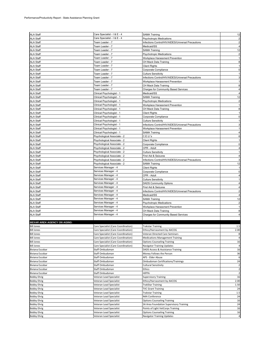| <b>ALA Staff</b>                     | Care Specialist - I & E - 4                  | <b>SAMA Training</b>                                | 12                      |
|--------------------------------------|----------------------------------------------|-----------------------------------------------------|-------------------------|
| <b>ALA Staff</b>                     | Care Specialist - I & E - 4                  | <b>Psychotropic Medications</b>                     |                         |
| <b>ALA Staff</b>                     | Team Leader - 7                              | Infections Control/HIV/AIDES/Universal Precautions  | $\overline{2}$          |
| <b>ALA Staff</b>                     | Team Leader - 7                              | Medicaid/SS                                         | 4                       |
| <b>ALA Staff</b>                     | Team Leader - 7                              | <b>SAMA Training</b>                                | 12                      |
| <b>ALA Staff</b>                     | Team Leader - 7                              | <b>Psychotropic Medications</b>                     | $\overline{\mathbf{c}}$ |
| <b>ALA Staff</b>                     | Team Leader - 7                              | Workplace Harassment Prevention                     | 1                       |
| <b>ALA Staff</b>                     | Team Leader - 7                              | CH Mack Data Training                               | 8                       |
| <b>ALA Staff</b>                     | Team Leader - 7                              | <b>Client Rights</b>                                |                         |
| <b>ALA Staff</b>                     | Team Leader - 7                              | Corporate Compliance                                |                         |
| <b>ALA Staff</b>                     | Team Leader - 7                              | <b>Culture Sensitivity</b>                          |                         |
| <b>ALA Staff</b>                     | Team Leader - 7                              | Infections Control/HIV/AIDES/Universal Precautions  |                         |
| <b>ALA Staff</b>                     | Team Leader - 7                              | Workplace Harassment Prevention                     |                         |
|                                      | Team Leader - 7                              | CH Mack Data Training                               |                         |
| <b>ALA Staff</b><br><b>ALA Staff</b> | Team Leader - 7                              |                                                     |                         |
| <b>ALA Staff</b>                     |                                              | Charges for Community Based Services<br>Medicaid/SS |                         |
|                                      | Clinical Psychologist - 1                    |                                                     |                         |
| <b>ALA Staff</b>                     | Clinical Psychologist - 1                    | <b>SAMA Training</b>                                | 12                      |
| <b>ALA Staff</b>                     | Clinical Psychologist - 1                    | <b>Psychotropic Medications</b>                     |                         |
| <b>ALA Staff</b>                     | Clinical Psychologist - 1                    | Workplace Harassment Prevention                     |                         |
| <b>ALA Staff</b>                     | Clinical Psychologist - 1                    | CH Mack Data Training                               |                         |
| <b>ALA Staff</b>                     | Clinical Psychologist - 1                    | <b>Client Rights</b>                                |                         |
| <b>ALA Staff</b>                     | Clinical Psychologist - 1                    | Corporate Compliance                                |                         |
| <b>ALA Staff</b>                     | Clinical Psychologist - 1                    | <b>Culture Sensitivity</b>                          |                         |
| <b>ALA Staff</b>                     | Clinical Psychologist - 1                    | Infections Control/HIV/AIDES/Universal Precautions  |                         |
| <b>ALA Staff</b>                     | Clinical Psychologist - 1                    | Workplace Harassment Prevention                     |                         |
| <b>ALA Staff</b>                     | Clinical Psychologist - 1                    | <b>SAMA Training</b>                                |                         |
| <b>ALA Staff</b>                     | Psychological Associate - 2                  | C.E.U.'s                                            |                         |
| <b>ALA Staff</b>                     | Psychological Associate - 2                  | <b>Client Rights</b>                                |                         |
| <b>ALA Staff</b>                     | Psychological Associate - 2                  | Corporate Compliance                                | $\Omega$                |
| <b>ALA Staff</b>                     | Psychological Associate - 2                  | CPR - Adult                                         |                         |
| <b>ALA Staff</b>                     | Psychological Associate - 2                  | <b>Culture Sensitivity</b>                          |                         |
| <b>ALA Staff</b>                     | Psychological Associate - 2                  | First Aid & Seizures                                |                         |
| <b>ALA Staff</b>                     | Psychological Associate - 2                  | Infections Control/HIV/AIDES/Universal Precautions  |                         |
| <b>ALA Staff</b>                     | Psychological Associate - 2                  | <b>SAMA Training</b>                                | 12                      |
| <b>ALA Staff</b>                     | Services Manager - 4                         | <b>Client Rights</b>                                |                         |
| <b>ALA Staff</b>                     | Services Manager - 4                         | Corporate Compliance                                | $\Omega$                |
| <b>ALA Staff</b>                     | Services Manager - 4                         | CPR - Adult                                         |                         |
| <b>ALA Staff</b>                     | Services Manager - 4                         | <b>Culture Sensitivity</b>                          |                         |
| <b>ALA Staff</b>                     | Services Manager - 4                         | <b>DADS Community Options</b>                       |                         |
| <b>ALA Staff</b>                     | Services Manager - 4                         | First Aid & Seizures                                |                         |
| <b>ALA Staff</b>                     | Services Manager - 4                         | Infections Control/HIV/AIDES/Universal Precautions  |                         |
| <b>ALA Staff</b>                     | Services Manager - 4                         | Medicaid/SS                                         |                         |
| <b>ALA Staff</b>                     | Services Manager - 4                         | <b>SAMA Training</b>                                | 12                      |
|                                      | Services Manager - 4                         |                                                     |                         |
| <b>ALA Staff</b>                     | Services Manager - 4                         | Psychotropic Medications                            |                         |
| <b>ALA Staff</b>                     |                                              | Workplace Harassment Prevention                     |                         |
| <b>ALA Staff</b>                     | Services Manager - 4<br>Services Manager - 4 | CH Mack Data Training                               | 8                       |
| <b>ALA Staff</b>                     |                                              | Charges for Community Based Services                |                         |
|                                      |                                              |                                                     |                         |
| <b>BEXAR AREA AGENCY ON AGING:</b>   |                                              |                                                     |                         |
| <b>Bill Jones</b>                    | Care Specialist (Care Coordination)          | <b>Trakstar Training</b>                            | 1.5                     |
| <b>Bill Jones</b>                    | Care Specialist (Care Coordination)          | Ethics/Harrassment by AACOG                         | 2.00                    |
| <b>Bill Jones</b>                    | Care Specialist (Care Coordination)          | Veteran Directed Care Seminars                      | 8                       |
| <b>Bill Jones</b>                    | Care Specialist (Care Coordination)          | <b>Medications Management Training</b>              | 4                       |
| <b>Bill Jones</b>                    | Care Specialist (Care Coordination)          | <b>Options Counseling Training</b>                  | 16                      |
| <b>Bill Jones</b>                    | Care Specialist (Care Coordination)          | <b>Navigator Training Updates</b>                   |                         |
| Biviana Escobar                      | Staff Ombudsman                              | DADS Access & Assistance Training                   | 16                      |
| Biviana Escobar                      | Staff Ombudsman                              | Money Follows the Person                            | 36                      |
| Biviana Escobar                      | Staff Ombudsman                              | APS - Elder Abuse                                   | 6                       |
| <b>Biviana Escobar</b>               | Staff Ombudsman                              | <b>Ombudsman Certifications/Trainings</b>           | 24                      |
| <b>Biviana Escobar</b>               | Staff Ombudsman                              | Cultural Sensitivity                                | $\overline{2}$          |
| Biviana Escobar                      | Staff Ombudsman                              | Ethics                                              | $\overline{\mathbf{c}}$ |
| Biviana Escobar                      | Staff Ombudsman                              | <b>HIPPA</b>                                        | $\overline{\mathbf{c}}$ |
| <b>Bobby Ehrig</b>                   | Veteran Lead Specialist                      | <b>Supervisory Training</b>                         | 16                      |
| <b>Bobby Ehrig</b>                   | Veteran Lead Specialist                      | Ethics/Harrassment by AACOG                         | 2.00                    |
| <b>Bobby Ehrig</b>                   | Veteran Lead Specialist                      | <b>TrakStar Training</b>                            | 1.50                    |
| <b>Bobby Ehrig</b>                   | Veteran Lead Specialist                      | <b>TVC Grant Training</b>                           | 24                      |
| <b>Bobby Ehrig</b>                   | Veteran Lead Specialist                      | <b>Trakstar Training</b>                            | $1.5$                   |
| <b>Bobby Ehrig</b>                   | Veteran Lead Specialist                      | N4A Conference                                      | 24                      |
| <b>Bobby Ehrig</b>                   | Veteran Lead Specialist                      | <b>Options Counseling Training</b>                  | 16                      |
| <b>Bobby Ehrig</b>                   | Veteran Lead Specialist                      | SA Area Foundation Supervisory Training             | 24                      |
| <b>Bobby Ehrig</b>                   | Veteran Lead Specialist                      | Points of Light VetCorps Training                   | 16                      |
| <b>Bobby Ehrig</b>                   | Veteran Lead Specialist                      | <b>Options Counseling Training</b>                  | 16                      |
|                                      |                                              |                                                     |                         |
| <b>Bobby Ehrig</b>                   | Veteran Lead Specialist                      | Navigator Training Updates                          |                         |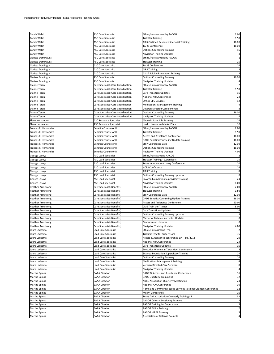| Candy Walsh              | <b>ASC Care Specialist</b>          | Ethics/Harrassment by AACOG                                   | 2.00           |
|--------------------------|-------------------------------------|---------------------------------------------------------------|----------------|
| Candy Walsh              | <b>ASC Care Specialist</b>          | <b>TrakStar Training</b>                                      | 1.50           |
| Candy Walsh              | <b>ASC Care Specialist</b>          | AIRS Certified Resource Specialist Training                   | 16.00          |
| Candy Walsh              | <b>ASC Care Specialist</b>          | <b>TAIRS Conference</b>                                       | 18.00          |
| Candy Walsh              | <b>ASC Care Specialist</b>          | <b>Options Counseling Training</b>                            | 16             |
| Candy Walsh              | <b>ASC Care Specialist</b>          | Navigator Training Updates                                    |                |
| Clarissa Dominguez       | <b>ASC Care Specialist</b>          | Ethics/Harrassment by AACOG                                   | 1              |
| Clarissa Dominguez       | <b>ASC Care Specialist</b>          | <b>TrakStar Training</b>                                      | $1.5\,$        |
| Clarissa Dominguez       | <b>ASC Care Specialist</b>          | <b>TAIRS Conference</b>                                       | 24             |
| Clarissa Dominguez       | <b>ASC Care Specialist</b>          | <b>AIRS Training</b>                                          | 8              |
| Clarissa Dominguez       | <b>ASC Care Specialist</b>          | <b>ASIST Suicide Prevention Training</b>                      |                |
| Clarissa Dominguez       | <b>ASC Care Specialist</b>          | <b>Options Counseling Training</b>                            | 16.00          |
| Clarissa Dominguez       | <b>ASC Care Specialist</b>          | Navigator Training Updates                                    |                |
| Dianne Teran             | Care Specialist (Care Coordination) | Ethics/Harrassment by AACOG                                   |                |
| Dianne Teran             | Care Specialist (Care Coordination) | <b>TrakStar Training</b>                                      | 1.50           |
| Dianne Teran             | Care Specialist (Care Coordination) | <b>Care Transition Updates</b>                                | 16             |
| Dianne Teran             | Care Specialist (Care Coordination) | National N4A Conference                                       | 24             |
| Dianne Teran             | Care Specialist (Care Coordination) | <b>LMSW CEU Courses</b>                                       | 12             |
| Dianne Teran             | Care Specialist (Care Coordination) | <b>Medications Management Training</b>                        | 4              |
| Dianne Teran             | Care Specialist (Care Coordination) | Veteran Directed Care Seminars                                | 8              |
| Dianne Teran             | Care Specialist (Care Coordination) | <b>Options Counseling Training</b>                            | 16.00          |
| Dianne Teran             | Care Specialist (Care Coordination) | Navigator Training Updates                                    |                |
| Elena Hernandez          | <b>ASC Resource Specialist</b>      | Abuse in Later Life Training                                  | 24             |
| Elena Hernandez          | <b>ASC Resource Specialist</b>      | <b>Health Insurance MarketPlace</b>                           | 10             |
| Frances R. Hernandez     | Benefits Counselor II               | Ethics/Harrassment by AACOG                                   | 2.00           |
| Frances R. Hernandez     | <b>Benefits Counselor II</b>        | <b>TrakStar Training</b>                                      | 1.50           |
| Frances R. Hernandez     | <b>Benefits Counselor II</b>        | Access and Assistance Conference                              | 16.00          |
| Frances R. Hernandez     | <b>Benefits Counselor II</b>        | DADS Benefits Counseling Update Training                      | 16.00          |
| Frances R. Hernandez     | <b>Benefits Counselor II</b>        | <b>SHIP Conference Calls</b>                                  | 12.00          |
| Frances R. Hernandez     | <b>Benefits Counselor II</b>        | <b>Options Counseling Training</b>                            | 16.00          |
| Frances R. Hernandez     | <b>Benefits Counselor II</b>        | Navigator Training Updates                                    | 4.00           |
| George Losoya            | <b>ASC Lead Specialist</b>          | Ethics/Harrassment, AACOG                                     |                |
| George Losoya            | <b>ASC Lead Specialist</b>          | Trakstar Training - Supervisors                               | $1.5\,$        |
| George Losoya            | ASC Lead Specialist                 | Texas Independent Living Conference                           | 20             |
| George Losoya            | <b>ASC Lead Specialist</b>          | <b>HCBS Conference</b>                                        | 24             |
| George Losoya            | ASC Lead Specialist                 | <b>AIRS Training</b>                                          | 8              |
| George Losoya            | ASC Lead Specialist                 | <b>Options Counseling Training Updates</b>                    | 8              |
| George Losoya            | <b>ASC Lead Specialist</b>          | SA Area Foundation Supervisory Training                       | 24             |
| George Losoya            | <b>ASC Lead Specialist</b>          | <b>Navigator Training Updates</b>                             | 4.00           |
| <b>Heather Armstrong</b> | Care Specialist (Benefits)          | Ethics/Harrassment by AACOG                                   | 2.00           |
| <b>Heather Armstrong</b> | Care Specialist (Benefits)          | <b>TrakStar Training</b>                                      | 1.50           |
| <b>Heather Armstrong</b> | Care Specialist (Benefits)          | <b>SHIP Conference Calls</b>                                  | 12.00          |
| <b>Heather Armstrong</b> | Care Specialist (Benefits)          | DADS Benefits Counseling Update Training                      | 16.00          |
| <b>Heather Armstrong</b> | Care Specialist (Benefits)          | Access and Assistance Conference                              | 20.00          |
| <b>Heather Armstrong</b> | Care Specialist (Benefits)          | CMS Train the Trainer                                         | 8.00           |
| <b>Heather Armstrong</b> | Care Specialist (Benefits)          | <b>Care Transitions Updates</b>                               | 16             |
| <b>Heather Armstrong</b> | Care Specialist (Benefits)          | <b>Options Counseling Training Updates</b>                    | 8              |
| <b>Heather Armstrong</b> | Care Specialist (Benefits)          | Matter of Balance Instructor Updates                          | $\bf8$         |
| <b>Heather Armstrong</b> | Care Specialist (Benefits)          | Ombudsman Updates                                             |                |
| <b>Heather Armstrong</b> | Care Specialist (Benefits)          | <b>Navigator Training Updates</b>                             | 4.00           |
| Laura Ledesma            | Lead Care Specialist                | Ethics/Harrassment Trng.                                      |                |
| Laura Ledesma            | <b>Lead Care Specialist</b>         | Trakstar Trng for Supervisors                                 | $1.5\,$        |
| Laura Ledesma            | Lead Care Specialist                | Access & Assistance conference 2/4 - 2/6/2013                 | 20             |
| Laura Ledesma            | Lead Care Specialist                | National N4A Conference                                       | 24             |
| Laura Ledesma            | Lead Care Specialist                | <b>Care Transitions Updates</b>                               | 16             |
| Laura Ledesma            | Lead Care Specialist                | <b>Executive Women in Texas Govt Conference</b>               | 8              |
| Laura Ledesma            | <b>Lead Care Specialist</b>         | SA Area Foundation Supervisory Training                       | 24             |
| Laura Ledesma            | Lead Care Specialist                | <b>Options Counseling Training</b>                            | 16             |
| Laura Ledesma            | Lead Care Specialist                | <b>Medications Management Training</b>                        | 4              |
| Laura Ledesma            | Lead Care Specialist                | Veteran Directed Care Seminars                                | $\bf 8$        |
| Laura Ledesma            | Lead Care Specialist                | Navigator Training Updates                                    | $\overline{a}$ |
| Martha Spinks            | <b>BAAA Director</b>                | DADS TX Access and Assistance Conference                      | 16             |
| Martha Spinks            | <b>BAAA Director</b>                | DADS Quarterly Training x4                                    | 32             |
| Martha Spinks            | <b>BAAA Director</b>                | <b>ADRC Association Quarterly Meeting x4</b>                  | 24             |
| Martha Spinks            | <b>BAAA Director</b>                | National AAA Conference                                       | 30             |
| Martha Spinks            | <b>BAAA Director</b>                | Home and Community Based Services National Grantee Conference | 32             |
| Martha Spinks            | <b>BAAA Director</b>                | MIPPA Conference                                              | 16             |
| Martha Spinks            | <b>BAAA Director</b>                | Texas AAA Association Quarterly Training x4                   | 32             |
| Martha Spinks            | <b>BAAA Director</b>                | AACOG Cultural Sensitivity Training                           | $\overline{2}$ |
| Martha Spinks            | <b>BAAA Director</b>                | AACOG Training for Supervisors                                | 3              |
| Martha Spinks            | <b>BAAA Director</b>                | <b>AACOG Ethics Training</b>                                  | $\overline{2}$ |
| Martha Spinks            | <b>BAAA Director</b>                | <b>AACOG HIPPA Training</b>                                   | 3              |
| Martha Spinks            | <b>BAAA Director</b>                | Association of Defense Councils                               | 4              |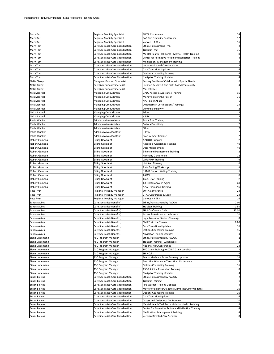| Mary Durr            | <b>Regional Mobility Specialist</b> | <b>SWTA Conference</b>                              | 24                      |
|----------------------|-------------------------------------|-----------------------------------------------------|-------------------------|
| Mary Durr            | <b>Regional Mobility Specialist</b> | PAC Rim Disability Conference                       | 32                      |
| Mary Durr            | <b>Regional Mobility Specialist</b> | Various HR TRN                                      | 16                      |
| Mary Tom             | Care Specialist (Care Coordination) | Ethics/Harrassment Trng.                            |                         |
| Mary Tom             | Care Specialist (Care Coordination) | <b>Trakstar Trng</b>                                | 1.5                     |
| Mary Tom             | Care Specialist (Care Coordination) | Mental Health Task Force - Mental Health Training   | 8                       |
| Mary Tom             | Care Specialist (Care Coordination) | Center for Formative Action and Reflection Training | 4                       |
| Mary Tom             | Care Specialist (Care Coordination) | <b>Medications Management Training</b>              | 4                       |
| Mary Tom             | Care Specialist (Care Coordination) | Veteran Directed Care Seminars                      | 8                       |
| Mary Tom             | Care Specialist (Care Coordination) | <b>Care Transitions Updates</b>                     | 16                      |
|                      |                                     |                                                     | 16                      |
| Mary Tom             | Care Specialist (Care Coordination) | <b>Options Counseling Training</b>                  |                         |
| Mary Tom             | Care Specialist (Care Coordination) | Navigator Training Updates                          | 4<br>6                  |
| Nellie Garay         | Caregiver Support Specialist        | Serving Families of Children with Special Needs     |                         |
| <b>Nellie Garay</b>  | Caregiver Support Specialist        | Lifespan Respite & The Faith Based Community        | 4                       |
| <b>Nellie Garay</b>  | Caregiver Support Specialist        | Marketplace                                         |                         |
| Nick Monreal         | Managing Ombudsman                  | DADS Access & Assistance Training                   | 16                      |
| Nick Monreal         | Managing Ombudsman                  | Money Follows the Person                            | 36                      |
| Nick Monreal         | Managing Ombudsman                  | APS - Elder Abuse                                   | 6                       |
| Nick Monreal         | Managing Ombudsman                  | Ombudsman Certifications/Trainings                  | 24                      |
| <b>Nick Monreal</b>  | Managing Ombudsman                  | Cultural Sensitivity                                |                         |
| <b>Nick Monreal</b>  | Managing Ombudsman                  | Ethics                                              | $\overline{2}$          |
| Nick Monreal         | Managing Ombudsman                  | <b>HIPPA</b>                                        | $\overline{2}$          |
| Paula Wanken         | Administrative Assistant            | Track Star Training                                 | $\overline{2}$          |
| Paula Wanken         | Administrative Assistant            | Cultural Sensitivity                                |                         |
| Paula Wanken         | Administrative Assistant            | Ethics                                              |                         |
| Paula Wanken         | Administrative Assistant            | <b>HIPPA</b>                                        | $\overline{2}$          |
| Paula Wanken         | Administrative Assistant            | procurement training                                | $\overline{2}$          |
| Robert Gamboa        | <b>Billing Specialist</b>           | <b>AACOG Budgets</b>                                |                         |
| Robert Gamboa        | <b>Billing Specialist</b>           | Access & Assistance Training                        | 16                      |
| Robert Gamboa        | <b>Billing Specialist</b>           | Data Management                                     | 40                      |
| Robert Gamboa        | <b>Billing Specialist</b>           | Ethics and Harassment Training                      | $\overline{2}$          |
| Robert Gamboa        | <b>Billing Specialist</b>           | Harmony Conference                                  | 32                      |
| Robert Gamboa        | <b>Billing Specialist</b>           | <b>LAR PMP Training</b>                             | 6                       |
| Robert Gamboa        |                                     | <b>Nutrition Training</b>                           | 16                      |
|                      | <b>Billing Specialist</b>           |                                                     | 8                       |
| Robert Gamboa        | <b>Billing Specialist</b>           | Rate Setting Workshop                               | $\overline{5}$          |
| Robert Gamboa        | <b>Billing Specialist</b>           | <b>SAMS Report Writing Training</b>                 |                         |
| Robert Gamboa        | <b>Billing Specialist</b>           | TARC                                                | $\bf 8$                 |
| Robert Gamboa        | <b>Billing Specialist</b>           | Track Star Training                                 | $\overline{2}$          |
| Robert Gamboa        | <b>Billing Specialist</b>           | TX Conference on Aging                              | 30                      |
| Robert Gamoba        | <b>Billing Speicalist</b>           | AAA Operations Training                             | 16                      |
| Rose Ryan            | Regional Mobility Manager           | <b>SWTA Conference</b>                              | 24                      |
| Rose Ryan            | Regional Mobility Manager           | CTAA Conference & Expo                              | 24                      |
| Rose Ryan            | Regional Mobility Manager           | Various HR TRN                                      | 16                      |
| Sandra Aviles        | Care Specialist (Benefits)          | Ethics/Harrassment by AACOG                         | 2.00                    |
| Sandra Aviles        | Care Specialist (Benefits)          | TrakStar Training                                   | 1.50                    |
| Sandra Aviles        | Care Specialist (Benefits)          | SHIP Conference Calls                               | 12.00                   |
| Sandra Aviles        | Care Specialist (Benefits)          | Access & Assistance conference                      | 20                      |
| Sandra Aviles        | Care Specialist (Benefits)          | Legal Issues for Seniors Trainings                  |                         |
| Sandra Aviles        | Care Specialist (Benefits)          | CMS Train the Trainer                               | 8.00                    |
| Sandra Aviles        | Care Specialist (Benefits)          | Care Transitions Updates                            | 16                      |
| Sandra Aviles        | Care Specialist (Benefits)          | <b>Options Counseling Training</b>                  | 16                      |
| Sandra Aviles        | Care Specialist (Benefits)          | Navigator Training Updates                          | 4                       |
| Siena Lindemann      | ASC Program Manager                 | Ethics/Harrassment by AACOG                         | $\overline{\mathbf{c}}$ |
| Siena Lindemann      | ASC Program Manager                 | <b>Trakstar Training - Supervisors</b>              | $\overline{2}$          |
| Siena Lindemann      | ASC Program Manager                 | National N4A Conference                             | 24                      |
| Siena Lindemann      | ASC Program Manager                 | TVC Grant Training for XIII-A Grant Webinar         | $\mathbf{1}$            |
| Siena Lindemann      | ASC Program Manager                 | <b>SHIP Calls</b>                                   | 6                       |
| Siena Lindemann      | ASC Program Manager                 | Senior Medicare Patrol Training Updates             | 16                      |
| Siena Lindemann      | ASC Program Manager                 | Executive Women in Texas Govt Conference            | 8                       |
| Siena Lindemann      | ASC Program Manager                 | <b>Options Counseling Training</b>                  | 16                      |
| Siena Lindemann      | ASC Program Manager                 | <b>ASIST Suicide Prevention Training</b>            | 8                       |
| Siena Lindemann      | ASC Program Manager                 | <b>Navigator Training Updates</b>                   | $\overline{a}$          |
| Susan Blevins        | Care Specialist (Care Coordination) | Ethics/Harrassment by AACOG                         | $\overline{2}$          |
| <b>Susan Blevins</b> | Care Specialist (Care Coordination) | <b>Trakstar Training</b>                            | $\,1\,$                 |
| <b>Susan Blevins</b> | Care Specialist (Care Coordination) | Fire Warden Training Updates                        | $\overline{4}$          |
| Susan Blevins        | Care Specialist (Care Coordination) | Matter of Balance/Diabetes Mgmt Instructor Updates  | 16                      |
|                      |                                     |                                                     | 16                      |
| Susan Blevins        | Care Specialist (Care Coordination) | <b>Options Counseling Training</b>                  |                         |
| <b>Susan Blevins</b> | Care Specialist (Care Coordination) | <b>Care Transition Updates</b>                      | 16                      |
| Susan Blevins        | Care Specialist (Care Coordination) | Access and Assistance Conference                    | 20                      |
| Susan Blevins        | Care Specialist (Care Coordination) | Mental Health Task Force - Mental Health Training   | 8                       |
| Susan Blevins        | Care Specialist (Care Coordination) | Center for Formative Action and Reflection Training | $\overline{a}$          |
| Susan Blevins        | Care Specialist (Care Coordination) | <b>Medications Management Training</b>              | $\overline{a}$          |
| Susan Blevins        | Care Specialist (Care Coordination) | Veteran Directed Care Seminars                      | 8                       |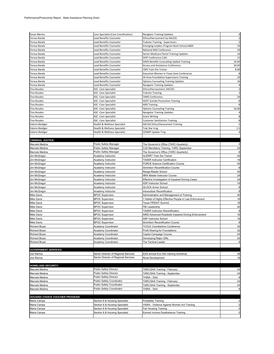| <b>Susan Blevins</b>                   | Care Specialist (Care Coordination)  | Navigator Training Updates                             | 4                       |
|----------------------------------------|--------------------------------------|--------------------------------------------------------|-------------------------|
| Teresa Banda                           | Lead Benefits Counselor              | Ethics/Harrassment by AACOG                            | $\overline{2}$          |
| Teresa Banda                           | Lead Benefits Counselor              | Trakstar Training - Supervisors                        | $\overline{\mathbf{c}}$ |
| Teresa Banda                           | Lead Benefits Counselor              | Emerging Leaders Program Bush School, A&M              | 24                      |
| Teresa Banda                           | Lead Benefits Counselor              | National N4A Conference                                | 24                      |
| Teresa Banda                           | Lead Benefits Counselor              | Senior Medicare Patrol Training Updates                | 16                      |
| Teresa Banda                           | Lead Benefits Counselor              | <b>SHIP Conference Calls</b>                           | 12                      |
| Teresa Banda                           | <b>Lead Benefits Counselor</b>       | DADS Benefits Counseling Update Training               | 16.00                   |
| Teresa Banda                           | Lead Benefits Counselor              | <b>Access and Assistance Conference</b>                | 20.00                   |
| Teresa Banda                           | Lead Benefits Counselor              | <b>CMS Train the Trainer</b>                           | 8.00                    |
| Teresa Banda                           | Lead Benefits Counselor              | Executive Women in Texas Govt Conference               |                         |
| Teresa Banda                           | Lead Benefits Counselor              | SA Area Foundation Supervisory Training                | 24                      |
| Teresa Banda                           | Lead Benefits Counselor              | <b>Options Counseling Training Updates</b>             | 16                      |
| Teresa Banda                           | <b>Lead Benefits Counselor</b>       | Navigator Training Updates                             |                         |
| <b>Tina Rosales</b>                    | <b>ASC</b> - Care Specialist         | Ethics/Harrassment, AACOG                              | $\overline{2}$          |
| <b>Tina Rosales</b>                    | <b>ASC</b> - Care Specialist         | <b>Trakstar Training</b>                               | $\overline{2}$          |
| <b>Tina Rosales</b>                    | <b>ASC</b> - Care Specialist         | <b>TAIRS Conference</b>                                | 24                      |
| <b>Tina Rosales</b>                    | ASC -Care Specialist                 | <b>ASIST Suicide Prevention Training</b>               | 8                       |
| <b>Tina Rosales</b>                    | ASC -Care Specialist                 | <b>AIRS Training</b>                                   |                         |
| <b>Tina Rosales</b>                    | ASC -Care Specialist                 | <b>Options Counseling Training</b>                     | 16.00                   |
| <b>Tina Rosales</b>                    | <b>ASC</b> -Care Specialist          | Navigator Training Updates                             |                         |
| <b>Tina Rosales</b>                    | ASC - Care Specialist                | <b>Grant Writing</b>                                   | 8                       |
| <b>Tina Rosales</b>                    | ASC -Care Specialist                 | <b>Customer Satisfaction Training</b>                  | 8                       |
| Valerie Biediger                       | Health & Wellness Specialist         | AACOG Ethics/Harassment Training                       |                         |
| Valerie Biediger                       | Health & Wellness Specialist         | Trak Star trng                                         | 1.5                     |
| Valerie Biediger                       | Health & Wellness Specialist         | CDSMP Update Trng                                      | 6                       |
|                                        |                                      |                                                        |                         |
| <b>CRIMINAL JUSTICE:</b>               |                                      |                                                        |                         |
| Marcela Medina                         | Public Safety Manager                | The Governor's Office (TARC-Quarterly)                 |                         |
| Marcela Medina                         | Public Safety Manager                | CJD Mandatory Training -TARC September                 | 24                      |
| Marcela Medina                         | Public Safety Manager                | The Governor's Office (TARC-Quarterly)                 |                         |
| Jim McGregor                           | Academy Instructor                   | <b>ALERRT Train the Trainer</b>                        | 40                      |
| Jim McGregor                           | Academy Instructor                   | <b>TASER Instructor Certification</b>                  | 16                      |
| Jim McGregor                           | Academy Instructor                   | <b>FORCE Science Certification Course</b>              | 40                      |
| Jim McGregor                           | Academy Instructor                   | Siminition Recertification Course                      | 8                       |
| Jim McGregor                           | Academy Instructor                   | Range Master School                                    | 40                      |
| Jim McGregor                           | Academy Instructor                   | NRA Master Instructor Course                           | 24                      |
| Jim McGregor                           | Academy Instructor                   | Effective Investigation of Impaired Driving Cases      | 24                      |
| Jim McGregor                           | Academy Instructor                   | ASP Instructor School                                  | 16                      |
| Jim McGregor                           | Academy Instructor                   | <b>GLOCK Armor School</b>                              | 8                       |
| Jim McGregor                           | Academy Instructor                   | Intoxsolizer Recertification                           | 8                       |
| Mike Davis                             | <b>BPOC Supervisor</b>               | Administration and Management of Training              | 40                      |
| Mike Davis                             | <b>BPOC Supervisor</b>               | 7 Habits of Highly Effective People in Law Enforcement | 16                      |
| Mike Davis                             | <b>BPOC Supervisor</b>               | <b>Texas FRIDAY Summit</b>                             | 16                      |
| <b>Mike Davis</b>                      | <b>BPOC Supervisor</b>               | FBI Leadership                                         | 40                      |
| Mike Davis                             | <b>BPOC Supervisor</b>               | <b>TASER Instructor Recertification</b>                | 8                       |
| <b>Mike Davis</b>                      | <b>BPOC Supervisor</b>               | AIRD Advanced Roadside Impaired Driving Enforcement    | 16                      |
| <b>Mike Davis</b>                      | <b>BPOC Supervisor</b>               | ASP Instructor School                                  | 16                      |
| Mike Davis                             | <b>BPOC Supervisor</b>               | Siminition Recertification Course                      |                         |
| <b>Richard Bryan</b>                   | Academy Coordinator                  | <b>TCOLE Coordiantors Conference</b>                   | 24                      |
| <b>Richard Bryan</b>                   | Academy Coordinator                  | Profit Sharing for Foundations                         | 32                      |
| Richard Bryan                          | Academy Coordinator                  | Capitol Campaign Course                                | 24                      |
| Richard Bryan                          | Academy Coordinator                  | Developing Major Gifts                                 | 24                      |
| Richard Bryan                          | Academy Coordinator                  | The Tactical Leader                                    | 8                       |
|                                        |                                      |                                                        |                         |
| <b>GOVERNMENT SERVICES:</b>            |                                      |                                                        |                         |
| Joe Ramos                              | Senior Director of Regional Services | EDA annual Eco Dev training workshop                   | 36                      |
| Joe Ramos                              | Senior Director of Regional Services | Rural Development                                      | 16                      |
|                                        |                                      |                                                        |                         |
| <b>HOMELAND SECURITY:</b>              |                                      |                                                        |                         |
| Marcela Medina                         | Public Safety Director               | TARC/SAA Training - February                           | 24                      |
| Marcela Medina                         | Public Safety Director               | TARC/SAA Training - September                          | 24                      |
| Marcela Medina                         | Public Safety Director               | THIRA - SAA                                            | 8                       |
| Marcela Medina                         | Public Safety Coordinator            | TARC/SAA Training - February                           | 24                      |
| Marcela Medina                         | Public Safety Coordinator            | TARC/SAA Training - September                          | 24                      |
| Marcela Medina                         | Public Safety Coordinator            | THIRA - SAA                                            | 8                       |
|                                        |                                      |                                                        |                         |
| <b>HOUSING CHOICE VOUCHER PROGRAM:</b> |                                      |                                                        |                         |
| Maria Campa                            | Section 8 & Housing Specialist       | Portability Training                                   | $\overline{2}$          |
| Maria Campa                            | Section 8 & Housing Specialist       | VAWA - Violence Against Women Act Training             | $\overline{2}$          |
| Maria Campa                            | Section 8 & Housing Specialist       | Fair Housing Training                                  |                         |
| Maria Campa                            | Section 8 & Housing Specialist       | Earned Income Disallowance Training                    |                         |
|                                        |                                      |                                                        |                         |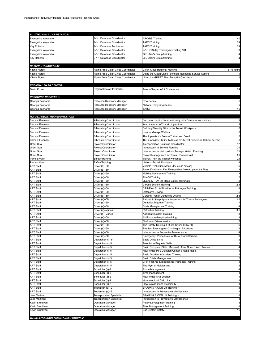| 9-1-1/TECHNICAL ASSISTANCE:               |                                                   |                                                                                        |                     |
|-------------------------------------------|---------------------------------------------------|----------------------------------------------------------------------------------------|---------------------|
| Evangelina Alejandro                      | 9-1-1 Database Coordinator                        | <b>ARCGIS Training</b>                                                                 | 40                  |
| Evangelina Alejandro                      | 9-1-1 Database Coordinator                        | <b>TARC Training</b>                                                                   | 24                  |
| Kay Roberts                               | 9-1-1 Database Technician                         | <b>TARC Training</b>                                                                   | 24                  |
| Evangelina Alejandro                      | 9-1-1 Database Coordinator                        | 9-1-1 GIS day Training/Arc Editing 101                                                 | 8                   |
| Evangelina Alejandro                      | 9-1-1 Database Coordinator                        | GIS User's Group training                                                              |                     |
| Kay Roberts                               | 9-1-1 Database Coordinator                        | GIS User's Group training                                                              |                     |
|                                           |                                                   |                                                                                        |                     |
| <b>NATURAL RESOURCES:</b>                 |                                                   |                                                                                        |                     |
| Yliana Flores                             | Alamo Area Clean Cities Coordinator               | Clean Cities Regional Meeting                                                          | 8-16 hours          |
| Yliana Flores                             | Alamo Area Clean Cities Coordinator               | Using the Clean Cities Technical Response Service Actions                              |                     |
| Yliana Flores                             | Alamo Area Clean Cities Coordinator               | Using the GREET Fleet Footprint Calculator                                             |                     |
|                                           |                                                   |                                                                                        |                     |
| <b>REGIONAL DATA CENTER:</b>              |                                                   |                                                                                        |                     |
| David Kruse                               | Regional Data Ctr Director                        | Texas Chapter APA Conference                                                           | 24                  |
|                                           |                                                   |                                                                                        |                     |
| <b>RESOURCE RECOVERY:</b>                 |                                                   |                                                                                        |                     |
| Georgia Zannaras                          | Resource Recovery Manager                         | <b>EPA Series</b>                                                                      |                     |
| Georgia Zannaras                          | Resource Recovery Manager                         | National Recycling Series                                                              | 5                   |
| Georgia Zannaras                          | Resource Recovery Manager                         | TARC                                                                                   | 16                  |
|                                           |                                                   |                                                                                        |                     |
| <b>RURAL PUBLIC TRANSPORTATION:</b>       |                                                   |                                                                                        |                     |
| Samuel Eleanaor                           | <b>Scheduling Coordinator</b>                     | Customer Service Communicating with Competence and Care                                | 8                   |
| Samuel Eleanaor                           | <b>Scheduling Coordinator</b>                     | <b>Fundamentals of Transit Supervision</b>                                             | 8                   |
| Samuel Eleanaor                           | <b>Scheduling Coordinator</b>                     | Building Diversity Skills in the Transit Workplace                                     | 8                   |
| Samuel Eleanaor                           | <b>Scheduling Coordinator</b>                     | How to Manage Webinar                                                                  | 8                   |
| Samuel Eleanaor                           | <b>Scheduling Coordinator</b>                     | The Supervisor's Role as Trainer and Coach                                             | 8                   |
| Samuel Eleanaor                           | <b>Scheduling Coordinator</b>                     | The Supervisors Guide to Giving On-Target Directions, Helpful Feedba                   | 8                   |
| <b>Grant Gual</b>                         | <b>Project Coordinator</b><br>Project Coordinator | <b>Transportation Solutions Coordinator</b><br>Introduction to Service Planning        | 12<br>21            |
| <b>Grant Gual</b><br><b>Grant Gual</b>    | Project Coordinator                               | Introduction to Metropolitian Transpoortation Planning                                 | 21                  |
| <b>Grant Gual</b>                         | Project Coordinator                               | Project Management for Transit Professional                                            | 21                  |
| Pamela Vann                               | Safety/Training                                   | Transit Train the Trainer workshop                                                     | 21                  |
| Pamela Vann                               | Safety/Training                                   | National Transit Database                                                              | 18                  |
| <b>ART Staff</b>                          | Driver (s)--50                                    | Vehicle Evaluation w/bus {dry ice as smoke}                                            | 6                   |
| <b>ART Staff</b>                          | Driver (s)--50                                    | Recertification on Fire Extinguisher {How to put out a Fire}                           | 3                   |
| ART Staff                                 | Driver (s)--50                                    | <b>Mobility Securement Training</b>                                                    | 3                   |
| ART Staff                                 | Driver (s)--50                                    | <b>Title VI Training</b>                                                               | $\overline{c}$      |
| ART Staff                                 | Driver (s)--50                                    | Quarterly---On the Road Safety Training (s)                                            |                     |
| <b>ART Staff</b>                          | Driver (s)--50                                    | 2-Point System Training                                                                | 2.5                 |
| ART Staff                                 | Driver (s)--50                                    | CRR-First Aid & Bloodborne Pathogen Training                                           | 4                   |
| ART Staff                                 | Driver (s)--50                                    | Defensive Driving                                                                      | 6                   |
| ART Staff                                 | Driver (s)--50                                    | Curbing Transit Distracted Driving                                                     | 2.5                 |
| ART Staff<br><b>ART Staff</b>             | Driver (s)--50<br>Driver (s)--50                  | Fatigue & Sleep Apnea Awareness for Transit Employees<br>Disability Etiquette Training | 2.5<br>1            |
| <b>ART Staff</b>                          | Driver (s)--50                                    | <b>Crisis Management Training</b>                                                      | $\overline{4}$      |
| <b>ART Staff</b>                          | Driver (s)--Varies                                | Refresher Training                                                                     | 3.5                 |
| <b>ART Staff</b>                          | Driver (s)--Varies                                | Accident-Incident Training                                                             | 3                   |
| ART Staff                                 | Driver (s)--50                                    | AMR--annual required training                                                          | 3                   |
| <b>ART Staff</b>                          | Driver (s)--50                                    | Customer Driven service                                                                | 3                   |
| <b>ART Staff</b>                          | Driver (s)--50                                    | The Safety Training & Rural Transit {START}                                            | 6                   |
| <b>ART Staff</b>                          | Driver (s)--50                                    | Problem Passengers--Challenging Situations                                             | 4                   |
| <b>ART Staff</b>                          | Driver (s)--50                                    | Introduction to Preventive Maintenance                                                 | 4                   |
| <b>ART Staff</b>                          | Driver (s)--50                                    | Emergency Procedures for Rural Transit Drivers                                         | $\overline{6}$      |
| <b>ART Staff</b>                          | Dispatcher (s)--5                                 | <b>Basic Office Skills</b>                                                             | $\overline{2}$      |
| <b>ART Staff</b>                          | Dispatcher (s)-5                                  | Telephone Etiquette Skills                                                             | $\overline{2}$      |
| <b>ART Staff</b>                          | Dispatcher (s)-5                                  | Basic Computer Skills: Microsoft office: Shah & AVL Tracker                            | 4                   |
| <b>ART Staff</b>                          | Dispatcher (s)-5                                  | How to use PTS Dispatch Center & Read Maps                                             | 4                   |
| <b>ART Staff</b>                          | Dispatcher (s)-5                                  | Basic Accident & Incident Training                                                     | $\overline{c}$      |
| <b>ART Staff</b><br><b>ART Staff</b>      | Dispatcher (s)-5<br>Dispatcher (s)-5              | Basic Crisis Management<br>CPR-First Aid & Bloodborne Pathogen Training                | $\overline{2}$<br>4 |
| <b>ART Staff</b>                          | Dispatcher (s)-5                                  | The Myth of Multitasking                                                               | $\overline{2}$      |
| <b>ART Staff</b>                          | Scheduler (s)-2                                   | Route Management                                                                       | 4                   |
| <b>ART Staff</b>                          | Scheduler (s)-2                                   | Time management                                                                        |                     |
| <b>ART Staff</b>                          | Scheduler (s)-2                                   | How to use ART Logistic                                                                | 4                   |
| <b>ART Staff</b>                          | Scheduler (s)-2                                   | How to upload Civic plus                                                               | 4                   |
| <b>ART Staff</b>                          | Scheduler (s)-2                                   | How to read maps proficiently                                                          | 4                   |
| <b>ART Staff</b>                          | Technican (s)--2                                  | BRAUN & RICON Lift Training +                                                          | 8                   |
| <b>ART Staff</b>                          | Technican (s)--2                                  | Introduction to Preventaive Manitenance                                                | 4                   |
| Jose Martinez                             | <b>Transportation Specialist</b>                  | BRAUN & RICON Lift Training +                                                          | 8                   |
| Jose Martinez                             | <b>Transportation Specialist</b>                  | Introduction to Preventaive Manitenance                                                | 4                   |
| Kevin Sturdivant                          | <b>Operation Manager</b>                          | Policy Development Training                                                            | 8                   |
| Kevin Sturdivant                          | <b>Operation Manager</b>                          | Fleet Management Training                                                              | 16                  |
| Kevin Sturdivant                          | <b>Operation Manager</b>                          | Bus System Safety                                                                      | 16                  |
|                                           |                                                   |                                                                                        |                     |
| <b>WEATHERIZATION ASSISTANCE PROGRAM:</b> |                                                   |                                                                                        |                     |